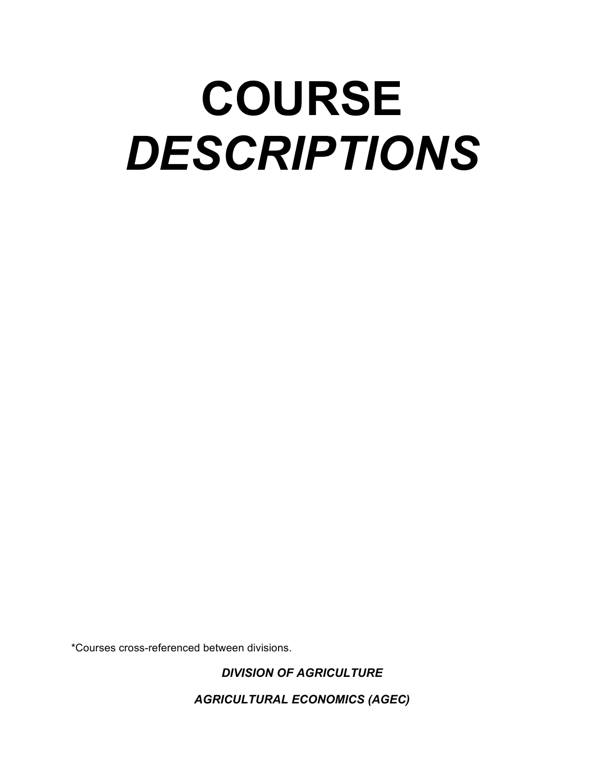# **COURSE** *DESCRIPTIONS*

\*Courses cross-referenced between divisions.

*DIVISION OF AGRICULTURE*

*AGRICULTURAL ECONOMICS (AGEC)*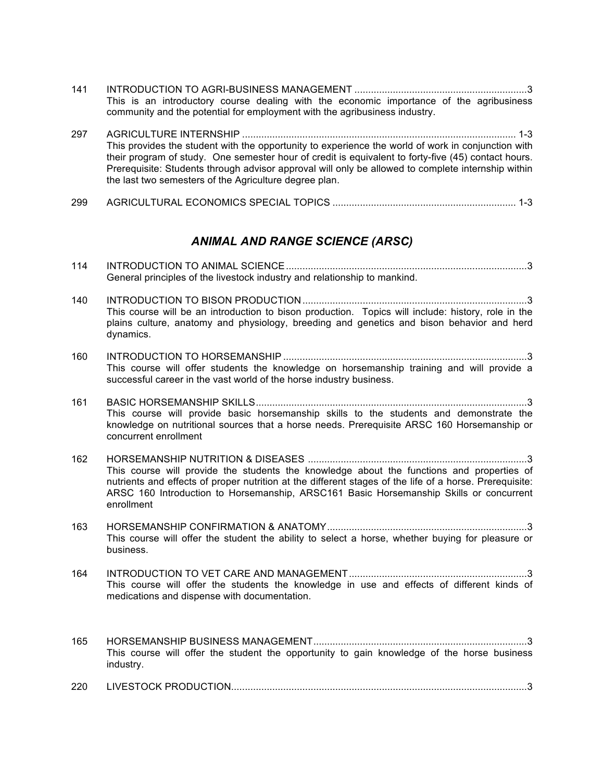- 141 INTRODUCTION TO AGRI-BUSINESS MANAGEMENT ...............................................................3 This is an introductory course dealing with the economic importance of the agribusiness community and the potential for employment with the agribusiness industry.
- 297 AGRICULTURE INTERNSHIP .................................................................................................... 1-3 This provides the student with the opportunity to experience the world of work in conjunction with their program of study. One semester hour of credit is equivalent to forty-five (45) contact hours. Prerequisite: Students through advisor approval will only be allowed to complete internship within the last two semesters of the Agriculture degree plan.
- 299 AGRICULTURAL ECONOMICS SPECIAL TOPICS ................................................................... 1-3

#### *ANIMAL AND RANGE SCIENCE (ARSC)*

| 114 |                                                                                                                                                                                                                                                                                                              |
|-----|--------------------------------------------------------------------------------------------------------------------------------------------------------------------------------------------------------------------------------------------------------------------------------------------------------------|
|     | General principles of the livestock industry and relationship to mankind.                                                                                                                                                                                                                                    |
| 140 | This course will be an introduction to bison production. Topics will include: history, role in the<br>plains culture, anatomy and physiology, breeding and genetics and bison behavior and herd<br>dynamics.                                                                                                 |
| 160 |                                                                                                                                                                                                                                                                                                              |
|     | This course will offer students the knowledge on horsemanship training and will provide a<br>successful career in the vast world of the horse industry business.                                                                                                                                             |
| 161 |                                                                                                                                                                                                                                                                                                              |
|     | This course will provide basic horsemanship skills to the students and demonstrate the<br>knowledge on nutritional sources that a horse needs. Prerequisite ARSC 160 Horsemanship or<br>concurrent enrollment                                                                                                |
| 162 | This course will provide the students the knowledge about the functions and properties of<br>nutrients and effects of proper nutrition at the different stages of the life of a horse. Prerequisite:<br>ARSC 160 Introduction to Horsemanship, ARSC161 Basic Horsemanship Skills or concurrent<br>enrollment |
| 163 | This course will offer the student the ability to select a horse, whether buying for pleasure or<br>business.                                                                                                                                                                                                |
| 164 | This course will offer the students the knowledge in use and effects of different kinds of<br>medications and dispense with documentation.                                                                                                                                                                   |
| 165 | This course will offer the student the opportunity to gain knowledge of the horse business<br>industry.                                                                                                                                                                                                      |
| 220 |                                                                                                                                                                                                                                                                                                              |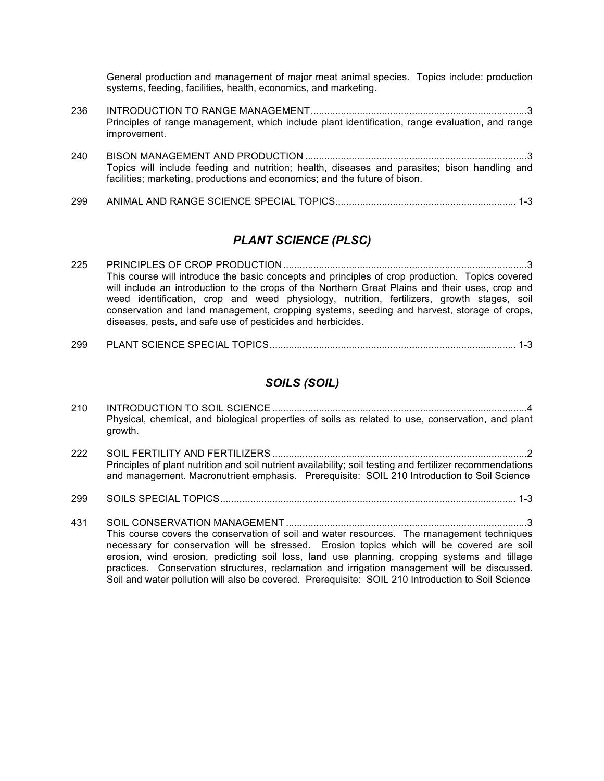General production and management of major meat animal species. Topics include: production systems, feeding, facilities, health, economics, and marketing.

- 236 INTRODUCTION TO RANGE MANAGEMENT...............................................................................3 Principles of range management, which include plant identification, range evaluation, and range improvement.
- 240 BISON MANAGEMENT AND PRODUCTION .................................................................................3 Topics will include feeding and nutrition; health, diseases and parasites; bison handling and facilities; marketing, productions and economics; and the future of bison.
- 299 ANIMAL AND RANGE SCIENCE SPECIAL TOPICS.................................................................. 1-3

#### *PLANT SCIENCE (PLSC)*

- 225 PRINCIPLES OF CROP PRODUCTION.........................................................................................3 This course will introduce the basic concepts and principles of crop production. Topics covered will include an introduction to the crops of the Northern Great Plains and their uses, crop and weed identification, crop and weed physiology, nutrition, fertilizers, growth stages, soil conservation and land management, cropping systems, seeding and harvest, storage of crops, diseases, pests, and safe use of pesticides and herbicides.
- 299 PLANT SCIENCE SPECIAL TOPICS.......................................................................................... 1-3

#### *SOILS (SOIL)*

| 210 | Physical, chemical, and biological properties of soils as related to use, conservation, and plant<br>growth.                                                                                                                                                                                                                                                                             |
|-----|------------------------------------------------------------------------------------------------------------------------------------------------------------------------------------------------------------------------------------------------------------------------------------------------------------------------------------------------------------------------------------------|
| 222 | Principles of plant nutrition and soil nutrient availability; soil testing and fertilizer recommendations<br>and management. Macronutrient emphasis. Prerequisite: SOIL 210 Introduction to Soil Science                                                                                                                                                                                 |
| 299 |                                                                                                                                                                                                                                                                                                                                                                                          |
| 431 | This course covers the conservation of soil and water resources. The management techniques<br>necessary for conservation will be stressed. Erosion topics which will be covered are soil<br>erosion, wind erosion, predicting soil loss, land use planning, cropping systems and tillage<br>practices. Conservation structures, reclamation and irrigation management will be discussed. |

Soil and water pollution will also be covered. Prerequisite: SOIL 210 Introduction to Soil Science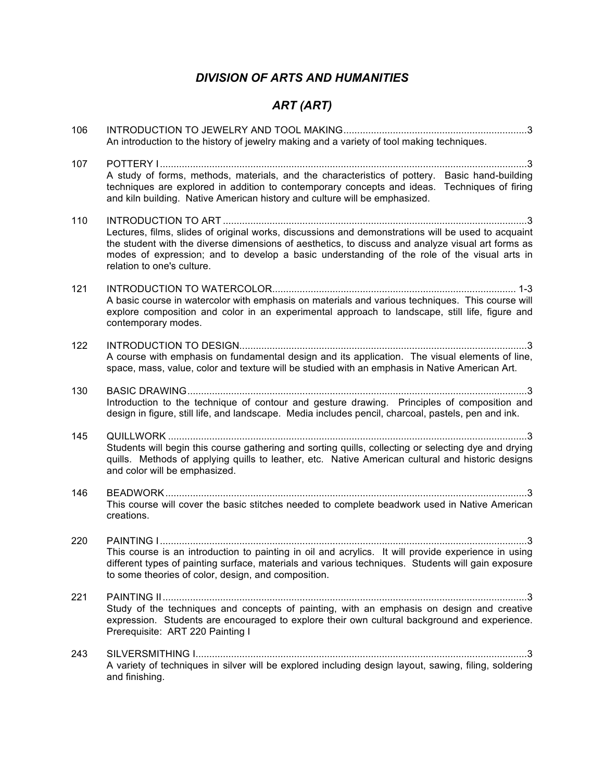## *DIVISION OF ARTS AND HUMANITIES*

# *ART (ART)*

| 106 | An introduction to the history of jewelry making and a variety of tool making techniques.                                                                                                                                                                                                                                            |
|-----|--------------------------------------------------------------------------------------------------------------------------------------------------------------------------------------------------------------------------------------------------------------------------------------------------------------------------------------|
| 107 | A study of forms, methods, materials, and the characteristics of pottery. Basic hand-building<br>techniques are explored in addition to contemporary concepts and ideas. Techniques of firing<br>and kiln building. Native American history and culture will be emphasized.                                                          |
| 110 | Lectures, films, slides of original works, discussions and demonstrations will be used to acquaint<br>the student with the diverse dimensions of aesthetics, to discuss and analyze visual art forms as<br>modes of expression; and to develop a basic understanding of the role of the visual arts in<br>relation to one's culture. |
| 121 | A basic course in watercolor with emphasis on materials and various techniques. This course will<br>explore composition and color in an experimental approach to landscape, still life, figure and<br>contemporary modes.                                                                                                            |
| 122 | A course with emphasis on fundamental design and its application. The visual elements of line,<br>space, mass, value, color and texture will be studied with an emphasis in Native American Art.                                                                                                                                     |
| 130 | Introduction to the technique of contour and gesture drawing. Principles of composition and<br>design in figure, still life, and landscape. Media includes pencil, charcoal, pastels, pen and ink.                                                                                                                                   |
| 145 | Students will begin this course gathering and sorting quills, collecting or selecting dye and drying<br>quills. Methods of applying quills to leather, etc. Native American cultural and historic designs<br>and color will be emphasized.                                                                                           |
| 146 | This course will cover the basic stitches needed to complete beadwork used in Native American<br>creations.                                                                                                                                                                                                                          |
| 220 | This course is an introduction to painting in oil and acrylics. It will provide experience in using<br>different types of painting surface, materials and various techniques. Students will gain exposure<br>to some theories of color, design, and composition.                                                                     |
| 221 | Study of the techniques and concepts of painting, with an emphasis on design and creative<br>expression. Students are encouraged to explore their own cultural background and experience.<br>Prerequisite: ART 220 Painting I                                                                                                        |
| 243 | A variety of techniques in silver will be explored including design layout, sawing, filing, soldering<br>and finishing.                                                                                                                                                                                                              |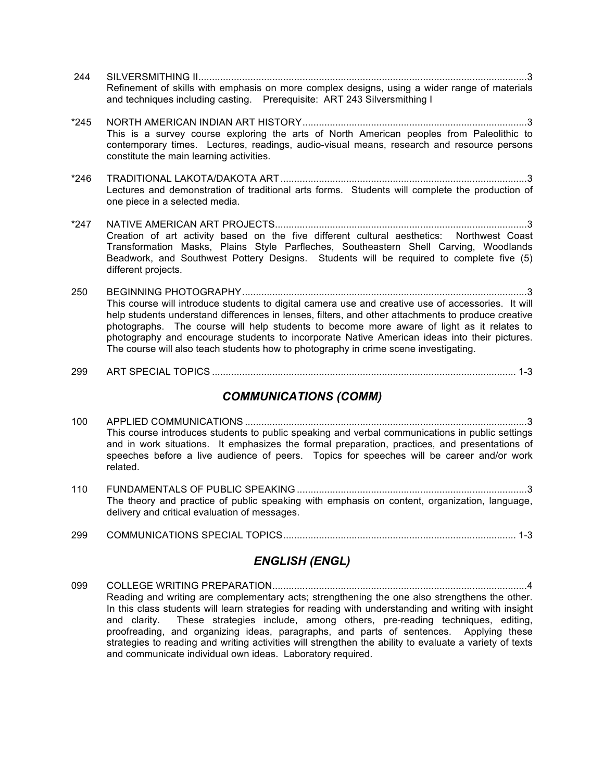- 244 SILVERSMITHING II........................................................................................................................3 Refinement of skills with emphasis on more complex designs, using a wider range of materials and techniques including casting. Prerequisite: ART 243 Silversmithing I
- \*245 NORTH AMERICAN INDIAN ART HISTORY..................................................................................3 This is a survey course exploring the arts of North American peoples from Paleolithic to contemporary times. Lectures, readings, audio-visual means, research and resource persons constitute the main learning activities.
- \*246 TRADITIONAL LAKOTA/DAKOTA ART..........................................................................................3 Lectures and demonstration of traditional arts forms. Students will complete the production of one piece in a selected media.
- \*247 NATIVE AMERICAN ART PROJECTS............................................................................................3 Creation of art activity based on the five different cultural aesthetics: Northwest Coast Transformation Masks, Plains Style Parfleches, Southeastern Shell Carving, Woodlands Beadwork, and Southwest Pottery Designs. Students will be required to complete five (5) different projects.
- 250 BEGINNING PHOTOGRAPHY........................................................................................................3 This course will introduce students to digital camera use and creative use of accessories. It will help students understand differences in lenses, filters, and other attachments to produce creative photographs. The course will help students to become more aware of light as it relates to photography and encourage students to incorporate Native American ideas into their pictures. The course will also teach students how to photography in crime scene investigating.
- 299 ART SPECIAL TOPICS ............................................................................................................... 1-3

#### *COMMUNICATIONS (COMM)*

- 100 APPLIED COMMUNICATIONS .......................................................................................................3 This course introduces students to public speaking and verbal communications in public settings and in work situations. It emphasizes the formal preparation, practices, and presentations of speeches before a live audience of peers. Topics for speeches will be career and/or work related.
- 110 FUNDAMENTALS OF PUBLIC SPEAKING ....................................................................................3 The theory and practice of public speaking with emphasis on content, organization, language, delivery and critical evaluation of messages.
- 299 COMMUNICATIONS SPECIAL TOPICS..................................................................................... 1-3

## *ENGLISH (ENGL)*

099 COLLEGE WRITING PREPARATION.............................................................................................4 Reading and writing are complementary acts; strengthening the one also strengthens the other. In this class students will learn strategies for reading with understanding and writing with insight and clarity. These strategies include, among others, pre-reading techniques, editing, proofreading, and organizing ideas, paragraphs, and parts of sentences. Applying these strategies to reading and writing activities will strengthen the ability to evaluate a variety of texts and communicate individual own ideas. Laboratory required.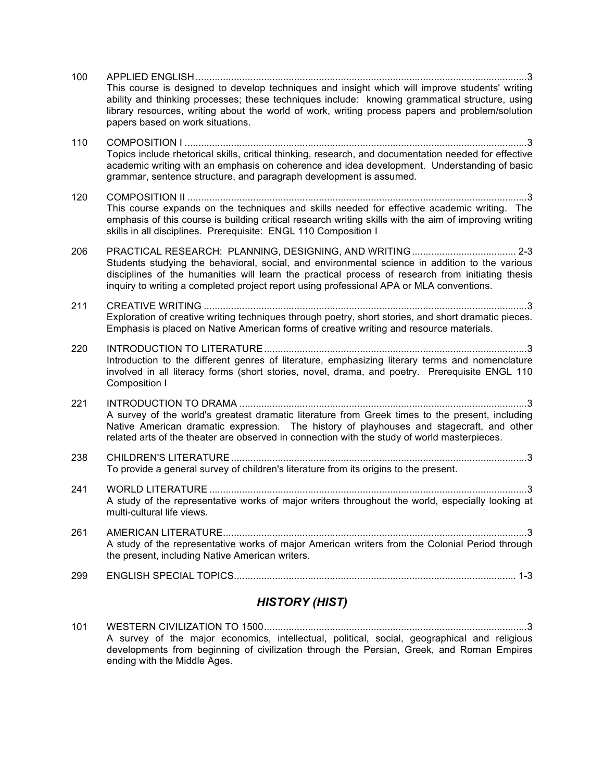|     | <b>HISTORY (HIST)</b>                                                                                                                                                                                                                                                                                                                   |
|-----|-----------------------------------------------------------------------------------------------------------------------------------------------------------------------------------------------------------------------------------------------------------------------------------------------------------------------------------------|
| 299 |                                                                                                                                                                                                                                                                                                                                         |
| 261 | AMERICAN LITERATURE.<br>. . 3<br>A study of the representative works of major American writers from the Colonial Period through<br>the present, including Native American writers.                                                                                                                                                      |
| 241 | A study of the representative works of major writers throughout the world, especially looking at<br>multi-cultural life views.                                                                                                                                                                                                          |
| 238 | To provide a general survey of children's literature from its origins to the present.                                                                                                                                                                                                                                                   |
| 221 | A survey of the world's greatest dramatic literature from Greek times to the present, including<br>Native American dramatic expression. The history of playhouses and stagecraft, and other<br>related arts of the theater are observed in connection with the study of world masterpieces.                                             |
| 220 | Introduction to the different genres of literature, emphasizing literary terms and nomenclature<br>involved in all literacy forms (short stories, novel, drama, and poetry. Prerequisite ENGL 110<br>Composition I                                                                                                                      |
| 211 | Exploration of creative writing techniques through poetry, short stories, and short dramatic pieces.<br>Emphasis is placed on Native American forms of creative writing and resource materials.                                                                                                                                         |
| 206 | Students studying the behavioral, social, and environmental science in addition to the various<br>disciplines of the humanities will learn the practical process of research from initiating thesis<br>inquiry to writing a completed project report using professional APA or MLA conventions.                                         |
| 120 | This course expands on the techniques and skills needed for effective academic writing. The<br>emphasis of this course is building critical research writing skills with the aim of improving writing<br>skills in all disciplines. Prerequisite: ENGL 110 Composition I                                                                |
| 110 | Topics include rhetorical skills, critical thinking, research, and documentation needed for effective<br>academic writing with an emphasis on coherence and idea development. Understanding of basic<br>grammar, sentence structure, and paragraph development is assumed.                                                              |
| 100 | This course is designed to develop techniques and insight which will improve students' writing<br>ability and thinking processes; these techniques include: knowing grammatical structure, using<br>library resources, writing about the world of work, writing process papers and problem/solution<br>papers based on work situations. |

101 WESTERN CIVILIZATION TO 1500................................................................................................3 A survey of the major economics, intellectual, political, social, geographical and religious developments from beginning of civilization through the Persian, Greek, and Roman Empires ending with the Middle Ages.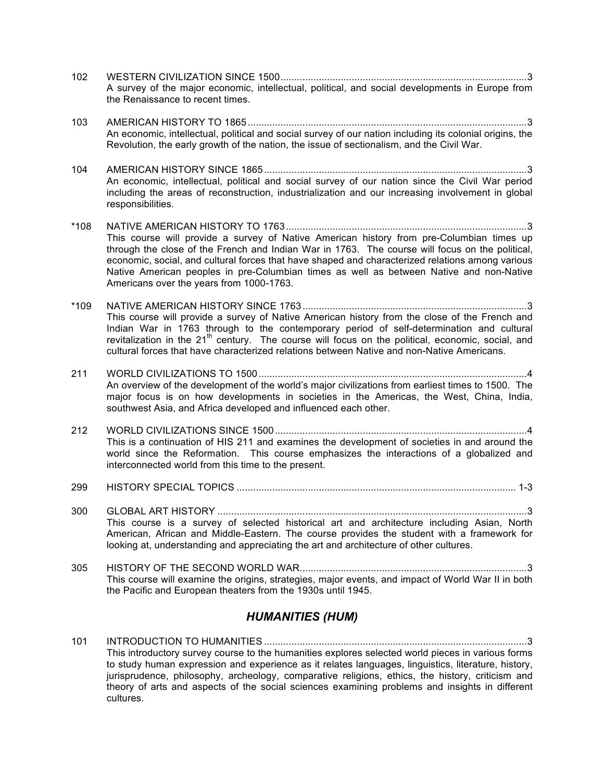- 102 WESTERN CIVILIZATION SINCE 1500..........................................................................................3 A survey of the major economic, intellectual, political, and social developments in Europe from the Renaissance to recent times.
- 103 AMERICAN HISTORY TO 1865......................................................................................................3 An economic, intellectual, political and social survey of our nation including its colonial origins, the Revolution, the early growth of the nation, the issue of sectionalism, and the Civil War.

104 AMERICAN HISTORY SINCE 1865................................................................................................3 An economic, intellectual, political and social survey of our nation since the Civil War period including the areas of reconstruction, industrialization and our increasing involvement in global responsibilities.

\*108 NATIVE AMERICAN HISTORY TO 1763........................................................................................3 This course will provide a survey of Native American history from pre-Columbian times up through the close of the French and Indian War in 1763. The course will focus on the political, economic, social, and cultural forces that have shaped and characterized relations among various Native American peoples in pre-Columbian times as well as between Native and non-Native Americans over the years from 1000-1763.

\*109 NATIVE AMERICAN HISTORY SINCE 1763..................................................................................3 This course will provide a survey of Native American history from the close of the French and Indian War in 1763 through to the contemporary period of self-determination and cultural revitalization in the  $21<sup>th</sup>$  century. The course will focus on the political, economic, social, and cultural forces that have characterized relations between Native and non-Native Americans.

- 211 WORLD CIVILIZATIONS TO 1500..................................................................................................4 An overview of the development of the world's major civilizations from earliest times to 1500. The major focus is on how developments in societies in the Americas, the West, China, India, southwest Asia, and Africa developed and influenced each other.
- 212 WORLD CIVILIZATIONS SINCE 1500............................................................................................4 This is a continuation of HIS 211 and examines the development of societies in and around the world since the Reformation. This course emphasizes the interactions of a globalized and interconnected world from this time to the present.

299 HISTORY SPECIAL TOPICS ...................................................................................................... 1-3

300 GLOBAL ART HISTORY .................................................................................................................3 This course is a survey of selected historical art and architecture including Asian, North American, African and Middle-Eastern. The course provides the student with a framework for looking at, understanding and appreciating the art and architecture of other cultures.

305 HISTORY OF THE SECOND WORLD WAR...................................................................................3 This course will examine the origins, strategies, major events, and impact of World War II in both the Pacific and European theaters from the 1930s until 1945.

#### *HUMANITIES (HUM)*

101 INTRODUCTION TO HUMANITIES ................................................................................................3 This introductory survey course to the humanities explores selected world pieces in various forms to study human expression and experience as it relates languages, linguistics, literature, history, jurisprudence, philosophy, archeology, comparative religions, ethics, the history, criticism and theory of arts and aspects of the social sciences examining problems and insights in different cultures.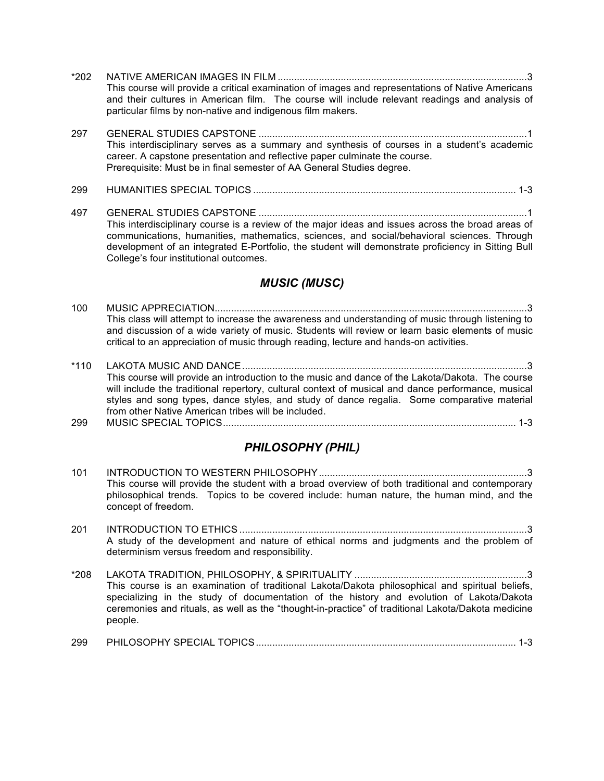- \*202 NATIVE AMERICAN IMAGES IN FILM ...........................................................................................3 This course will provide a critical examination of images and representations of Native Americans and their cultures in American film. The course will include relevant readings and analysis of particular films by non-native and indigenous film makers.
- 297 GENERAL STUDIES CAPSTONE ..................................................................................................1 This interdisciplinary serves as a summary and synthesis of courses in a student's academic career. A capstone presentation and reflective paper culminate the course. Prerequisite: Must be in final semester of AA General Studies degree.
- 299 HUMANITIES SPECIAL TOPICS ................................................................................................ 1-3
- 497 GENERAL STUDIES CAPSTONE ..................................................................................................1 This interdisciplinary course is a review of the major ideas and issues across the broad areas of communications, humanities, mathematics, sciences, and social/behavioral sciences. Through development of an integrated E-Portfolio, the student will demonstrate proficiency in Sitting Bull College's four institutional outcomes.

#### *MUSIC (MUSC)*

- 100 MUSIC APPRECIATION..................................................................................................................3 This class will attempt to increase the awareness and understanding of music through listening to and discussion of a wide variety of music. Students will review or learn basic elements of music critical to an appreciation of music through reading, lecture and hands-on activities.
- \*110 LAKOTA MUSIC AND DANCE........................................................................................................3 This course will provide an introduction to the music and dance of the Lakota/Dakota. The course will include the traditional repertory, cultural context of musical and dance performance, musical styles and song types, dance styles, and study of dance regalia. Some comparative material from other Native American tribes will be included.
- 299 MUSIC SPECIAL TOPICS........................................................................................................... 1-3

#### *PHILOSOPHY (PHIL)*

- 101 INTRODUCTION TO WESTERN PHILOSOPHY............................................................................3 This course will provide the student with a broad overview of both traditional and contemporary philosophical trends. Topics to be covered include: human nature, the human mind, and the concept of freedom.
- 201 INTRODUCTION TO ETHICS .........................................................................................................3 A study of the development and nature of ethical norms and judgments and the problem of determinism versus freedom and responsibility.
- \*208 LAKOTA TRADITION, PHILOSOPHY, & SPIRITUALITY ...............................................................3 This course is an examination of traditional Lakota/Dakota philosophical and spiritual beliefs, specializing in the study of documentation of the history and evolution of Lakota/Dakota ceremonies and rituals, as well as the "thought-in-practice" of traditional Lakota/Dakota medicine people.
- 299 PHILOSOPHY SPECIAL TOPICS............................................................................................... 1-3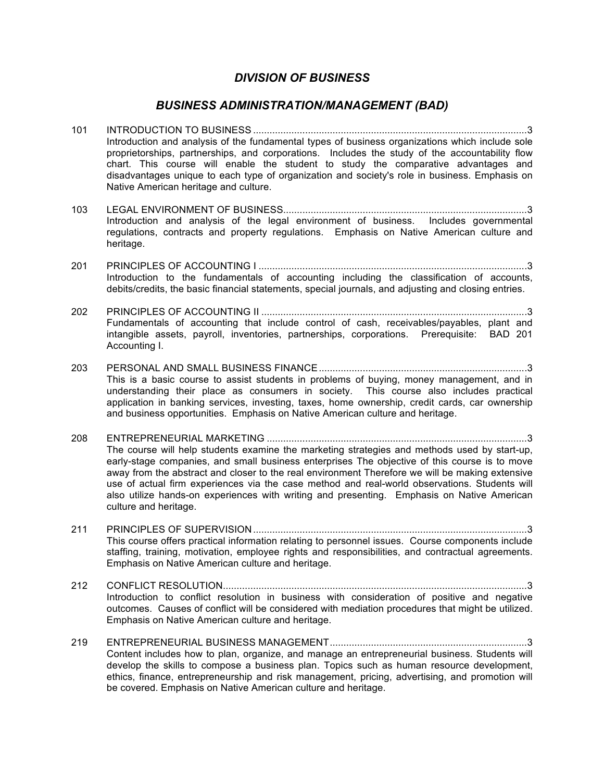#### *DIVISION OF BUSINESS*

#### *BUSINESS ADMINISTRATION/MANAGEMENT (BAD)*

- 101 INTRODUCTION TO BUSINESS ....................................................................................................3 Introduction and analysis of the fundamental types of business organizations which include sole proprietorships, partnerships, and corporations. Includes the study of the accountability flow chart. This course will enable the student to study the comparative advantages and disadvantages unique to each type of organization and society's role in business. Emphasis on Native American heritage and culture.
- 103 LEGAL ENVIRONMENT OF BUSINESS.........................................................................................3 Introduction and analysis of the legal environment of business. Includes governmental regulations, contracts and property regulations. Emphasis on Native American culture and heritage.
- 201 PRINCIPLES OF ACCOUNTING I ..................................................................................................3 Introduction to the fundamentals of accounting including the classification of accounts, debits/credits, the basic financial statements, special journals, and adjusting and closing entries.
- 202 PRINCIPLES OF ACCOUNTING II .................................................................................................3 Fundamentals of accounting that include control of cash, receivables/payables, plant and intangible assets, payroll, inventories, partnerships, corporations. Prerequisite: BAD 201 Accounting I.
- 203 PERSONAL AND SMALL BUSINESS FINANCE............................................................................3 This is a basic course to assist students in problems of buying, money management, and in understanding their place as consumers in society. This course also includes practical application in banking services, investing, taxes, home ownership, credit cards, car ownership and business opportunities. Emphasis on Native American culture and heritage.
- 208 ENTREPRENEURIAL MARKETING ...............................................................................................3 The course will help students examine the marketing strategies and methods used by start-up, early-stage companies, and small business enterprises The objective of this course is to move away from the abstract and closer to the real environment Therefore we will be making extensive use of actual firm experiences via the case method and real-world observations. Students will also utilize hands-on experiences with writing and presenting. Emphasis on Native American culture and heritage.
- 211 PRINCIPLES OF SUPERVISION....................................................................................................3 This course offers practical information relating to personnel issues. Course components include staffing, training, motivation, employee rights and responsibilities, and contractual agreements. Emphasis on Native American culture and heritage.
- 212 CONFLICT RESOLUTION...............................................................................................................3 Introduction to conflict resolution in business with consideration of positive and negative outcomes. Causes of conflict will be considered with mediation procedures that might be utilized. Emphasis on Native American culture and heritage.
- 219 ENTREPRENEURIAL BUSINESS MANAGEMENT........................................................................3 Content includes how to plan, organize, and manage an entrepreneurial business. Students will develop the skills to compose a business plan. Topics such as human resource development, ethics, finance, entrepreneurship and risk management, pricing, advertising, and promotion will be covered. Emphasis on Native American culture and heritage.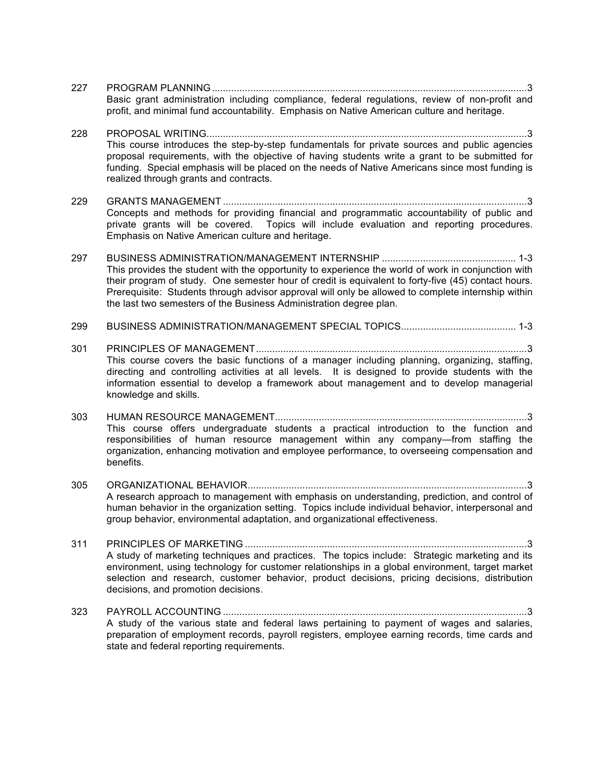| 227 | Basic grant administration including compliance, federal regulations, review of non-profit and<br>profit, and minimal fund accountability. Emphasis on Native American culture and heritage.                                                                                                                                                                                          |
|-----|---------------------------------------------------------------------------------------------------------------------------------------------------------------------------------------------------------------------------------------------------------------------------------------------------------------------------------------------------------------------------------------|
| 228 | This course introduces the step-by-step fundamentals for private sources and public agencies<br>proposal requirements, with the objective of having students write a grant to be submitted for<br>funding. Special emphasis will be placed on the needs of Native Americans since most funding is<br>realized through grants and contracts.                                           |
| 229 | Concepts and methods for providing financial and programmatic accountability of public and<br>private grants will be covered. Topics will include evaluation and reporting procedures.<br>Emphasis on Native American culture and heritage.                                                                                                                                           |
| 297 | This provides the student with the opportunity to experience the world of work in conjunction with<br>their program of study. One semester hour of credit is equivalent to forty-five (45) contact hours.<br>Prerequisite: Students through advisor approval will only be allowed to complete internship within<br>the last two semesters of the Business Administration degree plan. |
| 299 |                                                                                                                                                                                                                                                                                                                                                                                       |
| 301 | This course covers the basic functions of a manager including planning, organizing, staffing,<br>directing and controlling activities at all levels. It is designed to provide students with the<br>information essential to develop a framework about management and to develop managerial<br>knowledge and skills.                                                                  |
| 303 | This course offers undergraduate students a practical introduction to the function and<br>responsibilities of human resource management within any company-from staffing the<br>organization, enhancing motivation and employee performance, to overseeing compensation and<br>benefits.                                                                                              |
| 305 | A research approach to management with emphasis on understanding, prediction, and control of<br>human behavior in the organization setting. Topics include individual behavior, interpersonal and<br>group behavior, environmental adaptation, and organizational effectiveness.                                                                                                      |
| 311 | A study of marketing techniques and practices. The topics include: Strategic marketing and its<br>environment, using technology for customer relationships in a global environment, target market<br>selection and research, customer behavior, product decisions, pricing decisions, distribution<br>decisions, and promotion decisions.                                             |
| 323 | A study of the various state and federal laws pertaining to payment of wages and salaries,<br>preparation of employment records, payroll registers, employee earning records, time cards and<br>state and federal reporting requirements.                                                                                                                                             |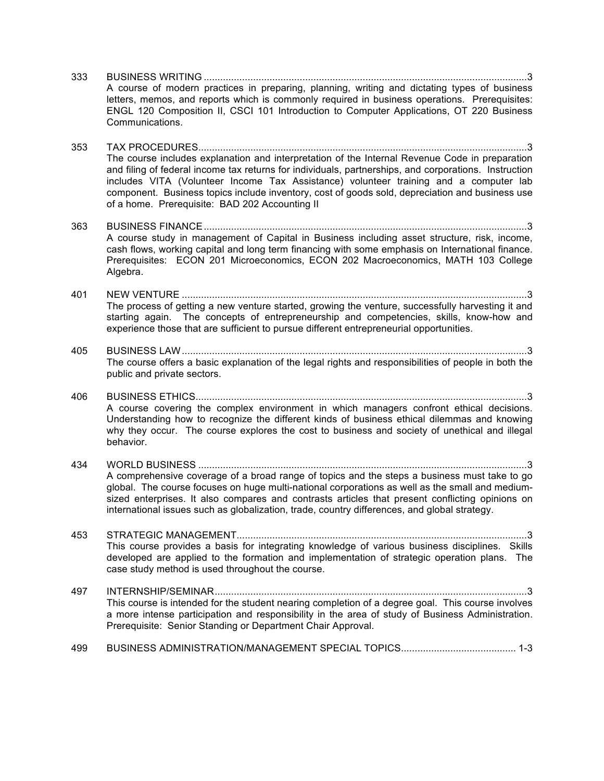- 333 BUSINESS WRITING ......................................................................................................................3 A course of modern practices in preparing, planning, writing and dictating types of business letters, memos, and reports which is commonly required in business operations. Prerequisites: ENGL 120 Composition II, CSCI 101 Introduction to Computer Applications, OT 220 Business Communications.
- 353 TAX PROCEDURES........................................................................................................................3 The course includes explanation and interpretation of the Internal Revenue Code in preparation and filing of federal income tax returns for individuals, partnerships, and corporations. Instruction includes VITA (Volunteer Income Tax Assistance) volunteer training and a computer lab component. Business topics include inventory, cost of goods sold, depreciation and business use of a home. Prerequisite: BAD 202 Accounting II

363 BUSINESS FINANCE......................................................................................................................3 A course study in management of Capital in Business including asset structure, risk, income, cash flows, working capital and long term financing with some emphasis on International finance. Prerequisites: ECON 201 Microeconomics, ECON 202 Macroeconomics, MATH 103 College Algebra.

401 NEW VENTURE ..............................................................................................................................3 The process of getting a new venture started, growing the venture, successfully harvesting it and starting again. The concepts of entrepreneurship and competencies, skills, know-how and experience those that are sufficient to pursue different entrepreneurial opportunities.

- 405 BUSINESS LAW..............................................................................................................................3 The course offers a basic explanation of the legal rights and responsibilities of people in both the public and private sectors.
- 406 BUSINESS ETHICS.........................................................................................................................3 A course covering the complex environment in which managers confront ethical decisions. Understanding how to recognize the different kinds of business ethical dilemmas and knowing why they occur. The course explores the cost to business and society of unethical and illegal behavior.
- 434 WORLD BUSINESS ........................................................................................................................3 A comprehensive coverage of a broad range of topics and the steps a business must take to go global. The course focuses on huge multi-national corporations as well as the small and mediumsized enterprises. It also compares and contrasts articles that present conflicting opinions on international issues such as globalization, trade, country differences, and global strategy.

453 STRATEGIC MANAGEMENT..........................................................................................................3 This course provides a basis for integrating knowledge of various business disciplines. Skills developed are applied to the formation and implementation of strategic operation plans. The case study method is used throughout the course.

- 497 INTERNSHIP/SEMINAR..................................................................................................................3 This course is intended for the student nearing completion of a degree goal. This course involves a more intense participation and responsibility in the area of study of Business Administration. Prerequisite: Senior Standing or Department Chair Approval.
- 499 BUSINESS ADMINISTRATION/MANAGEMENT SPECIAL TOPICS.......................................... 1-3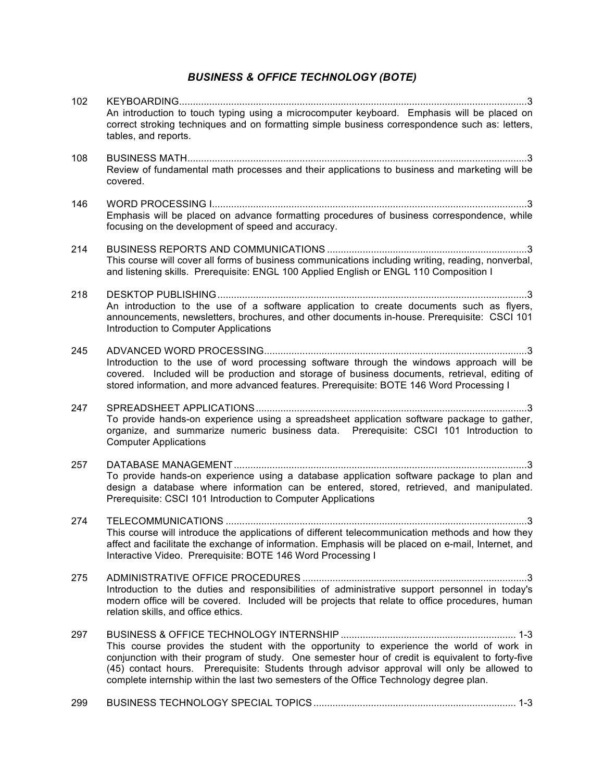## *BUSINESS & OFFICE TECHNOLOGY (BOTE)*

| 102 | An introduction to touch typing using a microcomputer keyboard. Emphasis will be placed on<br>correct stroking techniques and on formatting simple business correspondence such as: letters,<br>tables, and reports.                                                                                                                                                                   |
|-----|----------------------------------------------------------------------------------------------------------------------------------------------------------------------------------------------------------------------------------------------------------------------------------------------------------------------------------------------------------------------------------------|
| 108 | Review of fundamental math processes and their applications to business and marketing will be<br>covered.                                                                                                                                                                                                                                                                              |
| 146 | Emphasis will be placed on advance formatting procedures of business correspondence, while<br>focusing on the development of speed and accuracy.                                                                                                                                                                                                                                       |
| 214 | This course will cover all forms of business communications including writing, reading, nonverbal,<br>and listening skills. Prerequisite: ENGL 100 Applied English or ENGL 110 Composition I                                                                                                                                                                                           |
| 218 | An introduction to the use of a software application to create documents such as flyers,<br>announcements, newsletters, brochures, and other documents in-house. Prerequisite: CSCI 101<br>Introduction to Computer Applications                                                                                                                                                       |
| 245 | Introduction to the use of word processing software through the windows approach will be<br>covered. Included will be production and storage of business documents, retrieval, editing of<br>stored information, and more advanced features. Prerequisite: BOTE 146 Word Processing I                                                                                                  |
| 247 | To provide hands-on experience using a spreadsheet application software package to gather,<br>organize, and summarize numeric business data. Prerequisite: CSCI 101 Introduction to<br><b>Computer Applications</b>                                                                                                                                                                    |
| 257 |                                                                                                                                                                                                                                                                                                                                                                                        |
|     | To provide hands-on experience using a database application software package to plan and<br>design a database where information can be entered, stored, retrieved, and manipulated.<br>Prerequisite: CSCI 101 Introduction to Computer Applications                                                                                                                                    |
| 274 |                                                                                                                                                                                                                                                                                                                                                                                        |
|     | This course will introduce the applications of different telecommunication methods and how they<br>affect and facilitate the exchange of information. Emphasis will be placed on e-mail, Internet, and<br>Interactive Video. Prerequisite: BOTE 146 Word Processing I                                                                                                                  |
| 275 | Introduction to the duties and responsibilities of administrative support personnel in today's<br>modern office will be covered. Included will be projects that relate to office procedures, human<br>relation skills, and office ethics.                                                                                                                                              |
| 297 | This course provides the student with the opportunity to experience the world of work in<br>conjunction with their program of study. One semester hour of credit is equivalent to forty-five<br>(45) contact hours. Prerequisite: Students through advisor approval will only be allowed to<br>complete internship within the last two semesters of the Office Technology degree plan. |
| 299 |                                                                                                                                                                                                                                                                                                                                                                                        |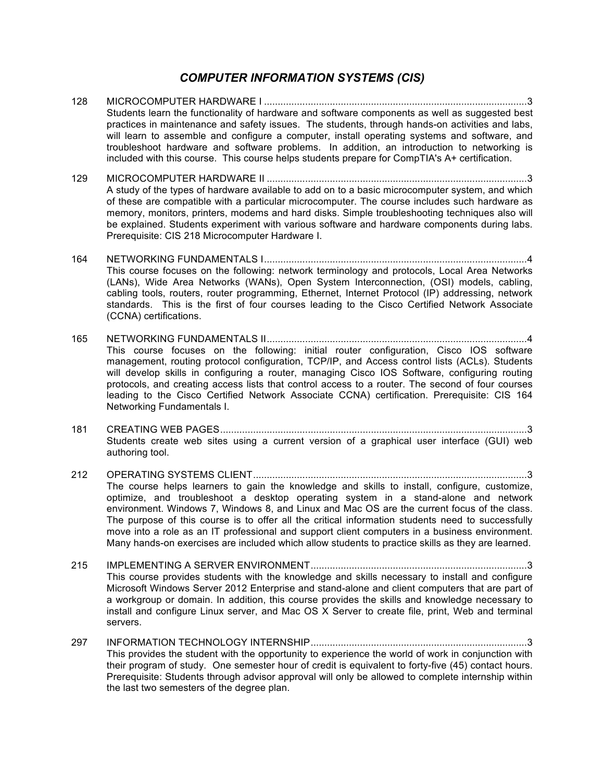#### *COMPUTER INFORMATION SYSTEMS (CIS)*

- 128 MICROCOMPUTER HARDWARE I ................................................................................................3 Students learn the functionality of hardware and software components as well as suggested best practices in maintenance and safety issues. The students, through hands-on activities and labs, will learn to assemble and configure a computer, install operating systems and software, and troubleshoot hardware and software problems. In addition, an introduction to networking is included with this course. This course helps students prepare for CompTIA's A+ certification.
- 129 MICROCOMPUTER HARDWARE II ...............................................................................................3 A study of the types of hardware available to add on to a basic microcomputer system, and which of these are compatible with a particular microcomputer. The course includes such hardware as memory, monitors, printers, modems and hard disks. Simple troubleshooting techniques also will be explained. Students experiment with various software and hardware components during labs. Prerequisite: CIS 218 Microcomputer Hardware I.
- 164 NETWORKING FUNDAMENTALS I................................................................................................4 This course focuses on the following: network terminology and protocols, Local Area Networks (LANs), Wide Area Networks (WANs), Open System Interconnection, (OSI) models, cabling, cabling tools, routers, router programming, Ethernet, Internet Protocol (IP) addressing, network standards. This is the first of four courses leading to the Cisco Certified Network Associate (CCNA) certifications.
- 165 NETWORKING FUNDAMENTALS II...............................................................................................4 This course focuses on the following: initial router configuration, Cisco IOS software management, routing protocol configuration, TCP/IP, and Access control lists (ACLs). Students will develop skills in configuring a router, managing Cisco IOS Software, configuring routing protocols, and creating access lists that control access to a router. The second of four courses leading to the Cisco Certified Network Associate CCNA) certification. Prerequisite: CIS 164 Networking Fundamentals I.
- 181 CREATING WEB PAGES................................................................................................................3 Students create web sites using a current version of a graphical user interface (GUI) web authoring tool.
- 212 OPERATING SYSTEMS CLIENT....................................................................................................3 The course helps learners to gain the knowledge and skills to install, configure, customize, optimize, and troubleshoot a desktop operating system in a stand-alone and network environment. Windows 7, Windows 8, and Linux and Mac OS are the current focus of the class. The purpose of this course is to offer all the critical information students need to successfully move into a role as an IT professional and support client computers in a business environment. Many hands-on exercises are included which allow students to practice skills as they are learned.
- 215 IMPLEMENTING A SERVER ENVIRONMENT...............................................................................3 This course provides students with the knowledge and skills necessary to install and configure Microsoft Windows Server 2012 Enterprise and stand-alone and client computers that are part of a workgroup or domain. In addition, this course provides the skills and knowledge necessary to install and configure Linux server, and Mac OS X Server to create file, print, Web and terminal servers.
- 297 INFORMATION TECHNOLOGY INTERNSHIP...............................................................................3 This provides the student with the opportunity to experience the world of work in conjunction with their program of study. One semester hour of credit is equivalent to forty-five (45) contact hours. Prerequisite: Students through advisor approval will only be allowed to complete internship within the last two semesters of the degree plan.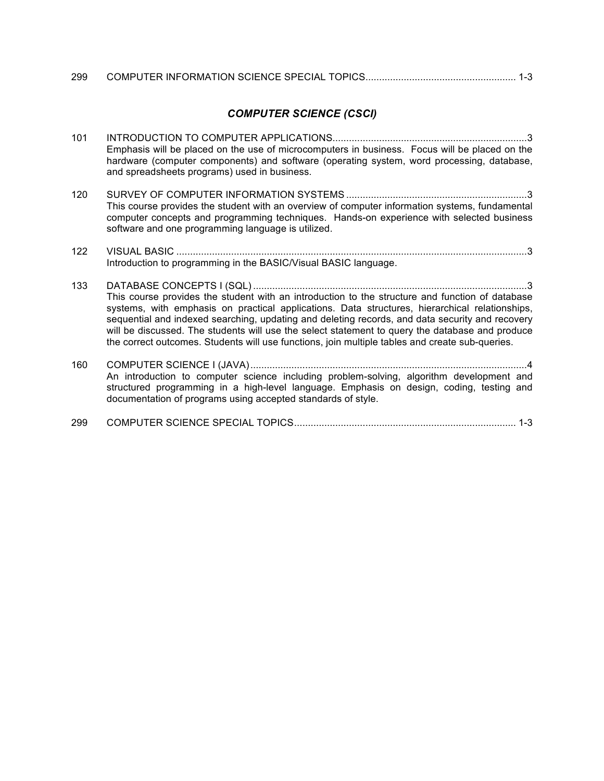| 299 |  |  |
|-----|--|--|
|     |  |  |

#### *COMPUTER SCIENCE (CSCI)*

- 101 INTRODUCTION TO COMPUTER APPLICATIONS.......................................................................3 Emphasis will be placed on the use of microcomputers in business. Focus will be placed on the hardware (computer components) and software (operating system, word processing, database, and spreadsheets programs) used in business.
- 120 SURVEY OF COMPUTER INFORMATION SYSTEMS ..................................................................3 This course provides the student with an overview of computer information systems, fundamental computer concepts and programming techniques. Hands-on experience with selected business software and one programming language is utilized.
- 122 VISUAL BASIC ................................................................................................................................3 Introduction to programming in the BASIC/Visual BASIC language.
- 133 DATABASE CONCEPTS I (SQL) ....................................................................................................3 This course provides the student with an introduction to the structure and function of database systems, with emphasis on practical applications. Data structures, hierarchical relationships, sequential and indexed searching, updating and deleting records, and data security and recovery will be discussed. The students will use the select statement to query the database and produce the correct outcomes. Students will use functions, join multiple tables and create sub-queries.
- 160 COMPUTER SCIENCE I (JAVA).....................................................................................................4 An introduction to computer science including problem-solving, algorithm development and structured programming in a high-level language. Emphasis on design, coding, testing and documentation of programs using accepted standards of style.

| 299 |  |  |  |
|-----|--|--|--|
|-----|--|--|--|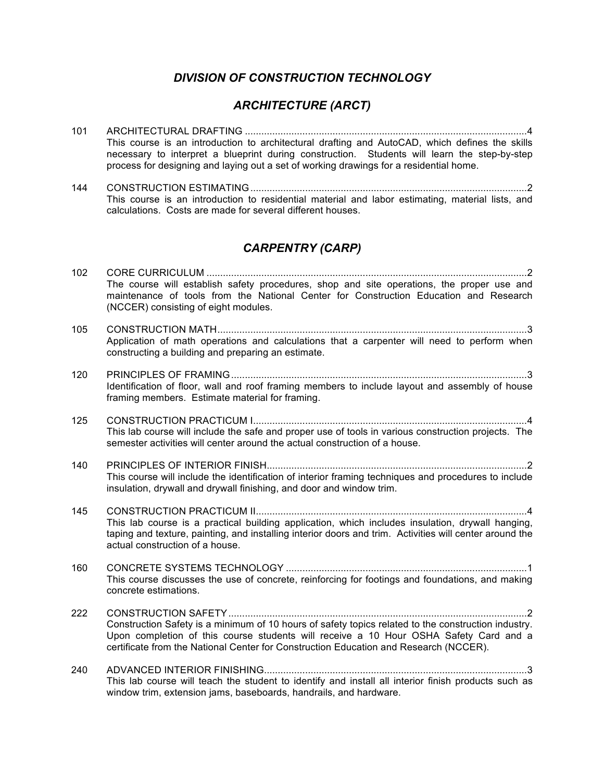#### *DIVISION OF CONSTRUCTION TECHNOLOGY*

## *ARCHITECTURE (ARCT)*

- 101 ARCHITECTURAL DRAFTING .......................................................................................................4 This course is an introduction to architectural drafting and AutoCAD, which defines the skills necessary to interpret a blueprint during construction. Students will learn the step-by-step process for designing and laying out a set of working drawings for a residential home.
- 144 CONSTRUCTION ESTIMATING.....................................................................................................2 This course is an introduction to residential material and labor estimating, material lists, and calculations. Costs are made for several different houses.

## *CARPENTRY (CARP)*

| 102 | The course will establish safety procedures, shop and site operations, the proper use and                                                                                                                                                                                             |
|-----|---------------------------------------------------------------------------------------------------------------------------------------------------------------------------------------------------------------------------------------------------------------------------------------|
|     | maintenance of tools from the National Center for Construction Education and Research<br>(NCCER) consisting of eight modules.                                                                                                                                                         |
| 105 |                                                                                                                                                                                                                                                                                       |
|     | Application of math operations and calculations that a carpenter will need to perform when<br>constructing a building and preparing an estimate.                                                                                                                                      |
| 120 |                                                                                                                                                                                                                                                                                       |
|     | Identification of floor, wall and roof framing members to include layout and assembly of house<br>framing members. Estimate material for framing.                                                                                                                                     |
| 125 |                                                                                                                                                                                                                                                                                       |
|     | This lab course will include the safe and proper use of tools in various construction projects. The<br>semester activities will center around the actual construction of a house.                                                                                                     |
| 140 |                                                                                                                                                                                                                                                                                       |
|     | This course will include the identification of interior framing techniques and procedures to include<br>insulation, drywall and drywall finishing, and door and window trim.                                                                                                          |
| 145 |                                                                                                                                                                                                                                                                                       |
|     | This lab course is a practical building application, which includes insulation, drywall hanging,<br>taping and texture, painting, and installing interior doors and trim. Activities will center around the<br>actual construction of a house.                                        |
| 160 |                                                                                                                                                                                                                                                                                       |
|     | This course discusses the use of concrete, reinforcing for footings and foundations, and making<br>concrete estimations.                                                                                                                                                              |
| 222 |                                                                                                                                                                                                                                                                                       |
|     | Construction Safety is a minimum of 10 hours of safety topics related to the construction industry.<br>Upon completion of this course students will receive a 10 Hour OSHA Safety Card and a<br>certificate from the National Center for Construction Education and Research (NCCER). |
| 240 |                                                                                                                                                                                                                                                                                       |
|     | This lab course will teach the student to identify and install all interior finish products such as<br>window trim, extension jams, baseboards, handrails, and hardware.                                                                                                              |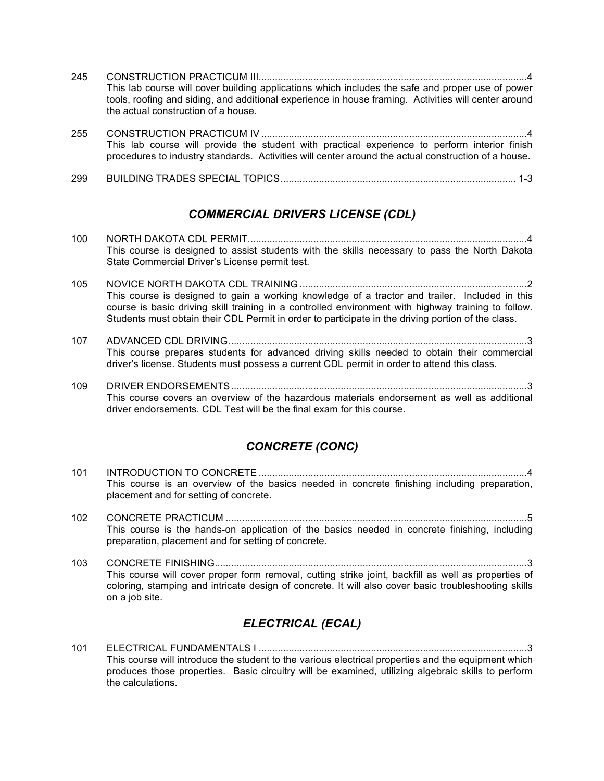- 245 CONSTRUCTION PRACTICUM III..................................................................................................4 This lab course will cover building applications which includes the safe and proper use of power tools, roofing and siding, and additional experience in house framing. Activities will center around the actual construction of a house.
- 255 CONSTRUCTION PRACTICUM IV .................................................................................................4 This lab course will provide the student with practical experience to perform interior finish procedures to industry standards. Activities will center around the actual construction of a house.
- 299 BUILDING TRADES SPECIAL TOPICS...................................................................................... 1-3

#### *COMMERCIAL DRIVERS LICENSE (CDL)*

- 100 NORTH DAKOTA CDL PERMIT......................................................................................................4 This course is designed to assist students with the skills necessary to pass the North Dakota State Commercial Driver's License permit test.
- 105 NOVICE NORTH DAKOTA CDL TRAINING ...................................................................................2 This course is designed to gain a working knowledge of a tractor and trailer. Included in this course is basic driving skill training in a controlled environment with highway training to follow. Students must obtain their CDL Permit in order to participate in the driving portion of the class.
- 107 ADVANCED CDL DRIVING.............................................................................................................3 This course prepares students for advanced driving skills needed to obtain their commercial driver's license. Students must possess a current CDL permit in order to attend this class.
- 109 DRIVER ENDORSEMENTS............................................................................................................3 This course covers an overview of the hazardous materials endorsement as well as additional driver endorsements. CDL Test will be the final exam for this course.

## *CONCRETE (CONC)*

- 101 INTRODUCTION TO CONCRETE ..................................................................................................4 This course is an overview of the basics needed in concrete finishing including preparation, placement and for setting of concrete.
- 102 CONCRETE PRACTICUM ..............................................................................................................5 This course is the hands-on application of the basics needed in concrete finishing, including preparation, placement and for setting of concrete.
- 103 CONCRETE FINISHING..................................................................................................................3 This course will cover proper form removal, cutting strike joint, backfill as well as properties of coloring, stamping and intricate design of concrete. It will also cover basic troubleshooting skills on a job site.

## *ELECTRICAL (ECAL)*

101 ELECTRICAL FUNDAMENTALS I ..................................................................................................3 This course will introduce the student to the various electrical properties and the equipment which produces those properties. Basic circuitry will be examined, utilizing algebraic skills to perform the calculations.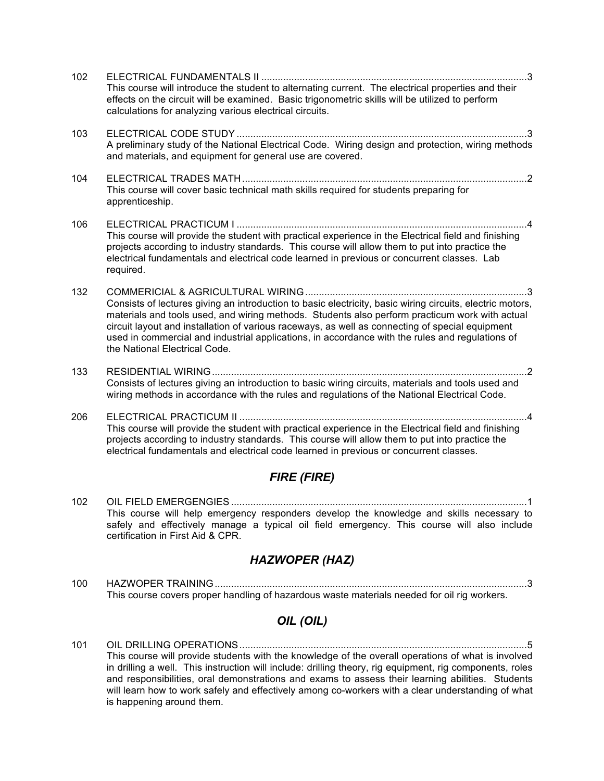| 102                | This course will introduce the student to alternating current. The electrical properties and their<br>effects on the circuit will be examined. Basic trigonometric skills will be utilized to perform<br>calculations for analyzing various electrical circuits.                                                                                                                                                                                   |
|--------------------|----------------------------------------------------------------------------------------------------------------------------------------------------------------------------------------------------------------------------------------------------------------------------------------------------------------------------------------------------------------------------------------------------------------------------------------------------|
| 103                | A preliminary study of the National Electrical Code. Wiring design and protection, wiring methods<br>and materials, and equipment for general use are covered.                                                                                                                                                                                                                                                                                     |
| 104                | This course will cover basic technical math skills required for students preparing for<br>apprenticeship.                                                                                                                                                                                                                                                                                                                                          |
| 106                | This course will provide the student with practical experience in the Electrical field and finishing<br>projects according to industry standards. This course will allow them to put into practice the<br>electrical fundamentals and electrical code learned in previous or concurrent classes. Lab<br>required.                                                                                                                                  |
| 132                | Consists of lectures giving an introduction to basic electricity, basic wiring circuits, electric motors,<br>materials and tools used, and wiring methods. Students also perform practicum work with actual<br>circuit layout and installation of various raceways, as well as connecting of special equipment<br>used in commercial and industrial applications, in accordance with the rules and regulations of<br>the National Electrical Code. |
| 133                | Consists of lectures giving an introduction to basic wiring circuits, materials and tools used and<br>wiring methods in accordance with the rules and regulations of the National Electrical Code.                                                                                                                                                                                                                                                 |
| 206                | $\overline{4}$<br>This course will provide the student with practical experience in the Electrical field and finishing<br>projects according to industry standards. This course will allow them to put into practice the<br>electrical fundamentals and electrical code learned in previous or concurrent classes.                                                                                                                                 |
| <b>FIRE (FIRE)</b> |                                                                                                                                                                                                                                                                                                                                                                                                                                                    |

102 OIL FIELD EMERGENGIES ............................................................................................................1 This course will help emergency responders develop the knowledge and skills necessary to safely and effectively manage a typical oil field emergency. This course will also include certification in First Aid & CPR.

## *HAZWOPER (HAZ)*

100 HAZWOPER TRAINING..................................................................................................................3 This course covers proper handling of hazardous waste materials needed for oil rig workers.

## *OIL (OIL)*

101 OIL DRILLING OPERATIONS.........................................................................................................5 This course will provide students with the knowledge of the overall operations of what is involved in drilling a well. This instruction will include: drilling theory, rig equipment, rig components, roles and responsibilities, oral demonstrations and exams to assess their learning abilities. Students will learn how to work safely and effectively among co-workers with a clear understanding of what is happening around them.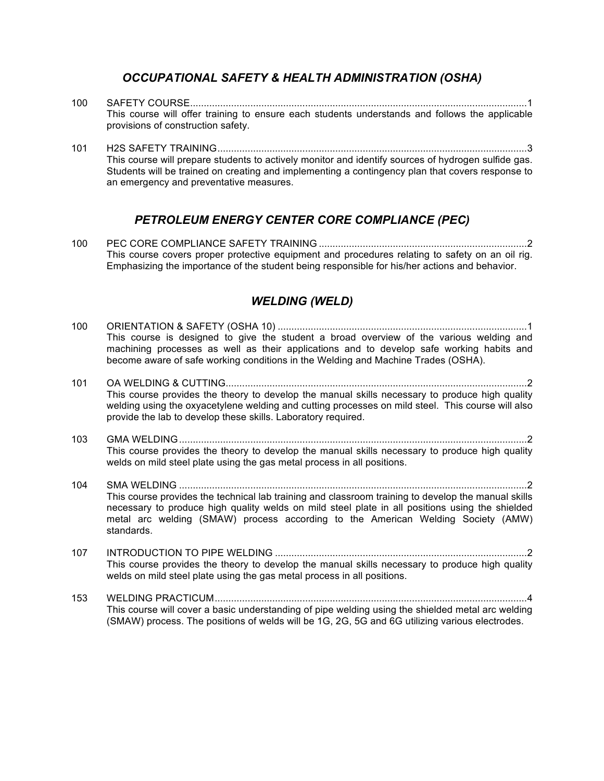#### *OCCUPATIONAL SAFETY & HEALTH ADMINISTRATION (OSHA)*

- 100 SAFETY COURSE...........................................................................................................................1 This course will offer training to ensure each students understands and follows the applicable provisions of construction safety.
- 101 H2S SAFETY TRAINING.................................................................................................................3 This course will prepare students to actively monitor and identify sources of hydrogen sulfide gas. Students will be trained on creating and implementing a contingency plan that covers response to an emergency and preventative measures.

#### *PETROLEUM ENERGY CENTER CORE COMPLIANCE (PEC)*

100 PEC CORE COMPLIANCE SAFETY TRAINING ............................................................................2 This course covers proper protective equipment and procedures relating to safety on an oil rig. Emphasizing the importance of the student being responsible for his/her actions and behavior.

#### *WELDING (WELD)*

- 100 ORIENTATION & SAFETY (OSHA 10) ...........................................................................................1 This course is designed to give the student a broad overview of the various welding and machining processes as well as their applications and to develop safe working habits and become aware of safe working conditions in the Welding and Machine Trades (OSHA).
- 101 OA WELDING & CUTTING..............................................................................................................2 This course provides the theory to develop the manual skills necessary to produce high quality welding using the oxyacetylene welding and cutting processes on mild steel. This course will also provide the lab to develop these skills. Laboratory required.
- 103 GMA WELDING...............................................................................................................................2 This course provides the theory to develop the manual skills necessary to produce high quality welds on mild steel plate using the gas metal process in all positions.
- 104 SMA WELDING ...............................................................................................................................2 This course provides the technical lab training and classroom training to develop the manual skills necessary to produce high quality welds on mild steel plate in all positions using the shielded metal arc welding (SMAW) process according to the American Welding Society (AMW) standards.
- 107 INTRODUCTION TO PIPE WELDING ............................................................................................2 This course provides the theory to develop the manual skills necessary to produce high quality welds on mild steel plate using the gas metal process in all positions.
- 153 WELDING PRACTICUM..................................................................................................................4 This course will cover a basic understanding of pipe welding using the shielded metal arc welding (SMAW) process. The positions of welds will be 1G, 2G, 5G and 6G utilizing various electrodes.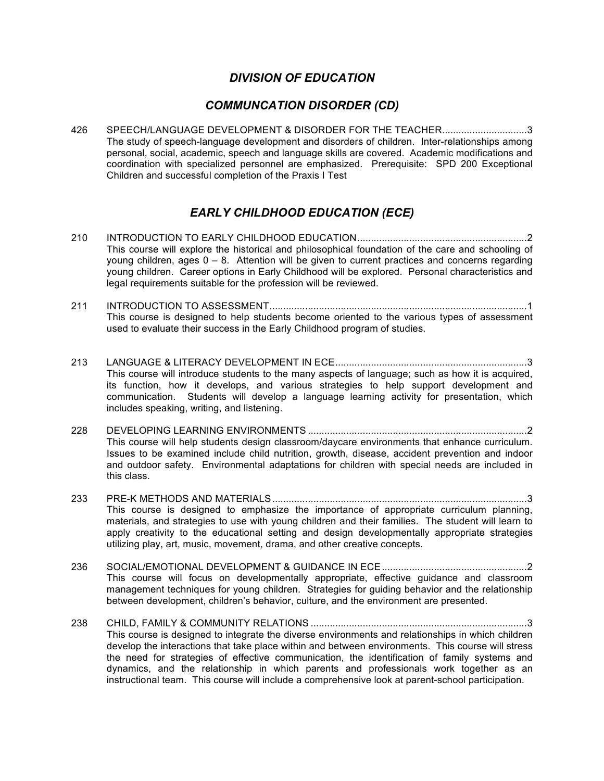#### *DIVISION OF EDUCATION*

#### *COMMUNCATION DISORDER (CD)*

426 SPEECH/LANGUAGE DEVELOPMENT & DISORDER FOR THE TEACHER...............................3 The study of speech-language development and disorders of children. Inter-relationships among personal, social, academic, speech and language skills are covered. Academic modifications and coordination with specialized personnel are emphasized. Prerequisite: SPD 200 Exceptional Children and successful completion of the Praxis I Test

## *EARLY CHILDHOOD EDUCATION (ECE)*

- 210 INTRODUCTION TO EARLY CHILDHOOD EDUCATION..............................................................2 This course will explore the historical and philosophical foundation of the care and schooling of young children, ages 0 – 8. Attention will be given to current practices and concerns regarding young children. Career options in Early Childhood will be explored. Personal characteristics and legal requirements suitable for the profession will be reviewed.
- 211 INTRODUCTION TO ASSESSMENT..............................................................................................1 This course is designed to help students become oriented to the various types of assessment used to evaluate their success in the Early Childhood program of studies.
- 213 LANGUAGE & LITERACY DEVELOPMENT IN ECE......................................................................3 This course will introduce students to the many aspects of language; such as how it is acquired, its function, how it develops, and various strategies to help support development and communication. Students will develop a language learning activity for presentation, which includes speaking, writing, and listening.
- 228 DEVELOPING LEARNING ENVIRONMENTS ................................................................................2 This course will help students design classroom/daycare environments that enhance curriculum. Issues to be examined include child nutrition, growth, disease, accident prevention and indoor and outdoor safety. Environmental adaptations for children with special needs are included in this class.
- 233 PRE-K METHODS AND MATERIALS.............................................................................................3 This course is designed to emphasize the importance of appropriate curriculum planning, materials, and strategies to use with young children and their families. The student will learn to apply creativity to the educational setting and design developmentally appropriate strategies utilizing play, art, music, movement, drama, and other creative concepts.
- 236 SOCIAL/EMOTIONAL DEVELOPMENT & GUIDANCE IN ECE.....................................................2 This course will focus on developmentally appropriate, effective guidance and classroom management techniques for young children. Strategies for guiding behavior and the relationship between development, children's behavior, culture, and the environment are presented.
- 238 CHILD, FAMILY & COMMUNITY RELATIONS ...............................................................................3 This course is designed to integrate the diverse environments and relationships in which children develop the interactions that take place within and between environments. This course will stress the need for strategies of effective communication, the identification of family systems and dynamics, and the relationship in which parents and professionals work together as an instructional team. This course will include a comprehensive look at parent-school participation.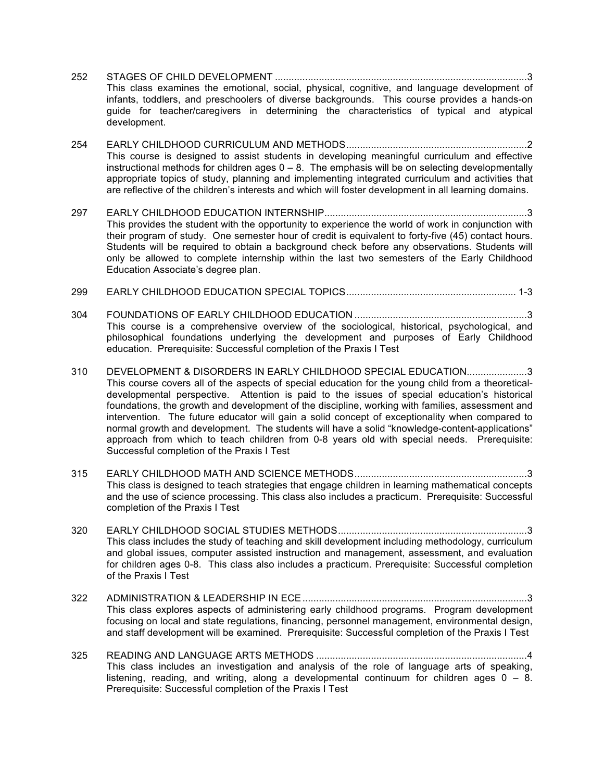- 252 STAGES OF CHILD DEVELOPMENT ............................................................................................3 This class examines the emotional, social, physical, cognitive, and language development of infants, toddlers, and preschoolers of diverse backgrounds. This course provides a hands-on guide for teacher/caregivers in determining the characteristics of typical and atypical development.
- 254 EARLY CHILDHOOD CURRICULUM AND METHODS..................................................................2 This course is designed to assist students in developing meaningful curriculum and effective instructional methods for children ages  $0 - 8$ . The emphasis will be on selecting developmentally appropriate topics of study, planning and implementing integrated curriculum and activities that are reflective of the children's interests and which will foster development in all learning domains.
- 297 EARLY CHILDHOOD EDUCATION INTERNSHIP..........................................................................3 This provides the student with the opportunity to experience the world of work in conjunction with their program of study. One semester hour of credit is equivalent to forty-five (45) contact hours. Students will be required to obtain a background check before any observations. Students will only be allowed to complete internship within the last two semesters of the Early Childhood Education Associate's degree plan.
- 299 EARLY CHILDHOOD EDUCATION SPECIAL TOPICS.............................................................. 1-3
- 304 FOUNDATIONS OF EARLY CHILDHOOD EDUCATION ...............................................................3 This course is a comprehensive overview of the sociological, historical, psychological, and philosophical foundations underlying the development and purposes of Early Childhood education. Prerequisite: Successful completion of the Praxis I Test
- 310 DEVELOPMENT & DISORDERS IN EARLY CHILDHOOD SPECIAL EDUCATION......................3 This course covers all of the aspects of special education for the young child from a theoreticaldevelopmental perspective. Attention is paid to the issues of special education's historical foundations, the growth and development of the discipline, working with families, assessment and intervention. The future educator will gain a solid concept of exceptionality when compared to normal growth and development. The students will have a solid "knowledge-content-applications" approach from which to teach children from 0-8 years old with special needs. Prerequisite: Successful completion of the Praxis I Test
- 315 EARLY CHILDHOOD MATH AND SCIENCE METHODS...............................................................3 This class is designed to teach strategies that engage children in learning mathematical concepts and the use of science processing. This class also includes a practicum. Prerequisite: Successful completion of the Praxis I Test
- 320 EARLY CHILDHOOD SOCIAL STUDIES METHODS.....................................................................3 This class includes the study of teaching and skill development including methodology, curriculum and global issues, computer assisted instruction and management, assessment, and evaluation for children ages 0-8. This class also includes a practicum. Prerequisite: Successful completion of the Praxis I Test
- 322 ADMINISTRATION & LEADERSHIP IN ECE..................................................................................3 This class explores aspects of administering early childhood programs. Program development focusing on local and state regulations, financing, personnel management, environmental design, and staff development will be examined. Prerequisite: Successful completion of the Praxis I Test
- 325 READING AND LANGUAGE ARTS METHODS .............................................................................4 This class includes an investigation and analysis of the role of language arts of speaking, listening, reading, and writing, along a developmental continuum for children ages  $0 - 8$ . Prerequisite: Successful completion of the Praxis I Test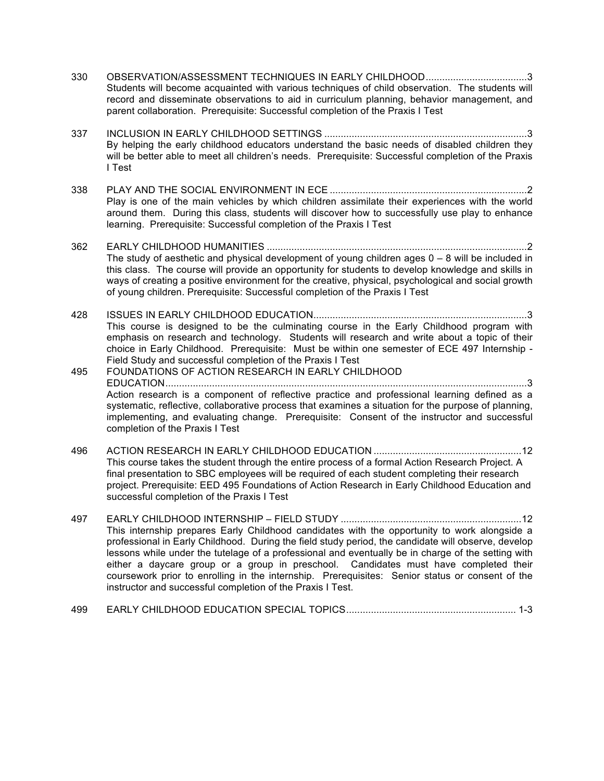- 330 OBSERVATION/ASSESSMENT TECHNIQUES IN EARLY CHILDHOOD.....................................3 Students will become acquainted with various techniques of child observation. The students will record and disseminate observations to aid in curriculum planning, behavior management, and parent collaboration. Prerequisite: Successful completion of the Praxis I Test
- 337 INCLUSION IN EARLY CHILDHOOD SETTINGS ..........................................................................3 By helping the early childhood educators understand the basic needs of disabled children they will be better able to meet all children's needs. Prerequisite: Successful completion of the Praxis I Test
- 338 PLAY AND THE SOCIAL ENVIRONMENT IN ECE ........................................................................2 Play is one of the main vehicles by which children assimilate their experiences with the world around them. During this class, students will discover how to successfully use play to enhance learning. Prerequisite: Successful completion of the Praxis I Test
- 362 EARLY CHILDHOOD HUMANITIES ...............................................................................................2 The study of aesthetic and physical development of young children ages  $0 - 8$  will be included in this class. The course will provide an opportunity for students to develop knowledge and skills in ways of creating a positive environment for the creative, physical, psychological and social growth of young children. Prerequisite: Successful completion of the Praxis I Test

428 ISSUES IN EARLY CHILDHOOD EDUCATION..............................................................................3 This course is designed to be the culminating course in the Early Childhood program with emphasis on research and technology. Students will research and write about a topic of their choice in Early Childhood. Prerequisite: Must be within one semester of ECE 497 Internship - Field Study and successful completion of the Praxis I Test

- 495 FOUNDATIONS OF ACTION RESEARCH IN EARLY CHILDHOOD EDUCATION....................................................................................................................................3 Action research is a component of reflective practice and professional learning defined as a systematic, reflective, collaborative process that examines a situation for the purpose of planning, implementing, and evaluating change. Prerequisite: Consent of the instructor and successful completion of the Praxis I Test
- 496 ACTION RESEARCH IN EARLY CHILDHOOD EDUCATION ......................................................12 This course takes the student through the entire process of a formal Action Research Project. A final presentation to SBC employees will be required of each student completing their research project. Prerequisite: EED 495 Foundations of Action Research in Early Childhood Education and successful completion of the Praxis I Test
- 497 EARLY CHILDHOOD INTERNSHIP FIELD STUDY ..................................................................12 This internship prepares Early Childhood candidates with the opportunity to work alongside a professional in Early Childhood. During the field study period, the candidate will observe, develop lessons while under the tutelage of a professional and eventually be in charge of the setting with either a daycare group or a group in preschool. Candidates must have completed their coursework prior to enrolling in the internship. Prerequisites: Senior status or consent of the instructor and successful completion of the Praxis I Test.
- 499 EARLY CHILDHOOD EDUCATION SPECIAL TOPICS.............................................................. 1-3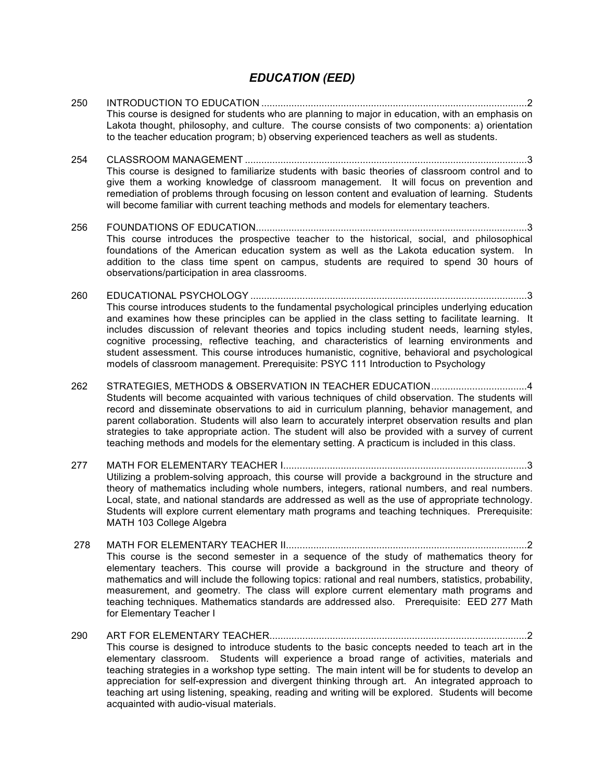#### *EDUCATION (EED)*

- 250 INTRODUCTION TO EDUCATION .................................................................................................2 This course is designed for students who are planning to major in education, with an emphasis on Lakota thought, philosophy, and culture. The course consists of two components: a) orientation to the teacher education program; b) observing experienced teachers as well as students.
- 254 CLASSROOM MANAGEMENT .......................................................................................................3 This course is designed to familiarize students with basic theories of classroom control and to give them a working knowledge of classroom management. It will focus on prevention and remediation of problems through focusing on lesson content and evaluation of learning. Students will become familiar with current teaching methods and models for elementary teachers.
- 256 FOUNDATIONS OF EDUCATION...................................................................................................3 This course introduces the prospective teacher to the historical, social, and philosophical foundations of the American education system as well as the Lakota education system. In addition to the class time spent on campus, students are required to spend 30 hours of observations/participation in area classrooms.
- 260 EDUCATIONAL PSYCHOLOGY .....................................................................................................3 This course introduces students to the fundamental psychological principles underlying education and examines how these principles can be applied in the class setting to facilitate learning. It includes discussion of relevant theories and topics including student needs, learning styles, cognitive processing, reflective teaching, and characteristics of learning environments and student assessment. This course introduces humanistic, cognitive, behavioral and psychological models of classroom management. Prerequisite: PSYC 111 Introduction to Psychology
- 262 STRATEGIES, METHODS & OBSERVATION IN TEACHER EDUCATION...................................4 Students will become acquainted with various techniques of child observation. The students will record and disseminate observations to aid in curriculum planning, behavior management, and parent collaboration. Students will also learn to accurately interpret observation results and plan strategies to take appropriate action. The student will also be provided with a survey of current teaching methods and models for the elementary setting. A practicum is included in this class.
- 277 MATH FOR ELEMENTARY TEACHER I.........................................................................................3 Utilizing a problem-solving approach, this course will provide a background in the structure and theory of mathematics including whole numbers, integers, rational numbers, and real numbers. Local, state, and national standards are addressed as well as the use of appropriate technology. Students will explore current elementary math programs and teaching techniques. Prerequisite: MATH 103 College Algebra
- 278 MATH FOR ELEMENTARY TEACHER II........................................................................................2 This course is the second semester in a sequence of the study of mathematics theory for elementary teachers. This course will provide a background in the structure and theory of mathematics and will include the following topics: rational and real numbers, statistics, probability, measurement, and geometry. The class will explore current elementary math programs and teaching techniques. Mathematics standards are addressed also. Prerequisite: EED 277 Math for Elementary Teacher I
- 290 ART FOR ELEMENTARY TEACHER..............................................................................................2 This course is designed to introduce students to the basic concepts needed to teach art in the elementary classroom. Students will experience a broad range of activities, materials and teaching strategies in a workshop type setting. The main intent will be for students to develop an appreciation for self-expression and divergent thinking through art. An integrated approach to teaching art using listening, speaking, reading and writing will be explored. Students will become acquainted with audio-visual materials.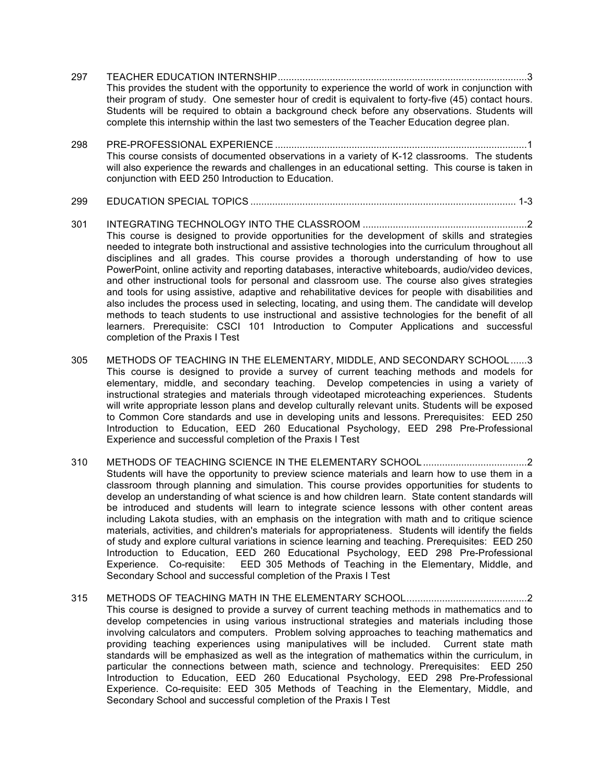- 297 TEACHER EDUCATION INTERNSHIP...........................................................................................3 This provides the student with the opportunity to experience the world of work in conjunction with their program of study. One semester hour of credit is equivalent to forty-five (45) contact hours. Students will be required to obtain a background check before any observations. Students will complete this internship within the last two semesters of the Teacher Education degree plan.
- 298 PRE-PROFESSIONAL EXPERIENCE ............................................................................................1 This course consists of documented observations in a variety of K-12 classrooms. The students will also experience the rewards and challenges in an educational setting. This course is taken in conjunction with EED 250 Introduction to Education.
- 299 EDUCATION SPECIAL TOPICS ................................................................................................. 1-3
- 301 INTEGRATING TECHNOLOGY INTO THE CLASSROOM ............................................................2 This course is designed to provide opportunities for the development of skills and strategies needed to integrate both instructional and assistive technologies into the curriculum throughout all disciplines and all grades. This course provides a thorough understanding of how to use PowerPoint, online activity and reporting databases, interactive whiteboards, audio/video devices, and other instructional tools for personal and classroom use. The course also gives strategies and tools for using assistive, adaptive and rehabilitative devices for people with disabilities and also includes the process used in selecting, locating, and using them. The candidate will develop methods to teach students to use instructional and assistive technologies for the benefit of all learners. Prerequisite: CSCI 101 Introduction to Computer Applications and successful completion of the Praxis I Test
- 305 METHODS OF TEACHING IN THE ELEMENTARY, MIDDLE, AND SECONDARY SCHOOL......3 This course is designed to provide a survey of current teaching methods and models for elementary, middle, and secondary teaching. Develop competencies in using a variety of instructional strategies and materials through videotaped microteaching experiences. Students will write appropriate lesson plans and develop culturally relevant units. Students will be exposed to Common Core standards and use in developing units and lessons. Prerequisites: EED 250 Introduction to Education, EED 260 Educational Psychology, EED 298 Pre-Professional Experience and successful completion of the Praxis I Test
- 310 METHODS OF TEACHING SCIENCE IN THE ELEMENTARY SCHOOL......................................2 Students will have the opportunity to preview science materials and learn how to use them in a classroom through planning and simulation. This course provides opportunities for students to develop an understanding of what science is and how children learn. State content standards will be introduced and students will learn to integrate science lessons with other content areas including Lakota studies, with an emphasis on the integration with math and to critique science materials, activities, and children's materials for appropriateness. Students will identify the fields of study and explore cultural variations in science learning and teaching. Prerequisites: EED 250 Introduction to Education, EED 260 Educational Psychology, EED 298 Pre-Professional Experience. Co-requisite: EED 305 Methods of Teaching in the Elementary, Middle, and Secondary School and successful completion of the Praxis I Test
- 315 METHODS OF TEACHING MATH IN THE ELEMENTARY SCHOOL............................................2 This course is designed to provide a survey of current teaching methods in mathematics and to develop competencies in using various instructional strategies and materials including those involving calculators and computers. Problem solving approaches to teaching mathematics and providing teaching experiences using manipulatives will be included. Current state math standards will be emphasized as well as the integration of mathematics within the curriculum, in particular the connections between math, science and technology. Prerequisites: EED 250 Introduction to Education, EED 260 Educational Psychology, EED 298 Pre-Professional Experience. Co-requisite: EED 305 Methods of Teaching in the Elementary, Middle, and Secondary School and successful completion of the Praxis I Test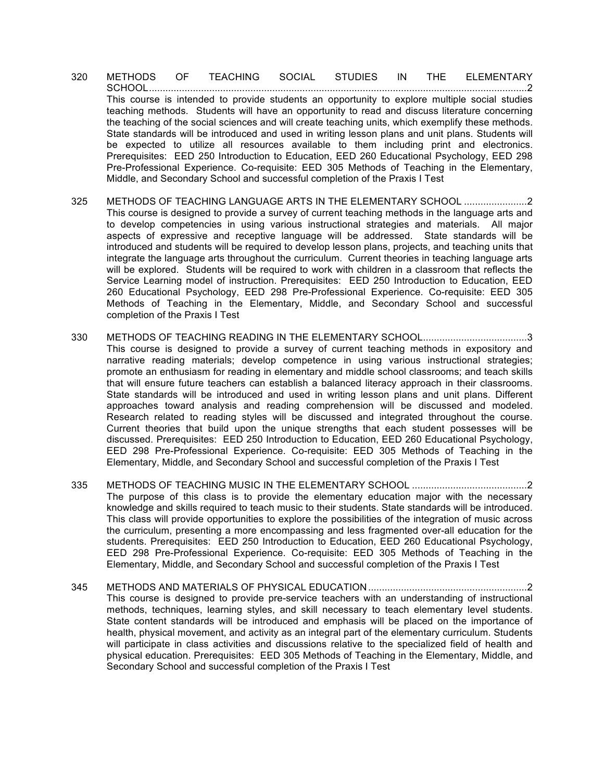- 320 METHODS OF TEACHING SOCIAL STUDIES IN THE ELEMENTARY SCHOOL..........................................................................................................................................2 This course is intended to provide students an opportunity to explore multiple social studies teaching methods. Students will have an opportunity to read and discuss literature concerning the teaching of the social sciences and will create teaching units, which exemplify these methods. State standards will be introduced and used in writing lesson plans and unit plans. Students will be expected to utilize all resources available to them including print and electronics. Prerequisites: EED 250 Introduction to Education, EED 260 Educational Psychology, EED 298 Pre-Professional Experience. Co-requisite: EED 305 Methods of Teaching in the Elementary, Middle, and Secondary School and successful completion of the Praxis I Test
- 325 METHODS OF TEACHING LANGUAGE ARTS IN THE ELEMENTARY SCHOOL .......................2 This course is designed to provide a survey of current teaching methods in the language arts and to develop competencies in using various instructional strategies and materials. All major aspects of expressive and receptive language will be addressed. State standards will be introduced and students will be required to develop lesson plans, projects, and teaching units that integrate the language arts throughout the curriculum. Current theories in teaching language arts will be explored. Students will be required to work with children in a classroom that reflects the Service Learning model of instruction. Prerequisites: EED 250 Introduction to Education, EED 260 Educational Psychology, EED 298 Pre-Professional Experience. Co-requisite: EED 305 Methods of Teaching in the Elementary, Middle, and Secondary School and successful completion of the Praxis I Test
- 330 METHODS OF TEACHING READING IN THE ELEMENTARY SCHOOL......................................3 This course is designed to provide a survey of current teaching methods in expository and narrative reading materials; develop competence in using various instructional strategies; promote an enthusiasm for reading in elementary and middle school classrooms; and teach skills that will ensure future teachers can establish a balanced literacy approach in their classrooms. State standards will be introduced and used in writing lesson plans and unit plans. Different approaches toward analysis and reading comprehension will be discussed and modeled. Research related to reading styles will be discussed and integrated throughout the course. Current theories that build upon the unique strengths that each student possesses will be discussed. Prerequisites: EED 250 Introduction to Education, EED 260 Educational Psychology, EED 298 Pre-Professional Experience. Co-requisite: EED 305 Methods of Teaching in the Elementary, Middle, and Secondary School and successful completion of the Praxis I Test
- 335 METHODS OF TEACHING MUSIC IN THE ELEMENTARY SCHOOL ..........................................2 The purpose of this class is to provide the elementary education major with the necessary knowledge and skills required to teach music to their students. State standards will be introduced. This class will provide opportunities to explore the possibilities of the integration of music across the curriculum, presenting a more encompassing and less fragmented over-all education for the students. Prerequisites: EED 250 Introduction to Education, EED 260 Educational Psychology, EED 298 Pre-Professional Experience. Co-requisite: EED 305 Methods of Teaching in the Elementary, Middle, and Secondary School and successful completion of the Praxis I Test
- 345 METHODS AND MATERIALS OF PHYSICAL EDUCATION..........................................................2 This course is designed to provide pre-service teachers with an understanding of instructional methods, techniques, learning styles, and skill necessary to teach elementary level students. State content standards will be introduced and emphasis will be placed on the importance of health, physical movement, and activity as an integral part of the elementary curriculum. Students will participate in class activities and discussions relative to the specialized field of health and physical education. Prerequisites: EED 305 Methods of Teaching in the Elementary, Middle, and Secondary School and successful completion of the Praxis I Test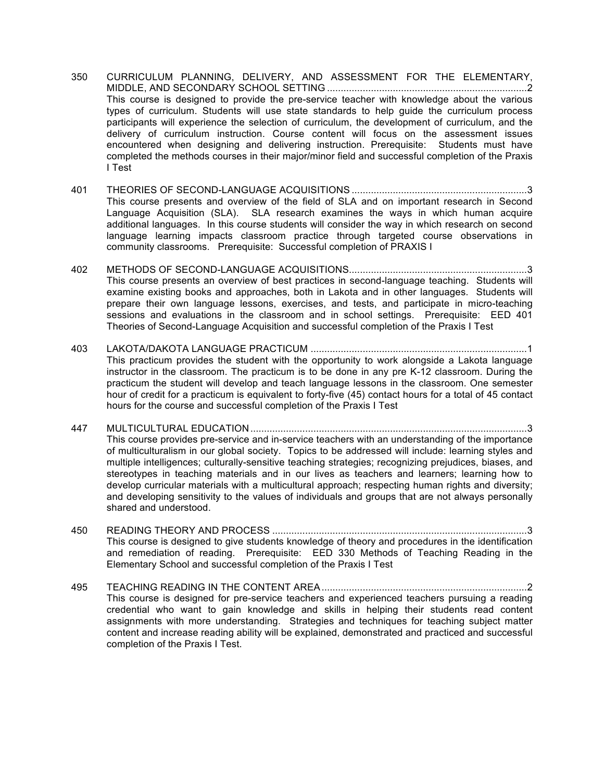- 350 CURRICULUM PLANNING, DELIVERY, AND ASSESSMENT FOR THE ELEMENTARY, MIDDLE, AND SECONDARY SCHOOL SETTING .........................................................................2 This course is designed to provide the pre-service teacher with knowledge about the various types of curriculum. Students will use state standards to help guide the curriculum process participants will experience the selection of curriculum, the development of curriculum, and the delivery of curriculum instruction. Course content will focus on the assessment issues encountered when designing and delivering instruction. Prerequisite: Students must have completed the methods courses in their major/minor field and successful completion of the Praxis I Test
- 401 THEORIES OF SECOND-LANGUAGE ACQUISITIONS ................................................................3 This course presents and overview of the field of SLA and on important research in Second Language Acquisition (SLA). SLA research examines the ways in which human acquire additional languages. In this course students will consider the way in which research on second language learning impacts classroom practice through targeted course observations in community classrooms. Prerequisite: Successful completion of PRAXIS I
- 402 METHODS OF SECOND-LANGUAGE ACQUISITIONS.................................................................3 This course presents an overview of best practices in second-language teaching. Students will examine existing books and approaches, both in Lakota and in other languages. Students will prepare their own language lessons, exercises, and tests, and participate in micro-teaching sessions and evaluations in the classroom and in school settings. Prerequisite: EED 401 Theories of Second-Language Acquisition and successful completion of the Praxis I Test
- 403 LAKOTA/DAKOTA LANGUAGE PRACTICUM ...............................................................................1 This practicum provides the student with the opportunity to work alongside a Lakota language instructor in the classroom. The practicum is to be done in any pre K-12 classroom. During the practicum the student will develop and teach language lessons in the classroom. One semester hour of credit for a practicum is equivalent to forty-five (45) contact hours for a total of 45 contact hours for the course and successful completion of the Praxis I Test
- 447 MULTICULTURAL EDUCATION.....................................................................................................3 This course provides pre-service and in-service teachers with an understanding of the importance of multiculturalism in our global society. Topics to be addressed will include: learning styles and multiple intelligences; culturally-sensitive teaching strategies; recognizing prejudices, biases, and stereotypes in teaching materials and in our lives as teachers and learners; learning how to develop curricular materials with a multicultural approach; respecting human rights and diversity; and developing sensitivity to the values of individuals and groups that are not always personally shared and understood.
- 450 READING THEORY AND PROCESS .............................................................................................3 This course is designed to give students knowledge of theory and procedures in the identification and remediation of reading. Prerequisite: EED 330 Methods of Teaching Reading in the Elementary School and successful completion of the Praxis I Test
- 495 TEACHING READING IN THE CONTENT AREA...........................................................................2 This course is designed for pre-service teachers and experienced teachers pursuing a reading credential who want to gain knowledge and skills in helping their students read content assignments with more understanding. Strategies and techniques for teaching subject matter content and increase reading ability will be explained, demonstrated and practiced and successful completion of the Praxis I Test.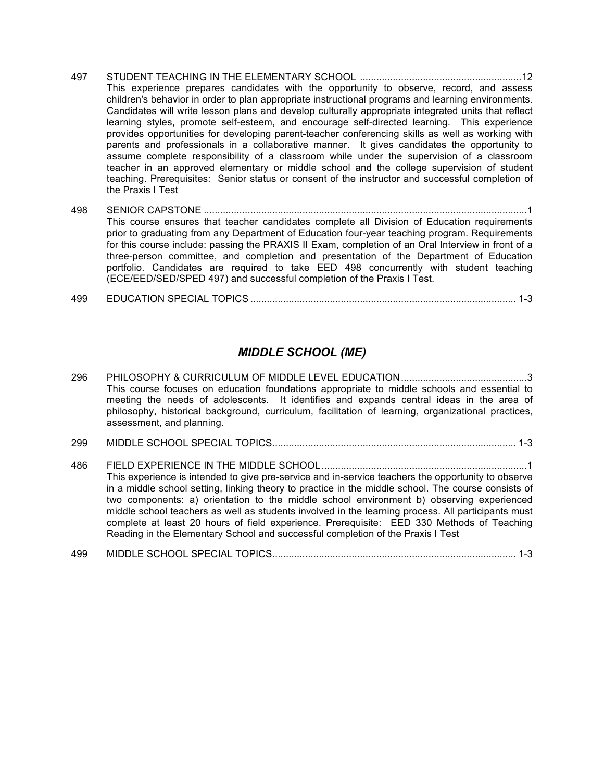- 497 STUDENT TEACHING IN THE ELEMENTARY SCHOOL ...........................................................12 This experience prepares candidates with the opportunity to observe, record, and assess children's behavior in order to plan appropriate instructional programs and learning environments. Candidates will write lesson plans and develop culturally appropriate integrated units that reflect learning styles, promote self-esteem, and encourage self-directed learning. This experience provides opportunities for developing parent-teacher conferencing skills as well as working with parents and professionals in a collaborative manner. It gives candidates the opportunity to assume complete responsibility of a classroom while under the supervision of a classroom teacher in an approved elementary or middle school and the college supervision of student teaching. Prerequisites: Senior status or consent of the instructor and successful completion of the Praxis I Test
- 498 SENIOR CAPSTONE ......................................................................................................................1 This course ensures that teacher candidates complete all Division of Education requirements prior to graduating from any Department of Education four-year teaching program. Requirements for this course include: passing the PRAXIS II Exam, completion of an Oral Interview in front of a three-person committee, and completion and presentation of the Department of Education portfolio. Candidates are required to take EED 498 concurrently with student teaching (ECE/EED/SED/SPED 497) and successful completion of the Praxis I Test.
- 499 EDUCATION SPECIAL TOPICS ................................................................................................. 1-3

#### *MIDDLE SCHOOL (ME)*

- 296 PHILOSOPHY & CURRICULUM OF MIDDLE LEVEL EDUCATION..............................................3 This course focuses on education foundations appropriate to middle schools and essential to meeting the needs of adolescents. It identifies and expands central ideas in the area of philosophy, historical background, curriculum, facilitation of learning, organizational practices, assessment, and planning. 299 MIDDLE SCHOOL SPECIAL TOPICS......................................................................................... 1-3 486 FIELD EXPERIENCE IN THE MIDDLE SCHOOL...........................................................................1 This experience is intended to give pre-service and in-service teachers the opportunity to observe in a middle school setting, linking theory to practice in the middle school. The course consists of two components: a) orientation to the middle school environment b) observing experienced middle school teachers as well as students involved in the learning process. All participants must complete at least 20 hours of field experience. Prerequisite: EED 330 Methods of Teaching Reading in the Elementary School and successful completion of the Praxis I Test
- 499 MIDDLE SCHOOL SPECIAL TOPICS......................................................................................... 1-3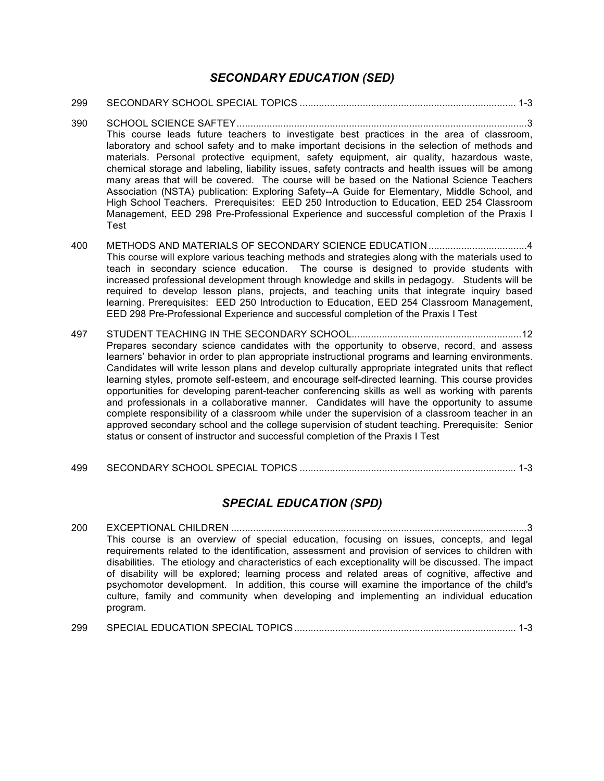#### *SECONDARY EDUCATION (SED)*

- 299 SECONDARY SCHOOL SPECIAL TOPICS ............................................................................... 1-3
- 390 SCHOOL SCIENCE SAFTEY..........................................................................................................3 This course leads future teachers to investigate best practices in the area of classroom, laboratory and school safety and to make important decisions in the selection of methods and materials. Personal protective equipment, safety equipment, air quality, hazardous waste, chemical storage and labeling, liability issues, safety contracts and health issues will be among many areas that will be covered. The course will be based on the National Science Teachers Association (NSTA) publication: Exploring Safety--A Guide for Elementary, Middle School, and High School Teachers. Prerequisites: EED 250 Introduction to Education, EED 254 Classroom Management, EED 298 Pre-Professional Experience and successful completion of the Praxis I Test
- 400 METHODS AND MATERIALS OF SECONDARY SCIENCE EDUCATION....................................4 This course will explore various teaching methods and strategies along with the materials used to teach in secondary science education. The course is designed to provide students with increased professional development through knowledge and skills in pedagogy. Students will be required to develop lesson plans, projects, and teaching units that integrate inquiry based learning. Prerequisites: EED 250 Introduction to Education, EED 254 Classroom Management, EED 298 Pre-Professional Experience and successful completion of the Praxis I Test
- 497 STUDENT TEACHING IN THE SECONDARY SCHOOL..............................................................12 Prepares secondary science candidates with the opportunity to observe, record, and assess learners' behavior in order to plan appropriate instructional programs and learning environments. Candidates will write lesson plans and develop culturally appropriate integrated units that reflect learning styles, promote self-esteem, and encourage self-directed learning. This course provides opportunities for developing parent-teacher conferencing skills as well as working with parents and professionals in a collaborative manner. Candidates will have the opportunity to assume complete responsibility of a classroom while under the supervision of a classroom teacher in an approved secondary school and the college supervision of student teaching. Prerequisite: Senior status or consent of instructor and successful completion of the Praxis I Test
- 499 SECONDARY SCHOOL SPECIAL TOPICS ............................................................................... 1-3

## *SPECIAL EDUCATION (SPD)*

- 200 EXCEPTIONAL CHILDREN ............................................................................................................3 This course is an overview of special education, focusing on issues, concepts, and legal requirements related to the identification, assessment and provision of services to children with disabilities. The etiology and characteristics of each exceptionality will be discussed. The impact of disability will be explored; learning process and related areas of cognitive, affective and psychomotor development. In addition, this course will examine the importance of the child's culture, family and community when developing and implementing an individual education program.
- 299 SPECIAL EDUCATION SPECIAL TOPICS................................................................................. 1-3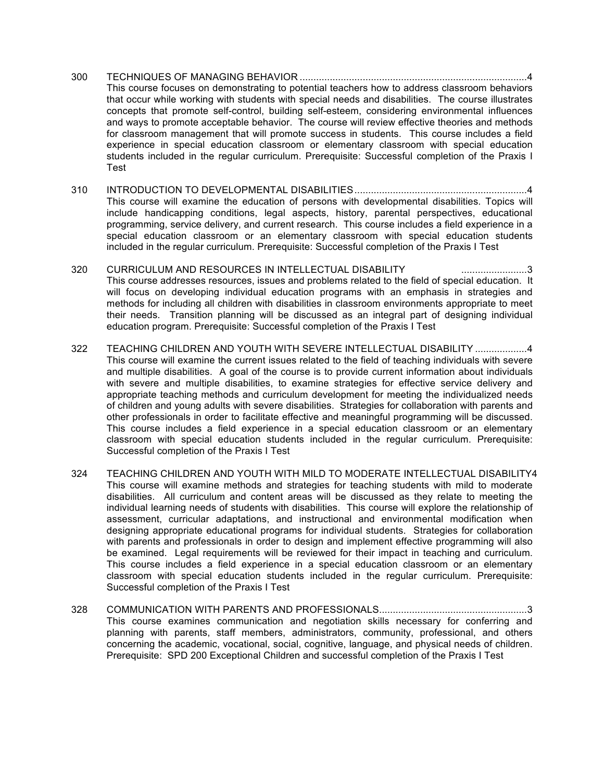- 300 TECHNIQUES OF MANAGING BEHAVIOR ...................................................................................4 This course focuses on demonstrating to potential teachers how to address classroom behaviors that occur while working with students with special needs and disabilities. The course illustrates concepts that promote self-control, building self-esteem, considering environmental influences and ways to promote acceptable behavior. The course will review effective theories and methods for classroom management that will promote success in students. This course includes a field experience in special education classroom or elementary classroom with special education students included in the regular curriculum. Prerequisite: Successful completion of the Praxis I Test
- 310 INTRODUCTION TO DEVELOPMENTAL DISABILITIES...............................................................4 This course will examine the education of persons with developmental disabilities. Topics will include handicapping conditions, legal aspects, history, parental perspectives, educational programming, service delivery, and current research. This course includes a field experience in a special education classroom or an elementary classroom with special education students included in the regular curriculum. Prerequisite: Successful completion of the Praxis I Test
- 320 CURRICULUM AND RESOURCES IN INTELLECTUAL DISABILITY ........................3 This course addresses resources, issues and problems related to the field of special education. It will focus on developing individual education programs with an emphasis in strategies and methods for including all children with disabilities in classroom environments appropriate to meet their needs. Transition planning will be discussed as an integral part of designing individual education program. Prerequisite: Successful completion of the Praxis I Test
- 322 TEACHING CHILDREN AND YOUTH WITH SEVERE INTELLECTUAL DISABILITY ...................4 This course will examine the current issues related to the field of teaching individuals with severe and multiple disabilities. A goal of the course is to provide current information about individuals with severe and multiple disabilities, to examine strategies for effective service delivery and appropriate teaching methods and curriculum development for meeting the individualized needs of children and young adults with severe disabilities. Strategies for collaboration with parents and other professionals in order to facilitate effective and meaningful programming will be discussed. This course includes a field experience in a special education classroom or an elementary classroom with special education students included in the regular curriculum. Prerequisite: Successful completion of the Praxis I Test
- 324 TEACHING CHILDREN AND YOUTH WITH MILD TO MODERATE INTELLECTUAL DISABILITY4 This course will examine methods and strategies for teaching students with mild to moderate disabilities. All curriculum and content areas will be discussed as they relate to meeting the individual learning needs of students with disabilities. This course will explore the relationship of assessment, curricular adaptations, and instructional and environmental modification when designing appropriate educational programs for individual students. Strategies for collaboration with parents and professionals in order to design and implement effective programming will also be examined. Legal requirements will be reviewed for their impact in teaching and curriculum. This course includes a field experience in a special education classroom or an elementary classroom with special education students included in the regular curriculum. Prerequisite: Successful completion of the Praxis I Test
- 328 COMMUNICATION WITH PARENTS AND PROFESSIONALS......................................................3 This course examines communication and negotiation skills necessary for conferring and planning with parents, staff members, administrators, community, professional, and others concerning the academic, vocational, social, cognitive, language, and physical needs of children. Prerequisite: SPD 200 Exceptional Children and successful completion of the Praxis I Test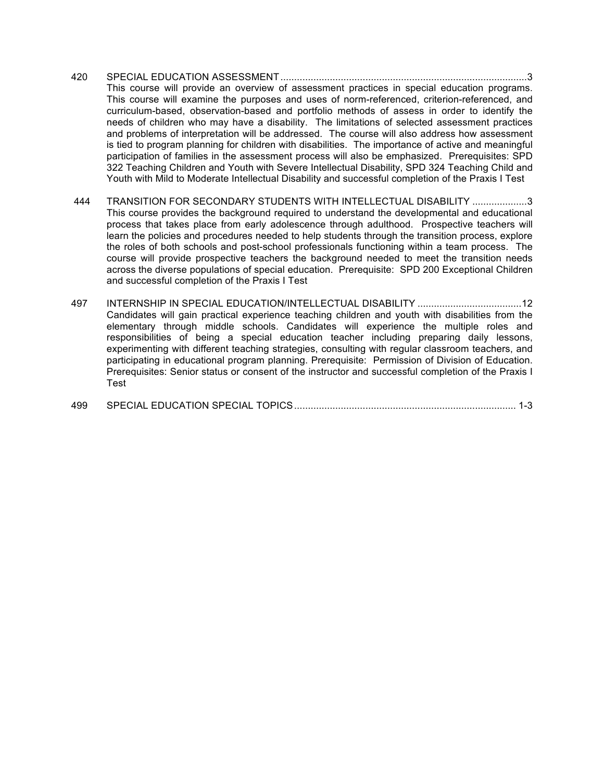#### 420 SPECIAL EDUCATION ASSESSMENT..........................................................................................3 This course will provide an overview of assessment practices in special education programs. This course will examine the purposes and uses of norm-referenced, criterion-referenced, and curriculum-based, observation-based and portfolio methods of assess in order to identify the needs of children who may have a disability. The limitations of selected assessment practices and problems of interpretation will be addressed. The course will also address how assessment is tied to program planning for children with disabilities. The importance of active and meaningful participation of families in the assessment process will also be emphasized. Prerequisites: SPD 322 Teaching Children and Youth with Severe Intellectual Disability, SPD 324 Teaching Child and Youth with Mild to Moderate Intellectual Disability and successful completion of the Praxis I Test

- 444 TRANSITION FOR SECONDARY STUDENTS WITH INTELLECTUAL DISABILITY ....................3 This course provides the background required to understand the developmental and educational process that takes place from early adolescence through adulthood. Prospective teachers will learn the policies and procedures needed to help students through the transition process, explore the roles of both schools and post-school professionals functioning within a team process. The course will provide prospective teachers the background needed to meet the transition needs across the diverse populations of special education. Prerequisite: SPD 200 Exceptional Children and successful completion of the Praxis I Test
- 497 INTERNSHIP IN SPECIAL EDUCATION/INTELLECTUAL DISABILITY ......................................12 Candidates will gain practical experience teaching children and youth with disabilities from the elementary through middle schools. Candidates will experience the multiple roles and responsibilities of being a special education teacher including preparing daily lessons, experimenting with different teaching strategies, consulting with regular classroom teachers, and participating in educational program planning. Prerequisite: Permission of Division of Education. Prerequisites: Senior status or consent of the instructor and successful completion of the Praxis I Test

| 499 |  |  |  |
|-----|--|--|--|
|-----|--|--|--|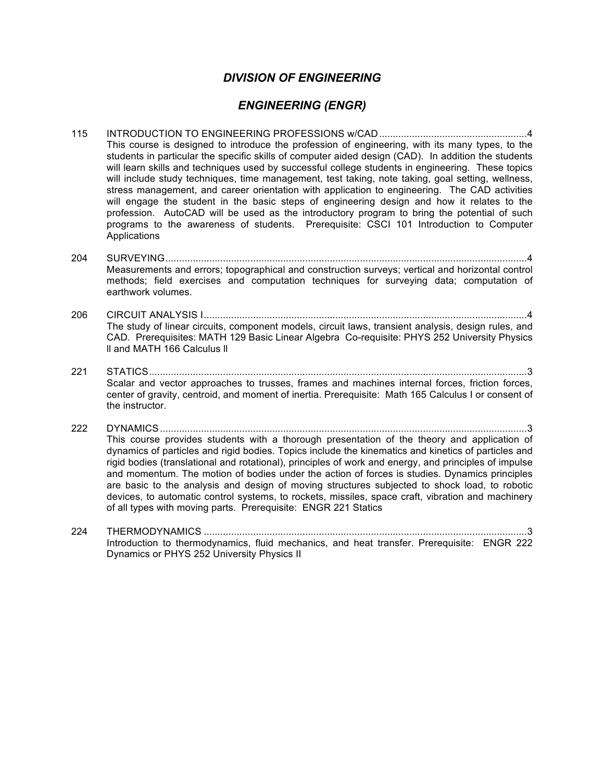#### *DIVISION OF ENGINEERING*

#### *ENGINEERING (ENGR)*

- 115 INTRODUCTION TO ENGINEERING PROFESSIONS w/CAD......................................................4 This course is designed to introduce the profession of engineering, with its many types, to the students in particular the specific skills of computer aided design (CAD). In addition the students will learn skills and techniques used by successful college students in engineering. These topics will include study techniques, time management, test taking, note taking, goal setting, wellness, stress management, and career orientation with application to engineering. The CAD activities will engage the student in the basic steps of engineering design and how it relates to the profession. AutoCAD will be used as the introductory program to bring the potential of such programs to the awareness of students. Prerequisite: CSCI 101 Introduction to Computer **Applications**
- 204 SURVEYING....................................................................................................................................4 Measurements and errors; topographical and construction surveys; vertical and horizontal control methods; field exercises and computation techniques for surveying data; computation of earthwork volumes.
- 206 CIRCUIT ANALYSIS I......................................................................................................................4 The study of linear circuits, component models, circuit laws, transient analysis, design rules, and CAD. Prerequisites: MATH 129 Basic Linear Algebra Co-requisite: PHYS 252 University Physics ll and MATH 166 Calculus ll
- 221 STATICS..........................................................................................................................................3 Scalar and vector approaches to trusses, frames and machines internal forces, friction forces, center of gravity, centroid, and moment of inertia. Prerequisite: Math 165 Calculus I or consent of the instructor.
- 222 DYNAMICS......................................................................................................................................3 This course provides students with a thorough presentation of the theory and application of dynamics of particles and rigid bodies. Topics include the kinematics and kinetics of particles and rigid bodies (translational and rotational), principles of work and energy, and principles of impulse and momentum. The motion of bodies under the action of forces is studies. Dynamics principles are basic to the analysis and design of moving structures subjected to shock load, to robotic devices, to automatic control systems, to rockets, missiles, space craft, vibration and machinery of all types with moving parts. Prerequisite: ENGR 221 Statics
- 224 THERMODYNAMICS ......................................................................................................................3 Introduction to thermodynamics, fluid mechanics, and heat transfer. Prerequisite: ENGR 222 Dynamics or PHYS 252 University Physics II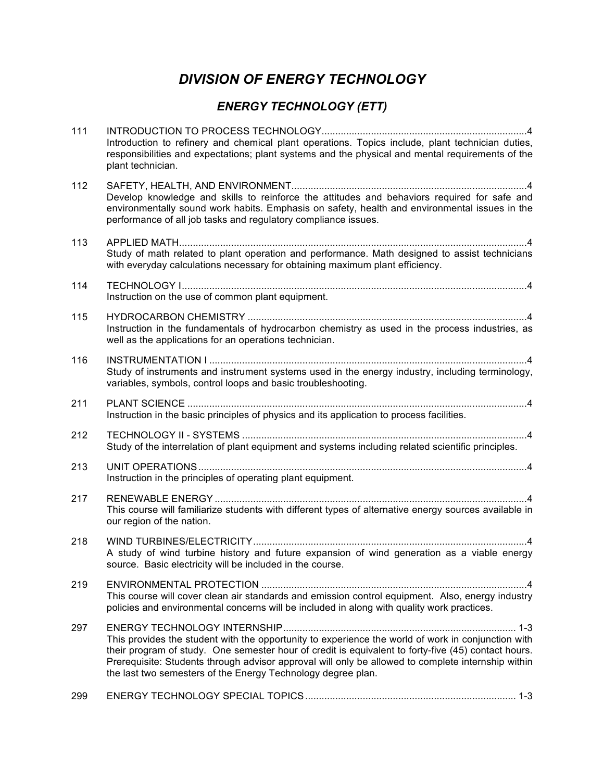# *DIVISION OF ENERGY TECHNOLOGY*

# *ENERGY TECHNOLOGY (ETT)*

| 111 | Introduction to refinery and chemical plant operations. Topics include, plant technician duties,<br>responsibilities and expectations; plant systems and the physical and mental requirements of the<br>plant technician.                                                                                                                                                       |
|-----|---------------------------------------------------------------------------------------------------------------------------------------------------------------------------------------------------------------------------------------------------------------------------------------------------------------------------------------------------------------------------------|
| 112 | Develop knowledge and skills to reinforce the attitudes and behaviors required for safe and<br>environmentally sound work habits. Emphasis on safety, health and environmental issues in the<br>performance of all job tasks and regulatory compliance issues.                                                                                                                  |
| 113 | Study of math related to plant operation and performance. Math designed to assist technicians<br>with everyday calculations necessary for obtaining maximum plant efficiency.                                                                                                                                                                                                   |
| 114 | Instruction on the use of common plant equipment.                                                                                                                                                                                                                                                                                                                               |
| 115 | Instruction in the fundamentals of hydrocarbon chemistry as used in the process industries, as<br>well as the applications for an operations technician.                                                                                                                                                                                                                        |
| 116 | Study of instruments and instrument systems used in the energy industry, including terminology,<br>variables, symbols, control loops and basic troubleshooting.                                                                                                                                                                                                                 |
| 211 | Instruction in the basic principles of physics and its application to process facilities.                                                                                                                                                                                                                                                                                       |
| 212 | Study of the interrelation of plant equipment and systems including related scientific principles.                                                                                                                                                                                                                                                                              |
| 213 | Instruction in the principles of operating plant equipment.                                                                                                                                                                                                                                                                                                                     |
| 217 | This course will familiarize students with different types of alternative energy sources available in<br>our region of the nation.                                                                                                                                                                                                                                              |
| 218 | A study of wind turbine history and future expansion of wind generation as a viable energy<br>source. Basic electricity will be included in the course.                                                                                                                                                                                                                         |
| 219 | This course will cover clean air standards and emission control equipment. Also, energy industry<br>policies and environmental concerns will be included in along with quality work practices.                                                                                                                                                                                  |
| 297 | This provides the student with the opportunity to experience the world of work in conjunction with<br>their program of study. One semester hour of credit is equivalent to forty-five (45) contact hours.<br>Prerequisite: Students through advisor approval will only be allowed to complete internship within<br>the last two semesters of the Energy Technology degree plan. |
|     |                                                                                                                                                                                                                                                                                                                                                                                 |

299 ENERGY TECHNOLOGY SPECIAL TOPICS............................................................................. 1-3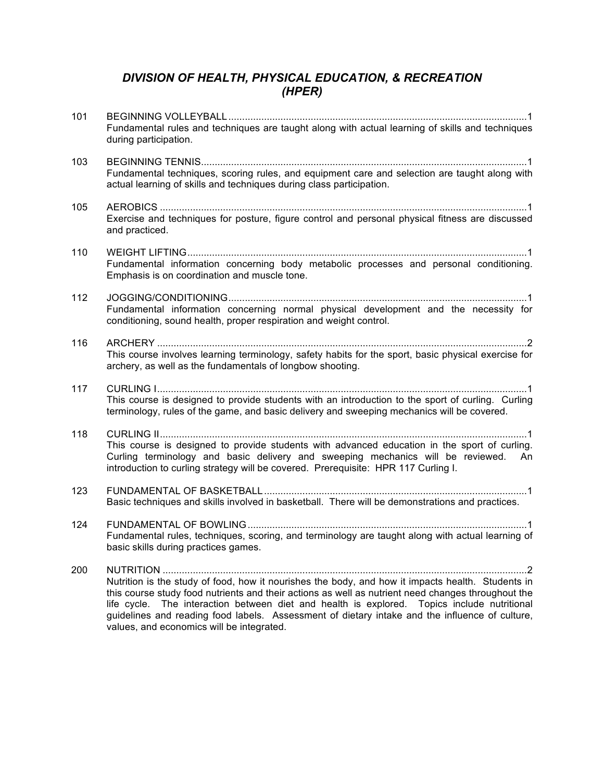#### *DIVISION OF HEALTH, PHYSICAL EDUCATION, & RECREATION (HPER)*

| 101 | Fundamental rules and techniques are taught along with actual learning of skills and techniques<br>during participation.                                                                                                                                                                                                                                                                                                                                      |
|-----|---------------------------------------------------------------------------------------------------------------------------------------------------------------------------------------------------------------------------------------------------------------------------------------------------------------------------------------------------------------------------------------------------------------------------------------------------------------|
| 103 | Fundamental techniques, scoring rules, and equipment care and selection are taught along with<br>actual learning of skills and techniques during class participation.                                                                                                                                                                                                                                                                                         |
| 105 | Exercise and techniques for posture, figure control and personal physical fitness are discussed<br>and practiced.                                                                                                                                                                                                                                                                                                                                             |
| 110 | Fundamental information concerning body metabolic processes and personal conditioning.<br>Emphasis is on coordination and muscle tone.                                                                                                                                                                                                                                                                                                                        |
| 112 | Fundamental information concerning normal physical development and the necessity for<br>conditioning, sound health, proper respiration and weight control.                                                                                                                                                                                                                                                                                                    |
| 116 | This course involves learning terminology, safety habits for the sport, basic physical exercise for<br>archery, as well as the fundamentals of longbow shooting.                                                                                                                                                                                                                                                                                              |
| 117 | This course is designed to provide students with an introduction to the sport of curling. Curling<br>terminology, rules of the game, and basic delivery and sweeping mechanics will be covered.                                                                                                                                                                                                                                                               |
| 118 | This course is designed to provide students with advanced education in the sport of curling.<br>Curling terminology and basic delivery and sweeping mechanics will be reviewed. An<br>introduction to curling strategy will be covered. Prerequisite: HPR 117 Curling I.                                                                                                                                                                                      |
| 123 | Basic techniques and skills involved in basketball. There will be demonstrations and practices.                                                                                                                                                                                                                                                                                                                                                               |
| 124 | Fundamental rules, techniques, scoring, and terminology are taught along with actual learning of<br>basic skills during practices games.                                                                                                                                                                                                                                                                                                                      |
| 200 | 2<br>Nutrition is the study of food, how it nourishes the body, and how it impacts health. Students in<br>this course study food nutrients and their actions as well as nutrient need changes throughout the<br>The interaction between diet and health is explored. Topics include nutritional<br>life cycle.<br>guidelines and reading food labels. Assessment of dietary intake and the influence of culture,<br>values, and economics will be integrated. |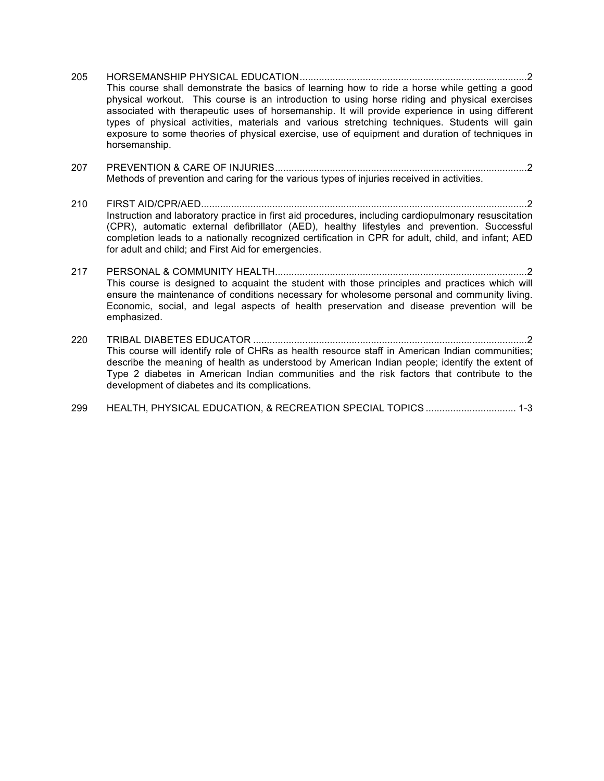- 205 HORSEMANSHIP PHYSICAL EDUCATION...................................................................................2 This course shall demonstrate the basics of learning how to ride a horse while getting a good physical workout. This course is an introduction to using horse riding and physical exercises associated with therapeutic uses of horsemanship. It will provide experience in using different types of physical activities, materials and various stretching techniques. Students will gain exposure to some theories of physical exercise, use of equipment and duration of techniques in horsemanship.
- 207 PREVENTION & CARE OF INJURIES............................................................................................2 Methods of prevention and caring for the various types of injuries received in activities.
- 210 FIRST AID/CPR/AED.......................................................................................................................2 Instruction and laboratory practice in first aid procedures, including cardiopulmonary resuscitation (CPR), automatic external defibrillator (AED), healthy lifestyles and prevention. Successful completion leads to a nationally recognized certification in CPR for adult, child, and infant; AED for adult and child; and First Aid for emergencies.
- 217 PERSONAL & COMMUNITY HEALTH............................................................................................2 This course is designed to acquaint the student with those principles and practices which will ensure the maintenance of conditions necessary for wholesome personal and community living. Economic, social, and legal aspects of health preservation and disease prevention will be emphasized.
- 220 TRIBAL DIABETES EDUCATOR ....................................................................................................2 This course will identify role of CHRs as health resource staff in American Indian communities; describe the meaning of health as understood by American Indian people; identify the extent of Type 2 diabetes in American Indian communities and the risk factors that contribute to the development of diabetes and its complications.
- 299 HEALTH, PHYSICAL EDUCATION, & RECREATION SPECIAL TOPICS ................................. 1-3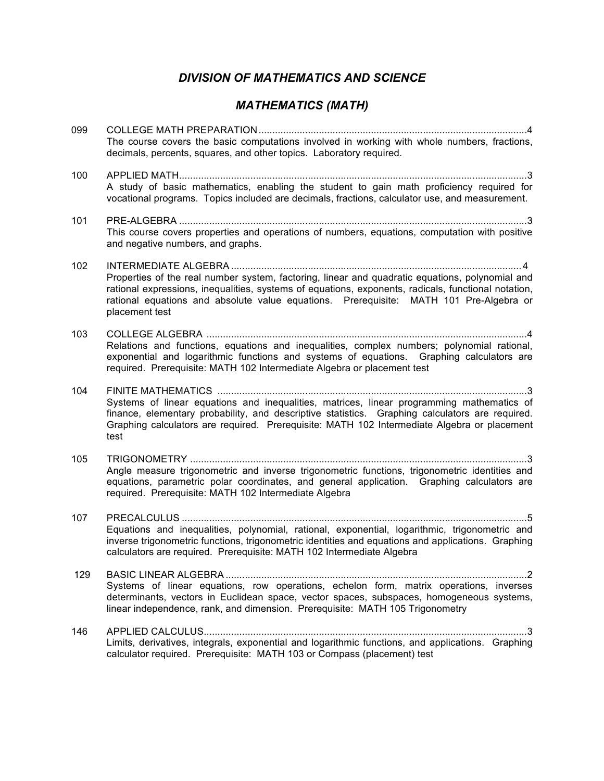# *DIVISION OF MATHEMATICS AND SCIENCE*

# *MATHEMATICS (MATH)*

| 099 | The course covers the basic computations involved in working with whole numbers, fractions,<br>decimals, percents, squares, and other topics. Laboratory required.                                                                                                                                                 |
|-----|--------------------------------------------------------------------------------------------------------------------------------------------------------------------------------------------------------------------------------------------------------------------------------------------------------------------|
| 100 | A study of basic mathematics, enabling the student to gain math proficiency required for<br>vocational programs. Topics included are decimals, fractions, calculator use, and measurement.                                                                                                                         |
| 101 | This course covers properties and operations of numbers, equations, computation with positive<br>and negative numbers, and graphs.                                                                                                                                                                                 |
| 102 | Properties of the real number system, factoring, linear and quadratic equations, polynomial and<br>rational expressions, inequalities, systems of equations, exponents, radicals, functional notation,<br>rational equations and absolute value equations. Prerequisite: MATH 101 Pre-Algebra or<br>placement test |
| 103 | Relations and functions, equations and inequalities, complex numbers; polynomial rational,<br>exponential and logarithmic functions and systems of equations. Graphing calculators are<br>required. Prerequisite: MATH 102 Intermediate Algebra or placement test                                                  |
| 104 | Systems of linear equations and inequalities, matrices, linear programming mathematics of<br>finance, elementary probability, and descriptive statistics. Graphing calculators are required.<br>Graphing calculators are required. Prerequisite: MATH 102 Intermediate Algebra or placement<br>test                |
| 105 | Angle measure trigonometric and inverse trigonometric functions, trigonometric identities and<br>equations, parametric polar coordinates, and general application. Graphing calculators are<br>required. Prerequisite: MATH 102 Intermediate Algebra                                                               |
| 107 | Equations and inequalities, polynomial, rational, exponential, logarithmic, trigonometric and<br>inverse trigonometric functions, trigonometric identities and equations and applications. Graphing<br>calculators are required. Prerequisite: MATH 102 Intermediate Algebra                                       |
| 129 | Systems of linear equations, row operations, echelon form, matrix operations, inverses<br>determinants, vectors in Euclidean space, vector spaces, subspaces, homogeneous systems,<br>linear independence, rank, and dimension. Prerequisite: MATH 105 Trigonometry                                                |
| 146 | Limits, derivatives, integrals, exponential and logarithmic functions, and applications. Graphing<br>calculator required. Prerequisite: MATH 103 or Compass (placement) test                                                                                                                                       |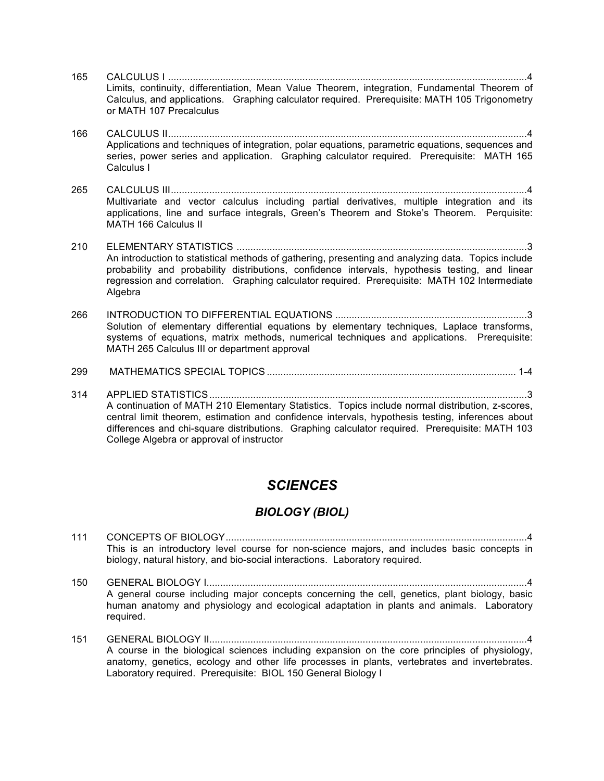165 CALCULUS I ...................................................................................................................................4 Limits, continuity, differentiation, Mean Value Theorem, integration, Fundamental Theorem of Calculus, and applications. Graphing calculator required. Prerequisite: MATH 105 Trigonometry or MATH 107 Precalculus 166 CALCULUS II...................................................................................................................................4 Applications and techniques of integration, polar equations, parametric equations, sequences and series, power series and application. Graphing calculator required. Prerequisite: MATH 165 Calculus I 265 CALCULUS III..................................................................................................................................4 Multivariate and vector calculus including partial derivatives, multiple integration and its applications, line and surface integrals, Green's Theorem and Stoke's Theorem. Perquisite: MATH 166 Calculus II 210 ELEMENTARY STATISTICS ..........................................................................................................3 An introduction to statistical methods of gathering, presenting and analyzing data. Topics include probability and probability distributions, confidence intervals, hypothesis testing, and linear regression and correlation. Graphing calculator required. Prerequisite: MATH 102 Intermediate Algebra 266 INTRODUCTION TO DIFFERENTIAL EQUATIONS ......................................................................3 Solution of elementary differential equations by elementary techniques, Laplace transforms, systems of equations, matrix methods, numerical techniques and applications. Prerequisite: MATH 265 Calculus III or department approval 299 MATHEMATICS SPECIAL TOPICS ........................................................................................... 1-4 314 APPLIED STATISTICS....................................................................................................................3 A continuation of MATH 210 Elementary Statistics. Topics include normal distribution, z-scores,

central limit theorem, estimation and confidence intervals, hypothesis testing, inferences about differences and chi-square distributions. Graphing calculator required. Prerequisite: MATH 103 College Algebra or approval of instructor

## *SCIENCES*

#### *BIOLOGY (BIOL)*

- 111 CONCEPTS OF BIOLOGY..............................................................................................................4 This is an introductory level course for non-science majors, and includes basic concepts in biology, natural history, and bio-social interactions. Laboratory required.
- 150 GENERAL BIOLOGY I.....................................................................................................................4 A general course including major concepts concerning the cell, genetics, plant biology, basic human anatomy and physiology and ecological adaptation in plants and animals. Laboratory required.
- 151 GENERAL BIOLOGY II....................................................................................................................4 A course in the biological sciences including expansion on the core principles of physiology, anatomy, genetics, ecology and other life processes in plants, vertebrates and invertebrates. Laboratory required. Prerequisite: BIOL 150 General Biology I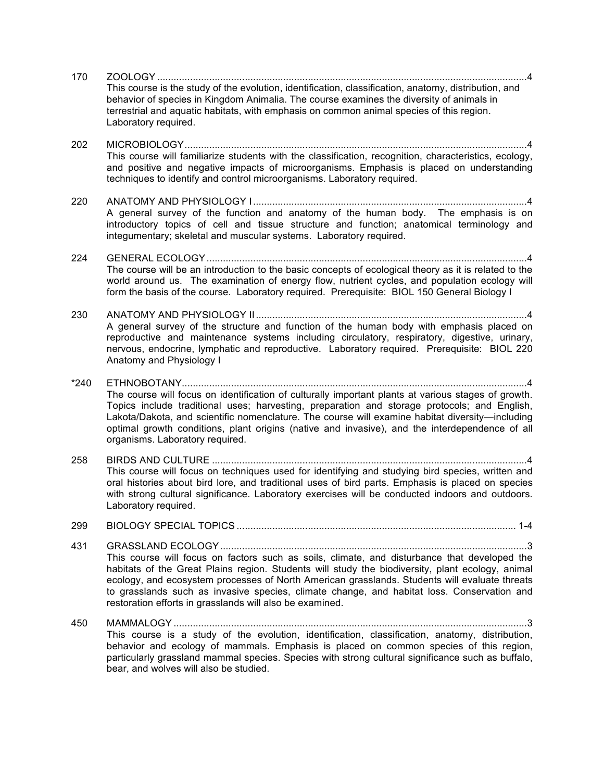| 170    |                                                                                                                                                                                                                                                                                                                                                                                                                                                             |
|--------|-------------------------------------------------------------------------------------------------------------------------------------------------------------------------------------------------------------------------------------------------------------------------------------------------------------------------------------------------------------------------------------------------------------------------------------------------------------|
|        | This course is the study of the evolution, identification, classification, anatomy, distribution, and<br>behavior of species in Kingdom Animalia. The course examines the diversity of animals in<br>terrestrial and aquatic habitats, with emphasis on common animal species of this region.<br>Laboratory required.                                                                                                                                       |
| 202    | This course will familiarize students with the classification, recognition, characteristics, ecology,<br>and positive and negative impacts of microorganisms. Emphasis is placed on understanding<br>techniques to identify and control microorganisms. Laboratory required.                                                                                                                                                                                |
| 220    | A general survey of the function and anatomy of the human body. The emphasis is on<br>introductory topics of cell and tissue structure and function; anatomical terminology and<br>integumentary; skeletal and muscular systems. Laboratory required.                                                                                                                                                                                                       |
| 224    | The course will be an introduction to the basic concepts of ecological theory as it is related to the                                                                                                                                                                                                                                                                                                                                                       |
|        | world around us. The examination of energy flow, nutrient cycles, and population ecology will<br>form the basis of the course. Laboratory required. Prerequisite: BIOL 150 General Biology I                                                                                                                                                                                                                                                                |
| 230    |                                                                                                                                                                                                                                                                                                                                                                                                                                                             |
|        | A general survey of the structure and function of the human body with emphasis placed on<br>reproductive and maintenance systems including circulatory, respiratory, digestive, urinary,<br>nervous, endocrine, lymphatic and reproductive. Laboratory required. Prerequisite: BIOL 220<br>Anatomy and Physiology I                                                                                                                                         |
| $*240$ | The course will focus on identification of culturally important plants at various stages of growth.<br>Topics include traditional uses; harvesting, preparation and storage protocols; and English,<br>Lakota/Dakota, and scientific nomenclature. The course will examine habitat diversity—including<br>optimal growth conditions, plant origins (native and invasive), and the interdependence of all<br>organisms. Laboratory required.                 |
| 258    |                                                                                                                                                                                                                                                                                                                                                                                                                                                             |
|        | This course will focus on techniques used for identifying and studying bird species, written and<br>oral histories about bird lore, and traditional uses of bird parts. Emphasis is placed on species<br>with strong cultural significance. Laboratory exercises will be conducted indoors and outdoors.<br>Laboratory required.                                                                                                                            |
| 299    |                                                                                                                                                                                                                                                                                                                                                                                                                                                             |
| 431    | This course will focus on factors such as soils, climate, and disturbance that developed the<br>habitats of the Great Plains region. Students will study the biodiversity, plant ecology, animal<br>ecology, and ecosystem processes of North American grasslands. Students will evaluate threats<br>to grasslands such as invasive species, climate change, and habitat loss. Conservation and<br>restoration efforts in grasslands will also be examined. |
| 450    | This course is a study of the evolution, identification, classification, anatomy, distribution,<br>behavior and ecology of mammals. Emphasis is placed on common species of this region,<br>particularly grassland mammal species. Species with strong cultural significance such as buffalo,<br>bear, and wolves will also be studied.                                                                                                                     |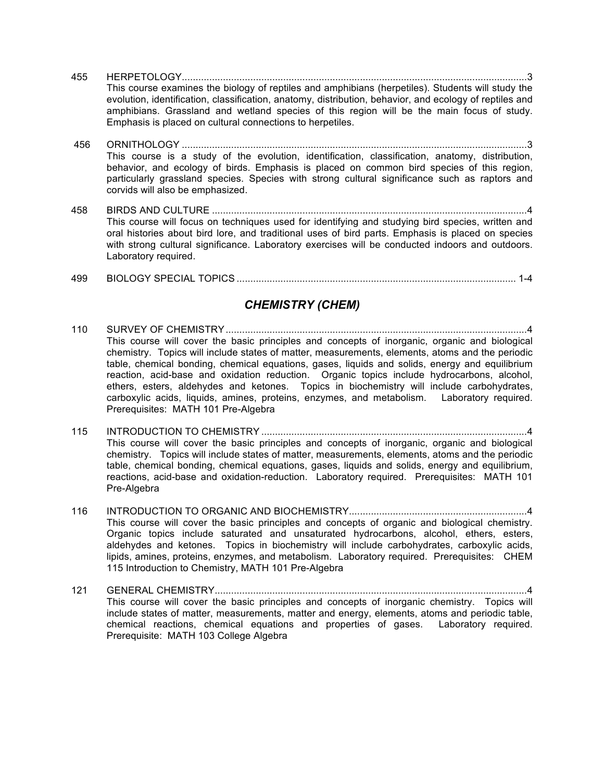- 455 HERPETOLOGY..............................................................................................................................3 This course examines the biology of reptiles and amphibians (herpetiles). Students will study the evolution, identification, classification, anatomy, distribution, behavior, and ecology of reptiles and amphibians. Grassland and wetland species of this region will be the main focus of study. Emphasis is placed on cultural connections to herpetiles.
- 456 ORNITHOLOGY ..............................................................................................................................3 This course is a study of the evolution, identification, classification, anatomy, distribution, behavior, and ecology of birds. Emphasis is placed on common bird species of this region, particularly grassland species. Species with strong cultural significance such as raptors and corvids will also be emphasized.
- 458 BIRDS AND CULTURE ...................................................................................................................4 This course will focus on techniques used for identifying and studying bird species, written and oral histories about bird lore, and traditional uses of bird parts. Emphasis is placed on species with strong cultural significance. Laboratory exercises will be conducted indoors and outdoors. Laboratory required.
- 499 BIOLOGY SPECIAL TOPICS ...................................................................................................... 1-4

#### *CHEMISTRY (CHEM)*

- 110 SURVEY OF CHEMISTRY..............................................................................................................4 This course will cover the basic principles and concepts of inorganic, organic and biological chemistry. Topics will include states of matter, measurements, elements, atoms and the periodic table, chemical bonding, chemical equations, gases, liquids and solids, energy and equilibrium reaction, acid-base and oxidation reduction. Organic topics include hydrocarbons, alcohol, ethers, esters, aldehydes and ketones. Topics in biochemistry will include carbohydrates, carboxylic acids, liquids, amines, proteins, enzymes, and metabolism. Laboratory required. Prerequisites: MATH 101 Pre-Algebra
- 115 INTRODUCTION TO CHEMISTRY .................................................................................................4 This course will cover the basic principles and concepts of inorganic, organic and biological chemistry. Topics will include states of matter, measurements, elements, atoms and the periodic table, chemical bonding, chemical equations, gases, liquids and solids, energy and equilibrium, reactions, acid-base and oxidation-reduction. Laboratory required. Prerequisites: MATH 101 Pre-Algebra
- 116 INTRODUCTION TO ORGANIC AND BIOCHEMISTRY.................................................................4 This course will cover the basic principles and concepts of organic and biological chemistry. Organic topics include saturated and unsaturated hydrocarbons, alcohol, ethers, esters, aldehydes and ketones. Topics in biochemistry will include carbohydrates, carboxylic acids, lipids, amines, proteins, enzymes, and metabolism. Laboratory required. Prerequisites: CHEM 115 Introduction to Chemistry, MATH 101 Pre-Algebra
- 121 GENERAL CHEMISTRY..................................................................................................................4 This course will cover the basic principles and concepts of inorganic chemistry. Topics will include states of matter, measurements, matter and energy, elements, atoms and periodic table, chemical reactions, chemical equations and properties of gases. Laboratory required. Prerequisite: MATH 103 College Algebra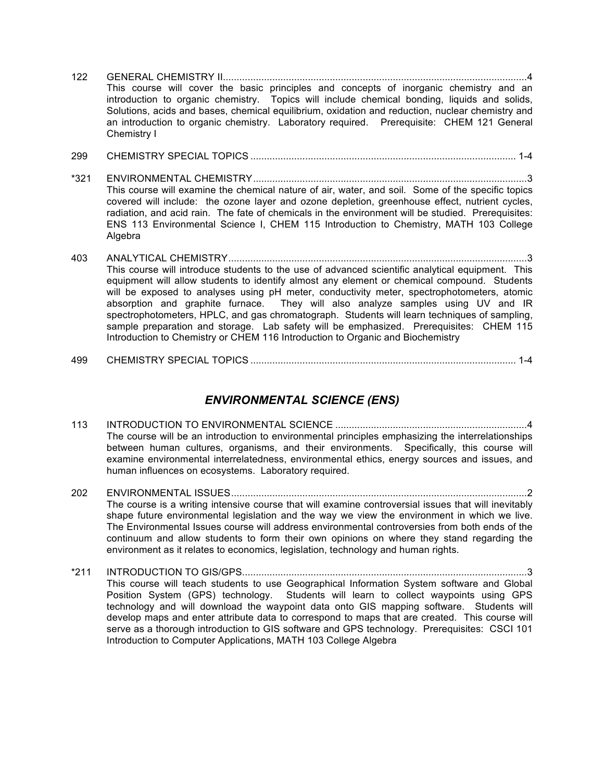- 122 GENERAL CHEMISTRY II...............................................................................................................4 This course will cover the basic principles and concepts of inorganic chemistry and an introduction to organic chemistry. Topics will include chemical bonding, liquids and solids, Solutions, acids and bases, chemical equilibrium, oxidation and reduction, nuclear chemistry and an introduction to organic chemistry. Laboratory required. Prerequisite: CHEM 121 General Chemistry I
- 299 CHEMISTRY SPECIAL TOPICS ................................................................................................. 1-4
- \*321 ENVIRONMENTAL CHEMISTRY....................................................................................................3 This course will examine the chemical nature of air, water, and soil. Some of the specific topics covered will include: the ozone layer and ozone depletion, greenhouse effect, nutrient cycles, radiation, and acid rain. The fate of chemicals in the environment will be studied. Prerequisites: ENS 113 Environmental Science I, CHEM 115 Introduction to Chemistry, MATH 103 College **Algebra**
- 403 ANALYTICAL CHEMISTRY.............................................................................................................3 This course will introduce students to the use of advanced scientific analytical equipment. This equipment will allow students to identify almost any element or chemical compound. Students will be exposed to analyses using pH meter, conductivity meter, spectrophotometers, atomic absorption and graphite furnace. They will also analyze samples using UV and IR spectrophotometers, HPLC, and gas chromatograph. Students will learn techniques of sampling, sample preparation and storage. Lab safety will be emphasized. Prerequisites: CHEM 115 Introduction to Chemistry or CHEM 116 Introduction to Organic and Biochemistry
- 499 CHEMISTRY SPECIAL TOPICS ................................................................................................. 1-4

#### *ENVIRONMENTAL SCIENCE (ENS)*

- 113 INTRODUCTION TO ENVIRONMENTAL SCIENCE ......................................................................4 The course will be an introduction to environmental principles emphasizing the interrelationships between human cultures, organisms, and their environments. Specifically, this course will examine environmental interrelatedness, environmental ethics, energy sources and issues, and human influences on ecosystems. Laboratory required.
- 202 ENVIRONMENTAL ISSUES............................................................................................................2 The course is a writing intensive course that will examine controversial issues that will inevitably shape future environmental legislation and the way we view the environment in which we live. The Environmental Issues course will address environmental controversies from both ends of the continuum and allow students to form their own opinions on where they stand regarding the environment as it relates to economics, legislation, technology and human rights.
- \*211 INTRODUCTION TO GIS/GPS........................................................................................................3 This course will teach students to use Geographical Information System software and Global Position System (GPS) technology. Students will learn to collect waypoints using GPS technology and will download the waypoint data onto GIS mapping software. Students will develop maps and enter attribute data to correspond to maps that are created. This course will serve as a thorough introduction to GIS software and GPS technology. Prerequisites: CSCI 101 Introduction to Computer Applications, MATH 103 College Algebra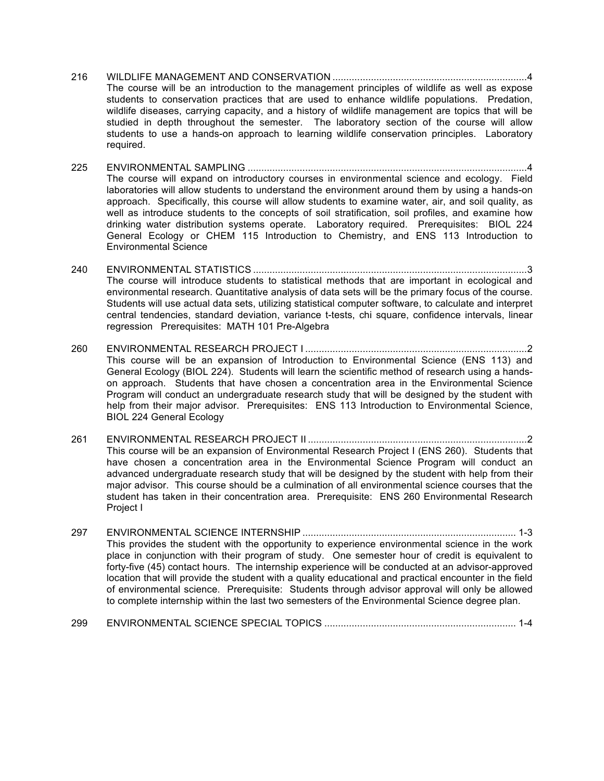- 216 WILDLIFE MANAGEMENT AND CONSERVATION .......................................................................4 The course will be an introduction to the management principles of wildlife as well as expose students to conservation practices that are used to enhance wildlife populations. Predation, wildlife diseases, carrying capacity, and a history of wildlife management are topics that will be studied in depth throughout the semester. The laboratory section of the course will allow students to use a hands-on approach to learning wildlife conservation principles. Laboratory required.
- 225 ENVIRONMENTAL SAMPLING ......................................................................................................4 The course will expand on introductory courses in environmental science and ecology. Field laboratories will allow students to understand the environment around them by using a hands-on approach. Specifically, this course will allow students to examine water, air, and soil quality, as well as introduce students to the concepts of soil stratification, soil profiles, and examine how drinking water distribution systems operate. Laboratory required. Prerequisites: BIOL 224 General Ecology or CHEM 115 Introduction to Chemistry, and ENS 113 Introduction to Environmental Science
- 240 ENVIRONMENTAL STATISTICS ....................................................................................................3 The course will introduce students to statistical methods that are important in ecological and environmental research. Quantitative analysis of data sets will be the primary focus of the course. Students will use actual data sets, utilizing statistical computer software, to calculate and interpret central tendencies, standard deviation, variance t-tests, chi square, confidence intervals, linear regression Prerequisites: MATH 101 Pre-Algebra
- 260 ENVIRONMENTAL RESEARCH PROJECT I .................................................................................2 This course will be an expansion of Introduction to Environmental Science (ENS 113) and General Ecology (BIOL 224). Students will learn the scientific method of research using a handson approach. Students that have chosen a concentration area in the Environmental Science Program will conduct an undergraduate research study that will be designed by the student with help from their major advisor. Prerequisites: ENS 113 Introduction to Environmental Science, BIOL 224 General Ecology
- 261 ENVIRONMENTAL RESEARCH PROJECT II ................................................................................2 This course will be an expansion of Environmental Research Project I (ENS 260). Students that have chosen a concentration area in the Environmental Science Program will conduct an advanced undergraduate research study that will be designed by the student with help from their major advisor. This course should be a culmination of all environmental science courses that the student has taken in their concentration area. Prerequisite: ENS 260 Environmental Research Project I
- 297 ENVIRONMENTAL SCIENCE INTERNSHIP .............................................................................. 1-3 This provides the student with the opportunity to experience environmental science in the work place in conjunction with their program of study. One semester hour of credit is equivalent to forty-five (45) contact hours. The internship experience will be conducted at an advisor-approved location that will provide the student with a quality educational and practical encounter in the field of environmental science. Prerequisite: Students through advisor approval will only be allowed to complete internship within the last two semesters of the Environmental Science degree plan.
- 299 ENVIRONMENTAL SCIENCE SPECIAL TOPICS ...................................................................... 1-4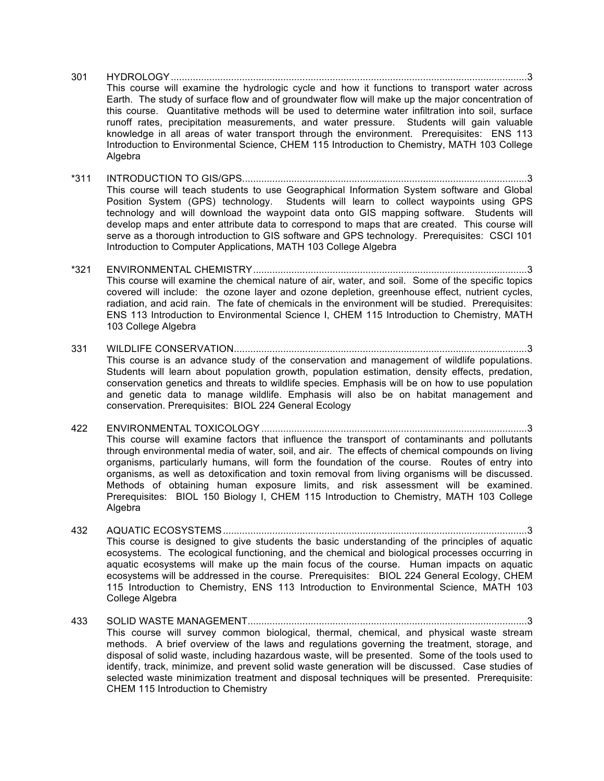- 301 HYDROLOGY..................................................................................................................................3 This course will examine the hydrologic cycle and how it functions to transport water across Earth. The study of surface flow and of groundwater flow will make up the major concentration of this course. Quantitative methods will be used to determine water infiltration into soil, surface runoff rates, precipitation measurements, and water pressure. Students will gain valuable knowledge in all areas of water transport through the environment. Prerequisites: ENS 113 Introduction to Environmental Science, CHEM 115 Introduction to Chemistry, MATH 103 College Algebra
- \*311 INTRODUCTION TO GIS/GPS........................................................................................................3 This course will teach students to use Geographical Information System software and Global Position System (GPS) technology. Students will learn to collect waypoints using GPS technology and will download the waypoint data onto GIS mapping software. Students will develop maps and enter attribute data to correspond to maps that are created. This course will serve as a thorough introduction to GIS software and GPS technology. Prerequisites: CSCI 101 Introduction to Computer Applications, MATH 103 College Algebra
- \*321 ENVIRONMENTAL CHEMISTRY....................................................................................................3 This course will examine the chemical nature of air, water, and soil. Some of the specific topics covered will include: the ozone layer and ozone depletion, greenhouse effect, nutrient cycles, radiation, and acid rain. The fate of chemicals in the environment will be studied. Prerequisites: ENS 113 Introduction to Environmental Science I, CHEM 115 Introduction to Chemistry, MATH 103 College Algebra
- 331 WILDLIFE CONSERVATION...........................................................................................................3 This course is an advance study of the conservation and management of wildlife populations. Students will learn about population growth, population estimation, density effects, predation, conservation genetics and threats to wildlife species. Emphasis will be on how to use population and genetic data to manage wildlife. Emphasis will also be on habitat management and conservation. Prerequisites: BIOL 224 General Ecology
- 422 ENVIRONMENTAL TOXICOLOGY .................................................................................................3 This course will examine factors that influence the transport of contaminants and pollutants through environmental media of water, soil, and air. The effects of chemical compounds on living organisms, particularly humans, will form the foundation of the course. Routes of entry into organisms, as well as detoxification and toxin removal from living organisms will be discussed. Methods of obtaining human exposure limits, and risk assessment will be examined. Prerequisites: BIOL 150 Biology I, CHEM 115 Introduction to Chemistry, MATH 103 College **Algebra**
- 432 AQUATIC ECOSYSTEMS...............................................................................................................3 This course is designed to give students the basic understanding of the principles of aquatic ecosystems. The ecological functioning, and the chemical and biological processes occurring in aquatic ecosystems will make up the main focus of the course. Human impacts on aquatic ecosystems will be addressed in the course. Prerequisites: BIOL 224 General Ecology, CHEM 115 Introduction to Chemistry, ENS 113 Introduction to Environmental Science, MATH 103 College Algebra
- 433 SOLID WASTE MANAGEMENT......................................................................................................3 This course will survey common biological, thermal, chemical, and physical waste stream methods. A brief overview of the laws and regulations governing the treatment, storage, and disposal of solid waste, including hazardous waste, will be presented. Some of the tools used to identify, track, minimize, and prevent solid waste generation will be discussed. Case studies of selected waste minimization treatment and disposal techniques will be presented. Prerequisite: CHEM 115 Introduction to Chemistry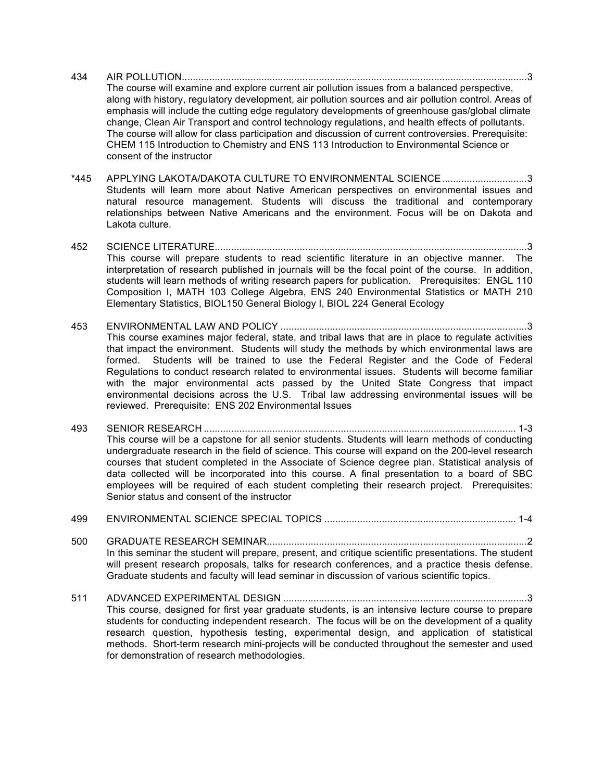- 434 AIR POLLUTION..............................................................................................................................3 The course will examine and explore current air pollution issues from a balanced perspective, along with history, regulatory development, air pollution sources and air pollution control. Areas of emphasis will include the cutting edge regulatory developments of greenhouse gas/global climate change, Clean Air Transport and control technology regulations, and health effects of pollutants. The course will allow for class participation and discussion of current controversies. Prerequisite: CHEM 115 Introduction to Chemistry and ENS 113 Introduction to Environmental Science or consent of the instructor
- \*445 APPLYING LAKOTA/DAKOTA CULTURE TO ENVIRONMENTAL SCIENCE...............................3 Students will learn more about Native American perspectives on environmental issues and natural resource management. Students will discuss the traditional and contemporary relationships between Native Americans and the environment. Focus will be on Dakota and Lakota culture.
- 452 SCIENCE LITERATURE..................................................................................................................3 This course will prepare students to read scientific literature in an objective manner. The interpretation of research published in journals will be the focal point of the course. In addition, students will learn methods of writing research papers for publication. Prerequisites: ENGL 110 Composition I, MATH 103 College Algebra, ENS 240 Environmental Statistics or MATH 210 Elementary Statistics, BIOL150 General Biology I, BIOL 224 General Ecology
- 453 ENVIRONMENTAL LAW AND POLICY ..........................................................................................3 This course examines major federal, state, and tribal laws that are in place to regulate activities that impact the environment. Students will study the methods by which environmental laws are formed. Students will be trained to use the Federal Register and the Code of Federal Regulations to conduct research related to environmental issues. Students will become familiar with the major environmental acts passed by the United State Congress that impact environmental decisions across the U.S. Tribal law addressing environmental issues will be reviewed. Prerequisite: ENS 202 Environmental Issues
- 493 SENIOR RESEARCH .................................................................................................................. 1-3 This course will be a capstone for all senior students. Students will learn methods of conducting undergraduate research in the field of science. This course will expand on the 200-level research courses that student completed in the Associate of Science degree plan. Statistical analysis of data collected will be incorporated into this course. A final presentation to a board of SBC employees will be required of each student completing their research project. Prerequisites: Senior status and consent of the instructor

#### 499 ENVIRONMENTAL SCIENCE SPECIAL TOPICS ...................................................................... 1-4

- 500 GRADUATE RESEARCH SEMINAR...............................................................................................2 In this seminar the student will prepare, present, and critique scientific presentations. The student will present research proposals, talks for research conferences, and a practice thesis defense. Graduate students and faculty will lead seminar in discussion of various scientific topics.
- 511 ADVANCED EXPERIMENTAL DESIGN .........................................................................................3 This course, designed for first year graduate students, is an intensive lecture course to prepare students for conducting independent research. The focus will be on the development of a quality research question, hypothesis testing, experimental design, and application of statistical methods. Short-term research mini-projects will be conducted throughout the semester and used for demonstration of research methodologies.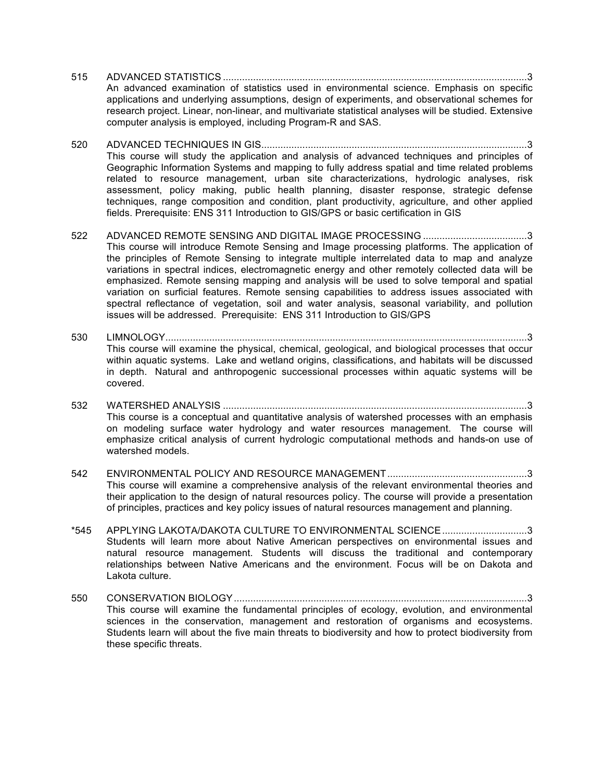- 515 ADVANCED STATISTICS ...............................................................................................................3 An advanced examination of statistics used in environmental science. Emphasis on specific applications and underlying assumptions, design of experiments, and observational schemes for research project. Linear, non-linear, and multivariate statistical analyses will be studied. Extensive computer analysis is employed, including Program-R and SAS.
- 520 ADVANCED TECHNIQUES IN GIS.................................................................................................3 This course will study the application and analysis of advanced techniques and principles of Geographic Information Systems and mapping to fully address spatial and time related problems related to resource management, urban site characterizations, hydrologic analyses, risk assessment, policy making, public health planning, disaster response, strategic defense techniques, range composition and condition, plant productivity, agriculture, and other applied fields. Prerequisite: ENS 311 Introduction to GIS/GPS or basic certification in GIS
- 522 ADVANCED REMOTE SENSING AND DIGITAL IMAGE PROCESSING ......................................3 This course will introduce Remote Sensing and Image processing platforms. The application of the principles of Remote Sensing to integrate multiple interrelated data to map and analyze variations in spectral indices, electromagnetic energy and other remotely collected data will be emphasized. Remote sensing mapping and analysis will be used to solve temporal and spatial variation on surficial features. Remote sensing capabilities to address issues associated with spectral reflectance of vegetation, soil and water analysis, seasonal variability, and pollution issues will be addressed. Prerequisite: ENS 311 Introduction to GIS/GPS
- 530 LIMNOLOGY....................................................................................................................................3 This course will examine the physical, chemical, geological, and biological processes that occur within aquatic systems. Lake and wetland origins, classifications, and habitats will be discussed in depth. Natural and anthropogenic successional processes within aquatic systems will be covered.
- 532 WATERSHED ANALYSIS ...............................................................................................................3 This course is a conceptual and quantitative analysis of watershed processes with an emphasis on modeling surface water hydrology and water resources management. The course will emphasize critical analysis of current hydrologic computational methods and hands-on use of watershed models.
- 542 ENVIRONMENTAL POLICY AND RESOURCE MANAGEMENT...................................................3 This course will examine a comprehensive analysis of the relevant environmental theories and their application to the design of natural resources policy. The course will provide a presentation of principles, practices and key policy issues of natural resources management and planning.
- \*545 APPLYING LAKOTA/DAKOTA CULTURE TO ENVIRONMENTAL SCIENCE...............................3 Students will learn more about Native American perspectives on environmental issues and natural resource management. Students will discuss the traditional and contemporary relationships between Native Americans and the environment. Focus will be on Dakota and Lakota culture.
- 550 CONSERVATION BIOLOGY...........................................................................................................3 This course will examine the fundamental principles of ecology, evolution, and environmental sciences in the conservation, management and restoration of organisms and ecosystems. Students learn will about the five main threats to biodiversity and how to protect biodiversity from these specific threats.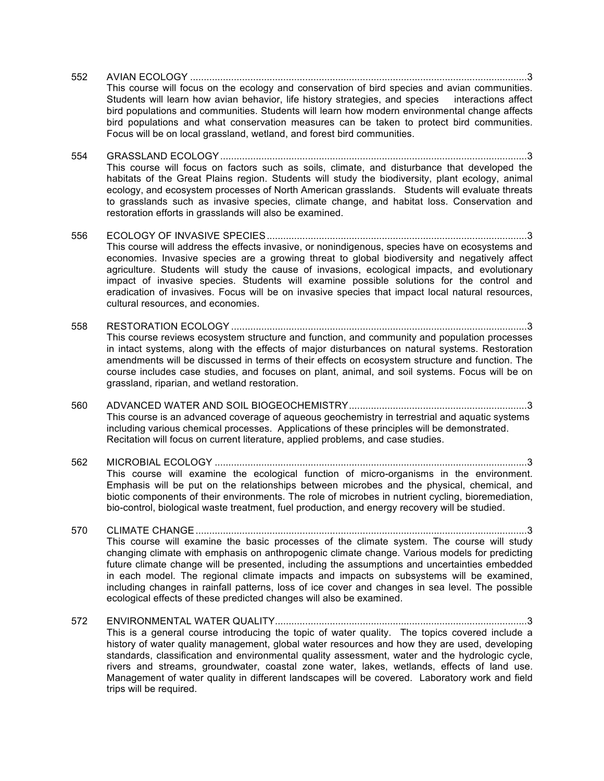552 AVIAN ECOLOGY ...........................................................................................................................3 This course will focus on the ecology and conservation of bird species and avian communities. Students will learn how avian behavior, life history strategies, and species interactions affect bird populations and communities. Students will learn how modern environmental change affects bird populations and what conservation measures can be taken to protect bird communities. Focus will be on local grassland, wetland, and forest bird communities.

554 GRASSLAND ECOLOGY................................................................................................................3 This course will focus on factors such as soils, climate, and disturbance that developed the habitats of the Great Plains region. Students will study the biodiversity, plant ecology, animal ecology, and ecosystem processes of North American grasslands. Students will evaluate threats to grasslands such as invasive species, climate change, and habitat loss. Conservation and restoration efforts in grasslands will also be examined.

556 ECOLOGY OF INVASIVE SPECIES...............................................................................................3 This course will address the effects invasive, or nonindigenous, species have on ecosystems and economies. Invasive species are a growing threat to global biodiversity and negatively affect agriculture. Students will study the cause of invasions, ecological impacts, and evolutionary impact of invasive species. Students will examine possible solutions for the control and eradication of invasives. Focus will be on invasive species that impact local natural resources, cultural resources, and economies.

- 558 RESTORATION ECOLOGY ............................................................................................................3 This course reviews ecosystem structure and function, and community and population processes in intact systems, along with the effects of major disturbances on natural systems. Restoration amendments will be discussed in terms of their effects on ecosystem structure and function. The course includes case studies, and focuses on plant, animal, and soil systems. Focus will be on grassland, riparian, and wetland restoration.
- 560 ADVANCED WATER AND SOIL BIOGEOCHEMISTRY.................................................................3 This course is an advanced coverage of aqueous geochemistry in terrestrial and aquatic systems including various chemical processes. Applications of these principles will be demonstrated. Recitation will focus on current literature, applied problems, and case studies.
- 562 MICROBIAL ECOLOGY ..................................................................................................................3 This course will examine the ecological function of micro-organisms in the environment. Emphasis will be put on the relationships between microbes and the physical, chemical, and biotic components of their environments. The role of microbes in nutrient cycling, bioremediation, bio-control, biological waste treatment, fuel production, and energy recovery will be studied.
- 570 CLIMATE CHANGE.........................................................................................................................3 This course will examine the basic processes of the climate system. The course will study changing climate with emphasis on anthropogenic climate change. Various models for predicting future climate change will be presented, including the assumptions and uncertainties embedded in each model. The regional climate impacts and impacts on subsystems will be examined, including changes in rainfall patterns, loss of ice cover and changes in sea level. The possible ecological effects of these predicted changes will also be examined.
- 572 ENVIRONMENTAL WATER QUALITY............................................................................................3 This is a general course introducing the topic of water quality. The topics covered include a history of water quality management, global water resources and how they are used, developing standards, classification and environmental quality assessment, water and the hydrologic cycle, rivers and streams, groundwater, coastal zone water, lakes, wetlands, effects of land use. Management of water quality in different landscapes will be covered. Laboratory work and field trips will be required.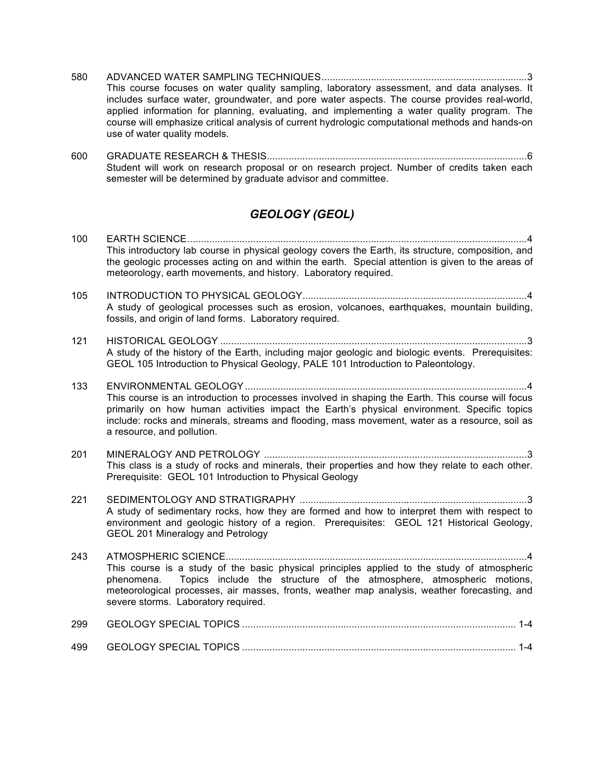- 580 ADVANCED WATER SAMPLING TECHNIQUES...........................................................................3 This course focuses on water quality sampling, laboratory assessment, and data analyses. It includes surface water, groundwater, and pore water aspects. The course provides real-world, applied information for planning, evaluating, and implementing a water quality program. The course will emphasize critical analysis of current hydrologic computational methods and hands-on use of water quality models.
- 600 GRADUATE RESEARCH & THESIS...............................................................................................6 Student will work on research proposal or on research project. Number of credits taken each semester will be determined by graduate advisor and committee.

## *GEOLOGY (GEOL)*

| 100 | This introductory lab course in physical geology covers the Earth, its structure, composition, and<br>the geologic processes acting on and within the earth. Special attention is given to the areas of<br>meteorology, earth movements, and history. Laboratory required.                                                      |
|-----|---------------------------------------------------------------------------------------------------------------------------------------------------------------------------------------------------------------------------------------------------------------------------------------------------------------------------------|
| 105 | A study of geological processes such as erosion, volcanoes, earthquakes, mountain building,<br>fossils, and origin of land forms. Laboratory required.                                                                                                                                                                          |
| 121 | A study of the history of the Earth, including major geologic and biologic events. Prerequisites:<br>GEOL 105 Introduction to Physical Geology, PALE 101 Introduction to Paleontology.                                                                                                                                          |
| 133 | This course is an introduction to processes involved in shaping the Earth. This course will focus<br>primarily on how human activities impact the Earth's physical environment. Specific topics<br>include: rocks and minerals, streams and flooding, mass movement, water as a resource, soil as<br>a resource, and pollution. |
| 201 | This class is a study of rocks and minerals, their properties and how they relate to each other.<br>Prerequisite: GEOL 101 Introduction to Physical Geology                                                                                                                                                                     |
| 221 | A study of sedimentary rocks, how they are formed and how to interpret them with respect to<br>environment and geologic history of a region. Prerequisites: GEOL 121 Historical Geology,<br><b>GEOL 201 Mineralogy and Petrology</b>                                                                                            |
| 243 | This course is a study of the basic physical principles applied to the study of atmospheric<br>phenomena. Topics include the structure of the atmosphere, atmospheric motions,<br>meteorological processes, air masses, fronts, weather map analysis, weather forecasting, and<br>severe storms. Laboratory required.           |
| 299 |                                                                                                                                                                                                                                                                                                                                 |
| 499 |                                                                                                                                                                                                                                                                                                                                 |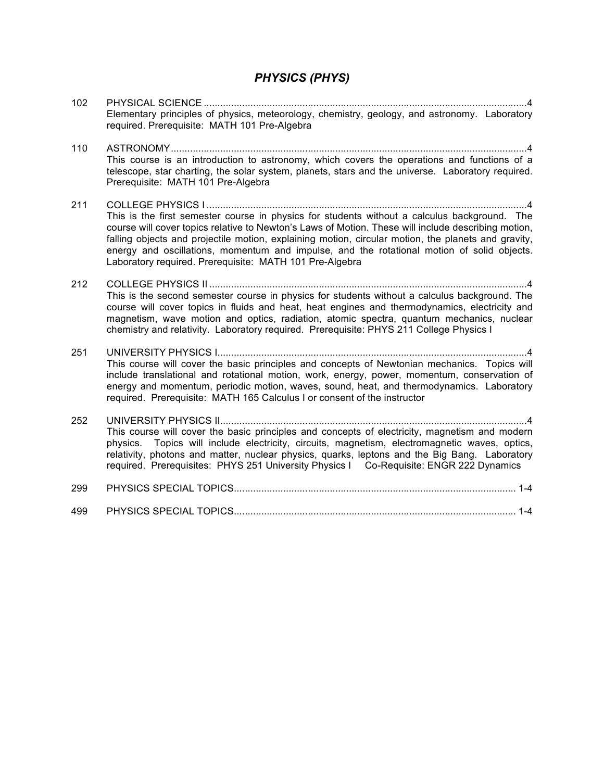#### *PHYSICS (PHYS)*

102 PHYSICAL SCIENCE ......................................................................................................................4 Elementary principles of physics, meteorology, chemistry, geology, and astronomy. Laboratory required. Prerequisite: MATH 101 Pre-Algebra 110 ASTRONOMY..................................................................................................................................4 This course is an introduction to astronomy, which covers the operations and functions of a telescope, star charting, the solar system, planets, stars and the universe. Laboratory required. Prerequisite: MATH 101 Pre-Algebra 211 COLLEGE PHYSICS I .....................................................................................................................4 This is the first semester course in physics for students without a calculus background. The course will cover topics relative to Newton's Laws of Motion. These will include describing motion, falling objects and projectile motion, explaining motion, circular motion, the planets and gravity, energy and oscillations, momentum and impulse, and the rotational motion of solid objects. Laboratory required. Prerequisite: MATH 101 Pre-Algebra 212 COLLEGE PHYSICS II ....................................................................................................................4 This is the second semester course in physics for students without a calculus background. The course will cover topics in fluids and heat, heat engines and thermodynamics, electricity and magnetism, wave motion and optics, radiation, atomic spectra, quantum mechanics, nuclear chemistry and relativity. Laboratory required. Prerequisite: PHYS 211 College Physics I 251 UNIVERSITY PHYSICS I.................................................................................................................4 This course will cover the basic principles and concepts of Newtonian mechanics. Topics will include translational and rotational motion, work, energy, power, momentum, conservation of energy and momentum, periodic motion, waves, sound, heat, and thermodynamics. Laboratory required. Prerequisite: MATH 165 Calculus I or consent of the instructor 252 UNIVERSITY PHYSICS II................................................................................................................4 This course will cover the basic principles and concepts of electricity, magnetism and modern physics. Topics will include electricity, circuits, magnetism, electromagnetic waves, optics, relativity, photons and matter, nuclear physics, quarks, leptons and the Big Bang. Laboratory required. Prerequisites: PHYS 251 University Physics I Co-Requisite: ENGR 222 Dynamics 299 PHYSICS SPECIAL TOPICS....................................................................................................... 1-4 499 PHYSICS SPECIAL TOPICS....................................................................................................... 1-4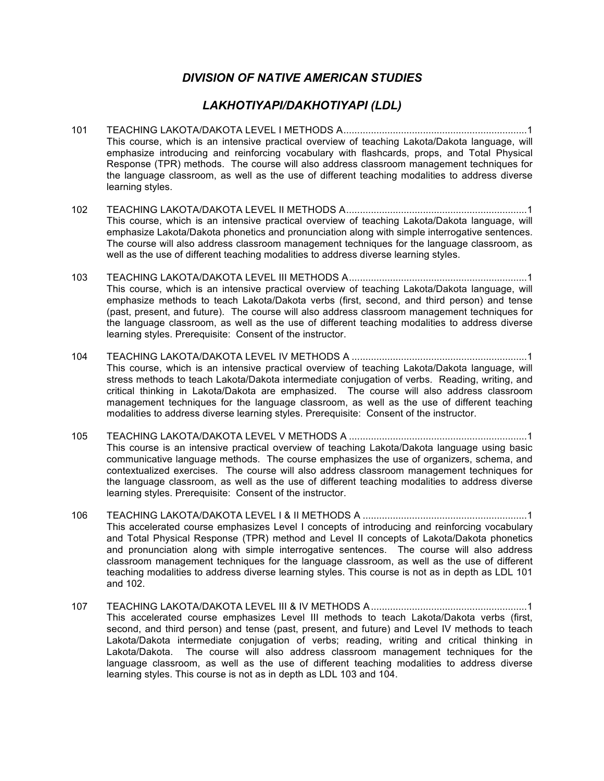#### *DIVISION OF NATIVE AMERICAN STUDIES*

#### *LAKHOTIYAPI/DAKHOTIYAPI (LDL)*

- 101 TEACHING LAKOTA/DAKOTA LEVEL I METHODS A...................................................................1 This course, which is an intensive practical overview of teaching Lakota/Dakota language, will emphasize introducing and reinforcing vocabulary with flashcards, props, and Total Physical Response (TPR) methods. The course will also address classroom management techniques for the language classroom, as well as the use of different teaching modalities to address diverse learning styles.
- 102 TEACHING LAKOTA/DAKOTA LEVEL II METHODS A..................................................................1 This course, which is an intensive practical overview of teaching Lakota/Dakota language, will emphasize Lakota/Dakota phonetics and pronunciation along with simple interrogative sentences. The course will also address classroom management techniques for the language classroom, as well as the use of different teaching modalities to address diverse learning styles.
- 103 TEACHING LAKOTA/DAKOTA LEVEL III METHODS A.................................................................1 This course, which is an intensive practical overview of teaching Lakota/Dakota language, will emphasize methods to teach Lakota/Dakota verbs (first, second, and third person) and tense (past, present, and future). The course will also address classroom management techniques for the language classroom, as well as the use of different teaching modalities to address diverse learning styles. Prerequisite: Consent of the instructor.
- 104 TEACHING LAKOTA/DAKOTA LEVEL IV METHODS A ................................................................1 This course, which is an intensive practical overview of teaching Lakota/Dakota language, will stress methods to teach Lakota/Dakota intermediate conjugation of verbs. Reading, writing, and critical thinking in Lakota/Dakota are emphasized. The course will also address classroom management techniques for the language classroom, as well as the use of different teaching modalities to address diverse learning styles. Prerequisite: Consent of the instructor.
- 105 TEACHING LAKOTA/DAKOTA LEVEL V METHODS A .................................................................1 This course is an intensive practical overview of teaching Lakota/Dakota language using basic communicative language methods. The course emphasizes the use of organizers, schema, and contextualized exercises. The course will also address classroom management techniques for the language classroom, as well as the use of different teaching modalities to address diverse learning styles. Prerequisite: Consent of the instructor.
- 106 TEACHING LAKOTA/DAKOTA LEVEL I & II METHODS A ............................................................1 This accelerated course emphasizes Level I concepts of introducing and reinforcing vocabulary and Total Physical Response (TPR) method and Level II concepts of Lakota/Dakota phonetics and pronunciation along with simple interrogative sentences. The course will also address classroom management techniques for the language classroom, as well as the use of different teaching modalities to address diverse learning styles. This course is not as in depth as LDL 101 and 102.
- 107 TEACHING LAKOTA/DAKOTA LEVEL III & IV METHODS A.........................................................1 This accelerated course emphasizes Level III methods to teach Lakota/Dakota verbs (first, second, and third person) and tense (past, present, and future) and Level IV methods to teach Lakota/Dakota intermediate conjugation of verbs; reading, writing and critical thinking in Lakota/Dakota. The course will also address classroom management techniques for the language classroom, as well as the use of different teaching modalities to address diverse learning styles. This course is not as in depth as LDL 103 and 104.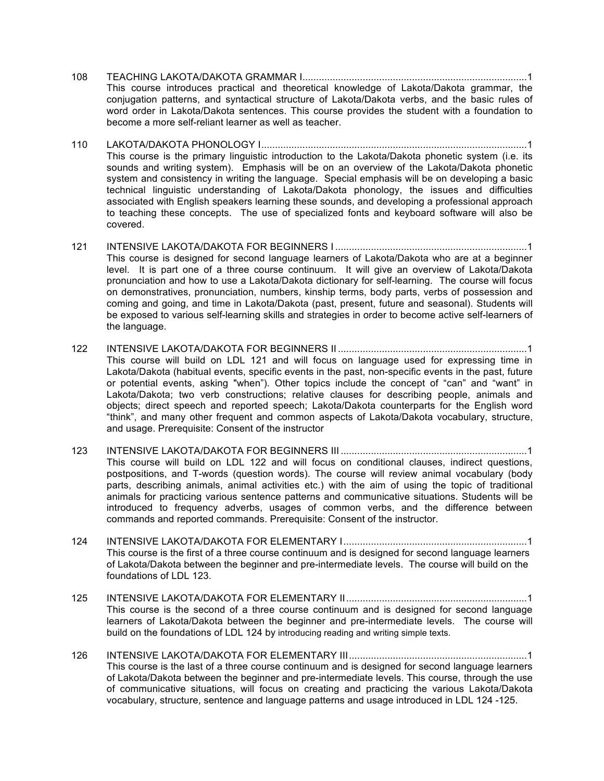- 108 TEACHING LAKOTA/DAKOTA GRAMMAR I..................................................................................1 This course introduces practical and theoretical knowledge of Lakota/Dakota grammar, the conjugation patterns, and syntactical structure of Lakota/Dakota verbs, and the basic rules of word order in Lakota/Dakota sentences. This course provides the student with a foundation to become a more self-reliant learner as well as teacher.
- 110 LAKOTA/DAKOTA PHONOLOGY I.................................................................................................1 This course is the primary linguistic introduction to the Lakota/Dakota phonetic system (i.e. its sounds and writing system). Emphasis will be on an overview of the Lakota/Dakota phonetic system and consistency in writing the language. Special emphasis will be on developing a basic technical linguistic understanding of Lakota/Dakota phonology, the issues and difficulties associated with English speakers learning these sounds, and developing a professional approach to teaching these concepts. The use of specialized fonts and keyboard software will also be covered.
- 121 INTENSIVE LAKOTA/DAKOTA FOR BEGINNERS I ......................................................................1 This course is designed for second language learners of Lakota/Dakota who are at a beginner level. It is part one of a three course continuum. It will give an overview of Lakota/Dakota pronunciation and how to use a Lakota/Dakota dictionary for self-learning. The course will focus on demonstratives, pronunciation, numbers, kinship terms, body parts, verbs of possession and coming and going, and time in Lakota/Dakota (past, present, future and seasonal). Students will be exposed to various self-learning skills and strategies in order to become active self-learners of the language.
- 122 INTENSIVE LAKOTA/DAKOTA FOR BEGINNERS II .....................................................................1 This course will build on LDL 121 and will focus on language used for expressing time in Lakota/Dakota (habitual events, specific events in the past, non-specific events in the past, future or potential events, asking "when"). Other topics include the concept of "can" and "want" in Lakota/Dakota; two verb constructions; relative clauses for describing people, animals and objects; direct speech and reported speech; Lakota/Dakota counterparts for the English word "think", and many other frequent and common aspects of Lakota/Dakota vocabulary, structure, and usage. Prerequisite: Consent of the instructor
- 123 INTENSIVE LAKOTA/DAKOTA FOR BEGINNERS III ....................................................................1 This course will build on LDL 122 and will focus on conditional clauses, indirect questions, postpositions, and T-words (question words). The course will review animal vocabulary (body parts, describing animals, animal activities etc.) with the aim of using the topic of traditional animals for practicing various sentence patterns and communicative situations. Students will be introduced to frequency adverbs, usages of common verbs, and the difference between commands and reported commands. Prerequisite: Consent of the instructor.
- 124 INTENSIVE LAKOTA/DAKOTA FOR ELEMENTARY I...................................................................1 This course is the first of a three course continuum and is designed for second language learners of Lakota/Dakota between the beginner and pre-intermediate levels. The course will build on the foundations of LDL 123.
- 125 INTENSIVE LAKOTA/DAKOTA FOR ELEMENTARY II..................................................................1 This course is the second of a three course continuum and is designed for second language learners of Lakota/Dakota between the beginner and pre-intermediate levels. The course will build on the foundations of LDL 124 by introducing reading and writing simple texts.
- 126 INTENSIVE LAKOTA/DAKOTA FOR ELEMENTARY III.................................................................1 This course is the last of a three course continuum and is designed for second language learners of Lakota/Dakota between the beginner and pre-intermediate levels. This course, through the use of communicative situations, will focus on creating and practicing the various Lakota/Dakota vocabulary, structure, sentence and language patterns and usage introduced in LDL 124 -125.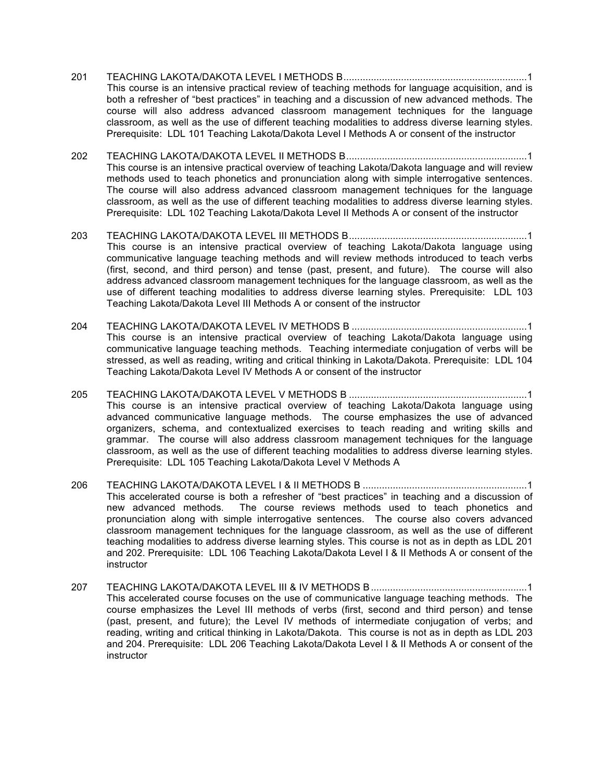- 201 TEACHING LAKOTA/DAKOTA LEVEL I METHODS B...................................................................1 This course is an intensive practical review of teaching methods for language acquisition, and is both a refresher of "best practices" in teaching and a discussion of new advanced methods. The course will also address advanced classroom management techniques for the language classroom, as well as the use of different teaching modalities to address diverse learning styles. Prerequisite: LDL 101 Teaching Lakota/Dakota Level I Methods A or consent of the instructor
- 202 TEACHING LAKOTA/DAKOTA LEVEL II METHODS B..................................................................1 This course is an intensive practical overview of teaching Lakota/Dakota language and will review methods used to teach phonetics and pronunciation along with simple interrogative sentences. The course will also address advanced classroom management techniques for the language classroom, as well as the use of different teaching modalities to address diverse learning styles. Prerequisite: LDL 102 Teaching Lakota/Dakota Level II Methods A or consent of the instructor
- 203 TEACHING LAKOTA/DAKOTA LEVEL III METHODS B.................................................................1 This course is an intensive practical overview of teaching Lakota/Dakota language using communicative language teaching methods and will review methods introduced to teach verbs (first, second, and third person) and tense (past, present, and future). The course will also address advanced classroom management techniques for the language classroom, as well as the use of different teaching modalities to address diverse learning styles. Prerequisite: LDL 103 Teaching Lakota/Dakota Level III Methods A or consent of the instructor
- 204 TEACHING LAKOTA/DAKOTA LEVEL IV METHODS B ................................................................1 This course is an intensive practical overview of teaching Lakota/Dakota language using communicative language teaching methods. Teaching intermediate conjugation of verbs will be stressed, as well as reading, writing and critical thinking in Lakota/Dakota. Prerequisite: LDL 104 Teaching Lakota/Dakota Level IV Methods A or consent of the instructor
- 205 TEACHING LAKOTA/DAKOTA LEVEL V METHODS B .................................................................1 This course is an intensive practical overview of teaching Lakota/Dakota language using advanced communicative language methods. The course emphasizes the use of advanced organizers, schema, and contextualized exercises to teach reading and writing skills and grammar. The course will also address classroom management techniques for the language classroom, as well as the use of different teaching modalities to address diverse learning styles. Prerequisite: LDL 105 Teaching Lakota/Dakota Level V Methods A
- 206 TEACHING LAKOTA/DAKOTA LEVEL I & II METHODS B ............................................................1 This accelerated course is both a refresher of "best practices" in teaching and a discussion of new advanced methods. The course reviews methods used to teach phonetics and pronunciation along with simple interrogative sentences. The course also covers advanced classroom management techniques for the language classroom, as well as the use of different teaching modalities to address diverse learning styles. This course is not as in depth as LDL 201 and 202. Prerequisite: LDL 106 Teaching Lakota/Dakota Level I & II Methods A or consent of the instructor
- 207 TEACHING LAKOTA/DAKOTA LEVEL III & IV METHODS B.........................................................1 This accelerated course focuses on the use of communicative language teaching methods. The course emphasizes the Level III methods of verbs (first, second and third person) and tense (past, present, and future); the Level IV methods of intermediate conjugation of verbs; and reading, writing and critical thinking in Lakota/Dakota. This course is not as in depth as LDL 203 and 204. Prerequisite: LDL 206 Teaching Lakota/Dakota Level I & II Methods A or consent of the instructor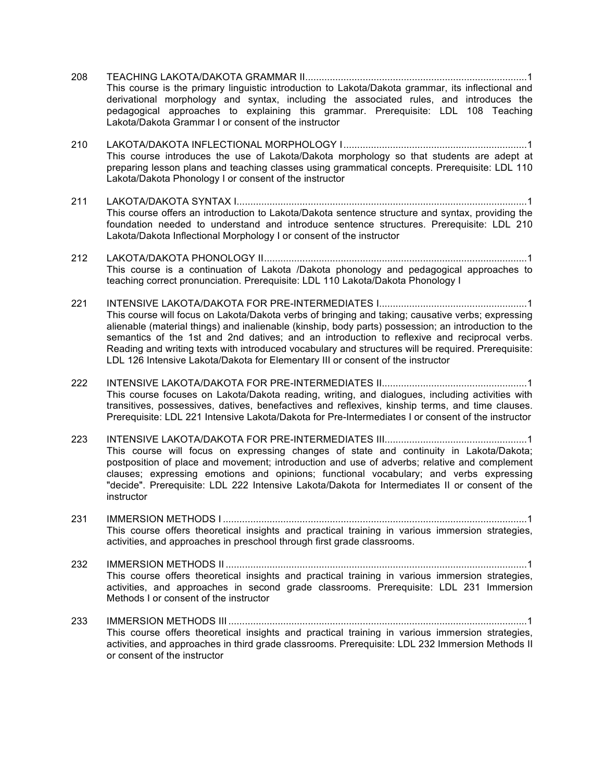| 208 | This course is the primary linguistic introduction to Lakota/Dakota grammar, its inflectional and<br>derivational morphology and syntax, including the associated rules, and introduces the<br>pedagogical approaches to explaining this grammar. Prerequisite: LDL 108 Teaching<br>Lakota/Dakota Grammar I or consent of the instructor                                                                                                                                                            |
|-----|-----------------------------------------------------------------------------------------------------------------------------------------------------------------------------------------------------------------------------------------------------------------------------------------------------------------------------------------------------------------------------------------------------------------------------------------------------------------------------------------------------|
| 210 | This course introduces the use of Lakota/Dakota morphology so that students are adept at<br>preparing lesson plans and teaching classes using grammatical concepts. Prerequisite: LDL 110<br>Lakota/Dakota Phonology I or consent of the instructor                                                                                                                                                                                                                                                 |
| 211 | This course offers an introduction to Lakota/Dakota sentence structure and syntax, providing the<br>foundation needed to understand and introduce sentence structures. Prerequisite: LDL 210<br>Lakota/Dakota Inflectional Morphology I or consent of the instructor                                                                                                                                                                                                                                |
| 212 | This course is a continuation of Lakota /Dakota phonology and pedagogical approaches to<br>teaching correct pronunciation. Prerequisite: LDL 110 Lakota/Dakota Phonology I                                                                                                                                                                                                                                                                                                                          |
| 221 | This course will focus on Lakota/Dakota verbs of bringing and taking; causative verbs; expressing<br>alienable (material things) and inalienable (kinship, body parts) possession; an introduction to the<br>semantics of the 1st and 2nd datives; and an introduction to reflexive and reciprocal verbs.<br>Reading and writing texts with introduced vocabulary and structures will be required. Prerequisite:<br>LDL 126 Intensive Lakota/Dakota for Elementary III or consent of the instructor |
| 222 | This course focuses on Lakota/Dakota reading, writing, and dialogues, including activities with<br>transitives, possessives, datives, benefactives and reflexives, kinship terms, and time clauses.<br>Prerequisite: LDL 221 Intensive Lakota/Dakota for Pre-Intermediates I or consent of the instructor                                                                                                                                                                                           |
| 223 | This course will focus on expressing changes of state and continuity in Lakota/Dakota;<br>postposition of place and movement; introduction and use of adverbs; relative and complement<br>clauses; expressing emotions and opinions; functional vocabulary; and verbs expressing<br>"decide". Prerequisite: LDL 222 Intensive Lakota/Dakota for Intermediates II or consent of the<br>instructor                                                                                                    |
| 231 | This course offers theoretical insights and practical training in various immersion strategies,<br>activities, and approaches in preschool through first grade classrooms.                                                                                                                                                                                                                                                                                                                          |
| 232 | a constituted the electronic constitution of the design of the constitution of the constitution of the constitution of the constitution of the constitution of the constitution of the constitution of the constitution of the                                                                                                                                                                                                                                                                      |

This course offers theoretical insights and practical training in various immersion strategies, activities, and approaches in second grade classrooms. Prerequisite: LDL 231 Immersion Methods I or consent of the instructor

233 IMMERSION METHODS III .............................................................................................................1 This course offers theoretical insights and practical training in various immersion strategies, activities, and approaches in third grade classrooms. Prerequisite: LDL 232 Immersion Methods II or consent of the instructor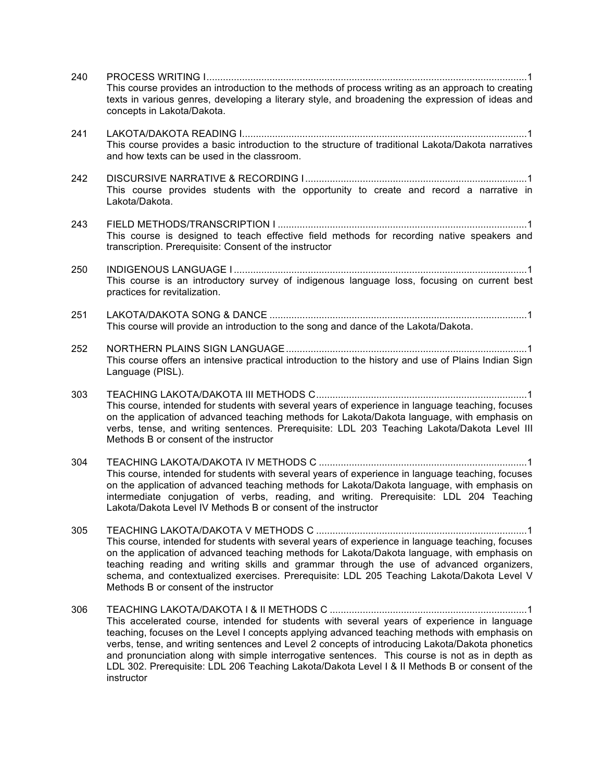| 240 | This course provides an introduction to the methods of process writing as an approach to creating<br>texts in various genres, developing a literary style, and broadening the expression of ideas and<br>concepts in Lakota/Dakota.                                                                                                                                                                                                                                                                               |
|-----|-------------------------------------------------------------------------------------------------------------------------------------------------------------------------------------------------------------------------------------------------------------------------------------------------------------------------------------------------------------------------------------------------------------------------------------------------------------------------------------------------------------------|
| 241 | This course provides a basic introduction to the structure of traditional Lakota/Dakota narratives<br>and how texts can be used in the classroom.                                                                                                                                                                                                                                                                                                                                                                 |
| 242 | This course provides students with the opportunity to create and record a narrative in<br>Lakota/Dakota.                                                                                                                                                                                                                                                                                                                                                                                                          |
| 243 | This course is designed to teach effective field methods for recording native speakers and<br>transcription. Prerequisite: Consent of the instructor                                                                                                                                                                                                                                                                                                                                                              |
| 250 | This course is an introductory survey of indigenous language loss, focusing on current best<br>practices for revitalization.                                                                                                                                                                                                                                                                                                                                                                                      |
| 251 | This course will provide an introduction to the song and dance of the Lakota/Dakota.                                                                                                                                                                                                                                                                                                                                                                                                                              |
| 252 | This course offers an intensive practical introduction to the history and use of Plains Indian Sign<br>Language (PISL).                                                                                                                                                                                                                                                                                                                                                                                           |
| 303 | This course, intended for students with several years of experience in language teaching, focuses<br>on the application of advanced teaching methods for Lakota/Dakota language, with emphasis on<br>verbs, tense, and writing sentences. Prerequisite: LDL 203 Teaching Lakota/Dakota Level III<br>Methods B or consent of the instructor                                                                                                                                                                        |
| 304 | This course, intended for students with several years of experience in language teaching, focuses<br>on the application of advanced teaching methods for Lakota/Dakota language, with emphasis on<br>intermediate conjugation of verbs, reading, and writing. Prerequisite: LDL 204 Teaching<br>Lakota/Dakota Level IV Methods B or consent of the instructor                                                                                                                                                     |
| 305 | This course, intended for students with several years of experience in language teaching, focuses<br>on the application of advanced teaching methods for Lakota/Dakota language, with emphasis on<br>teaching reading and writing skills and grammar through the use of advanced organizers,<br>schema, and contextualized exercises. Prerequisite: LDL 205 Teaching Lakota/Dakota Level V<br>Methods B or consent of the instructor                                                                              |
| 306 | This accelerated course, intended for students with several years of experience in language<br>teaching, focuses on the Level I concepts applying advanced teaching methods with emphasis on<br>verbs, tense, and writing sentences and Level 2 concepts of introducing Lakota/Dakota phonetics<br>and pronunciation along with simple interrogative sentences. This course is not as in depth as<br>LDL 302. Prerequisite: LDL 206 Teaching Lakota/Dakota Level I & II Methods B or consent of the<br>instructor |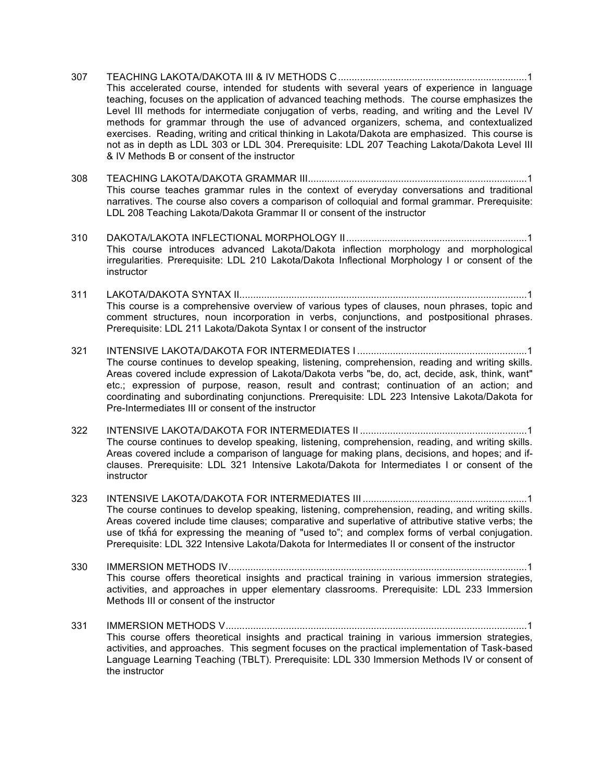- 307 TEACHING LAKOTA/DAKOTA III & IV METHODS C.....................................................................1 This accelerated course, intended for students with several years of experience in language teaching, focuses on the application of advanced teaching methods. The course emphasizes the Level III methods for intermediate conjugation of verbs, reading, and writing and the Level IV methods for grammar through the use of advanced organizers, schema, and contextualized exercises. Reading, writing and critical thinking in Lakota/Dakota are emphasized. This course is not as in depth as LDL 303 or LDL 304. Prerequisite: LDL 207 Teaching Lakota/Dakota Level III & IV Methods B or consent of the instructor
- 308 TEACHING LAKOTA/DAKOTA GRAMMAR III................................................................................1 This course teaches grammar rules in the context of everyday conversations and traditional narratives. The course also covers a comparison of colloquial and formal grammar. Prerequisite: LDL 208 Teaching Lakota/Dakota Grammar II or consent of the instructor
- 310 DAKOTA/LAKOTA INFLECTIONAL MORPHOLOGY II..................................................................1 This course introduces advanced Lakota/Dakota inflection morphology and morphological irregularities. Prerequisite: LDL 210 Lakota/Dakota Inflectional Morphology I or consent of the instructor
- 311 LAKOTA/DAKOTA SYNTAX II.........................................................................................................1 This course is a comprehensive overview of various types of clauses, noun phrases, topic and comment structures, noun incorporation in verbs, conjunctions, and postpositional phrases. Prerequisite: LDL 211 Lakota/Dakota Syntax I or consent of the instructor
- 321 INTENSIVE LAKOTA/DAKOTA FOR INTERMEDIATES I ..............................................................1 The course continues to develop speaking, listening, comprehension, reading and writing skills. Areas covered include expression of Lakota/Dakota verbs "be, do, act, decide, ask, think, want" etc.; expression of purpose, reason, result and contrast; continuation of an action; and coordinating and subordinating conjunctions. Prerequisite: LDL 223 Intensive Lakota/Dakota for Pre-Intermediates III or consent of the instructor
- 322 INTENSIVE LAKOTA/DAKOTA FOR INTERMEDIATES II .............................................................1 The course continues to develop speaking, listening, comprehension, reading, and writing skills. Areas covered include a comparison of language for making plans, decisions, and hopes; and ifclauses. Prerequisite: LDL 321 Intensive Lakota/Dakota for Intermediates I or consent of the instructor
- 323 INTENSIVE LAKOTA/DAKOTA FOR INTERMEDIATES III ............................................................1 The course continues to develop speaking, listening, comprehension, reading, and writing skills. Areas covered include time clauses; comparative and superlative of attributive stative verbs; the use of tkȟá for expressing the meaning of "used to"; and complex forms of verbal conjugation. Prerequisite: LDL 322 Intensive Lakota/Dakota for Intermediates II or consent of the instructor
- 330 IMMERSION METHODS IV.............................................................................................................1 This course offers theoretical insights and practical training in various immersion strategies, activities, and approaches in upper elementary classrooms. Prerequisite: LDL 233 Immersion Methods III or consent of the instructor
- 331 IMMERSION METHODS V..............................................................................................................1 This course offers theoretical insights and practical training in various immersion strategies, activities, and approaches. This segment focuses on the practical implementation of Task-based Language Learning Teaching (TBLT). Prerequisite: LDL 330 Immersion Methods IV or consent of the instructor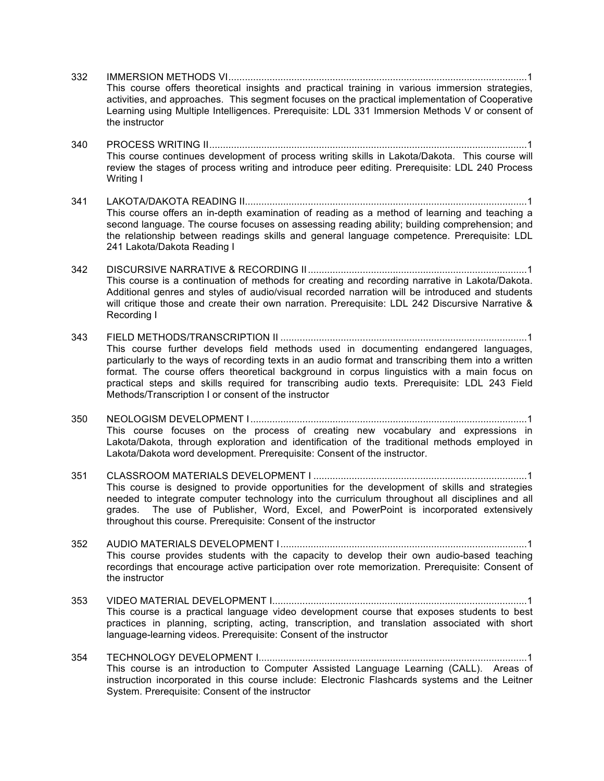- 332 IMMERSION METHODS VI.............................................................................................................1 This course offers theoretical insights and practical training in various immersion strategies, activities, and approaches. This segment focuses on the practical implementation of Cooperative Learning using Multiple Intelligences. Prerequisite: LDL 331 Immersion Methods V or consent of the instructor
- 340 PROCESS WRITING II....................................................................................................................1 This course continues development of process writing skills in Lakota/Dakota. This course will review the stages of process writing and introduce peer editing. Prerequisite: LDL 240 Process Writing I
- 341 LAKOTA/DAKOTA READING II.......................................................................................................1 This course offers an in-depth examination of reading as a method of learning and teaching a second language. The course focuses on assessing reading ability; building comprehension; and the relationship between readings skills and general language competence. Prerequisite: LDL 241 Lakota/Dakota Reading I
- 342 DISCURSIVE NARRATIVE & RECORDING II................................................................................1 This course is a continuation of methods for creating and recording narrative in Lakota/Dakota. Additional genres and styles of audio/visual recorded narration will be introduced and students will critique those and create their own narration. Prerequisite: LDL 242 Discursive Narrative & Recording I
- 343 FIELD METHODS/TRANSCRIPTION II ..........................................................................................1 This course further develops field methods used in documenting endangered languages, particularly to the ways of recording texts in an audio format and transcribing them into a written format. The course offers theoretical background in corpus linguistics with a main focus on practical steps and skills required for transcribing audio texts. Prerequisite: LDL 243 Field Methods/Transcription I or consent of the instructor
- 350 NEOLOGISM DEVELOPMENT I.....................................................................................................1 This course focuses on the process of creating new vocabulary and expressions in Lakota/Dakota, through exploration and identification of the traditional methods employed in Lakota/Dakota word development. Prerequisite: Consent of the instructor.
- 351 CLASSROOM MATERIALS DEVELOPMENT I ..............................................................................1 This course is designed to provide opportunities for the development of skills and strategies needed to integrate computer technology into the curriculum throughout all disciplines and all grades. The use of Publisher, Word, Excel, and PowerPoint is incorporated extensively throughout this course. Prerequisite: Consent of the instructor
- 352 AUDIO MATERIALS DEVELOPMENT I..........................................................................................1 This course provides students with the capacity to develop their own audio-based teaching recordings that encourage active participation over rote memorization. Prerequisite: Consent of the instructor
- 353 VIDEO MATERIAL DEVELOPMENT I.............................................................................................1 This course is a practical language video development course that exposes students to best practices in planning, scripting, acting, transcription, and translation associated with short language-learning videos. Prerequisite: Consent of the instructor
- 354 TECHNOLOGY DEVELOPMENT I..................................................................................................1 This course is an introduction to Computer Assisted Language Learning (CALL). Areas of instruction incorporated in this course include: Electronic Flashcards systems and the Leitner System. Prerequisite: Consent of the instructor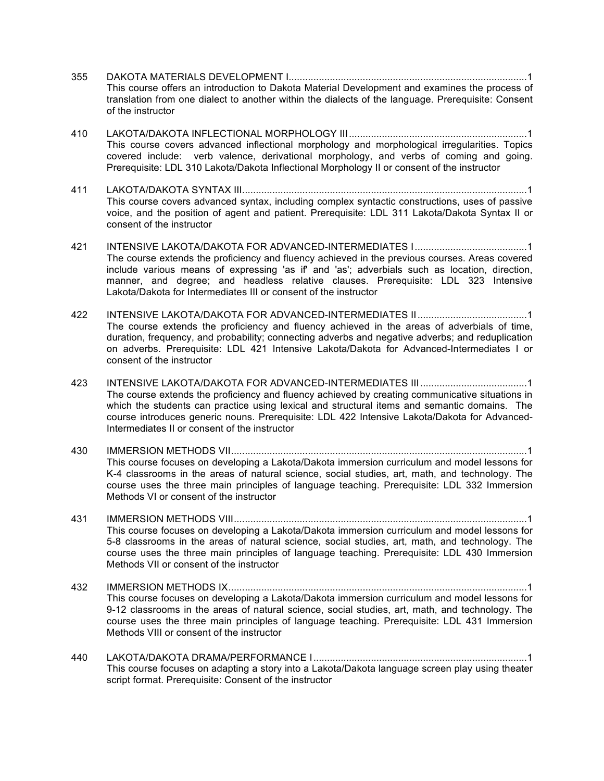- 355 DAKOTA MATERIALS DEVELOPMENT I.......................................................................................1 This course offers an introduction to Dakota Material Development and examines the process of translation from one dialect to another within the dialects of the language. Prerequisite: Consent of the instructor
- 410 LAKOTA/DAKOTA INFLECTIONAL MORPHOLOGY III.................................................................1 This course covers advanced inflectional morphology and morphological irregularities. Topics covered include: verb valence, derivational morphology, and verbs of coming and going. Prerequisite: LDL 310 Lakota/Dakota Inflectional Morphology II or consent of the instructor
- 411 LAKOTA/DAKOTA SYNTAX III........................................................................................................1 This course covers advanced syntax, including complex syntactic constructions, uses of passive voice, and the position of agent and patient. Prerequisite: LDL 311 Lakota/Dakota Syntax II or consent of the instructor
- 421 INTENSIVE LAKOTA/DAKOTA FOR ADVANCED-INTERMEDIATES I.........................................1 The course extends the proficiency and fluency achieved in the previous courses. Areas covered include various means of expressing 'as if' and 'as'; adverbials such as location, direction, manner, and degree; and headless relative clauses. Prerequisite: LDL 323 Intensive Lakota/Dakota for Intermediates III or consent of the instructor
- 422 INTENSIVE LAKOTA/DAKOTA FOR ADVANCED-INTERMEDIATES II........................................1 The course extends the proficiency and fluency achieved in the areas of adverbials of time, duration, frequency, and probability; connecting adverbs and negative adverbs; and reduplication on adverbs. Prerequisite: LDL 421 Intensive Lakota/Dakota for Advanced-Intermediates I or consent of the instructor
- 423 INTENSIVE LAKOTA/DAKOTA FOR ADVANCED-INTERMEDIATES III.......................................1 The course extends the proficiency and fluency achieved by creating communicative situations in which the students can practice using lexical and structural items and semantic domains. The course introduces generic nouns. Prerequisite: LDL 422 Intensive Lakota/Dakota for Advanced-Intermediates II or consent of the instructor
- 430 IMMERSION METHODS VII............................................................................................................1 This course focuses on developing a Lakota/Dakota immersion curriculum and model lessons for K-4 classrooms in the areas of natural science, social studies, art, math, and technology. The course uses the three main principles of language teaching. Prerequisite: LDL 332 Immersion Methods VI or consent of the instructor
- 431 IMMERSION METHODS VIII...........................................................................................................1 This course focuses on developing a Lakota/Dakota immersion curriculum and model lessons for 5-8 classrooms in the areas of natural science, social studies, art, math, and technology. The course uses the three main principles of language teaching. Prerequisite: LDL 430 Immersion Methods VII or consent of the instructor
- 432 IMMERSION METHODS IX.............................................................................................................1 This course focuses on developing a Lakota/Dakota immersion curriculum and model lessons for 9-12 classrooms in the areas of natural science, social studies, art, math, and technology. The course uses the three main principles of language teaching. Prerequisite: LDL 431 Immersion Methods VIII or consent of the instructor
- 440 LAKOTA/DAKOTA DRAMA/PERFORMANCE I..............................................................................1 This course focuses on adapting a story into a Lakota/Dakota language screen play using theater script format. Prerequisite: Consent of the instructor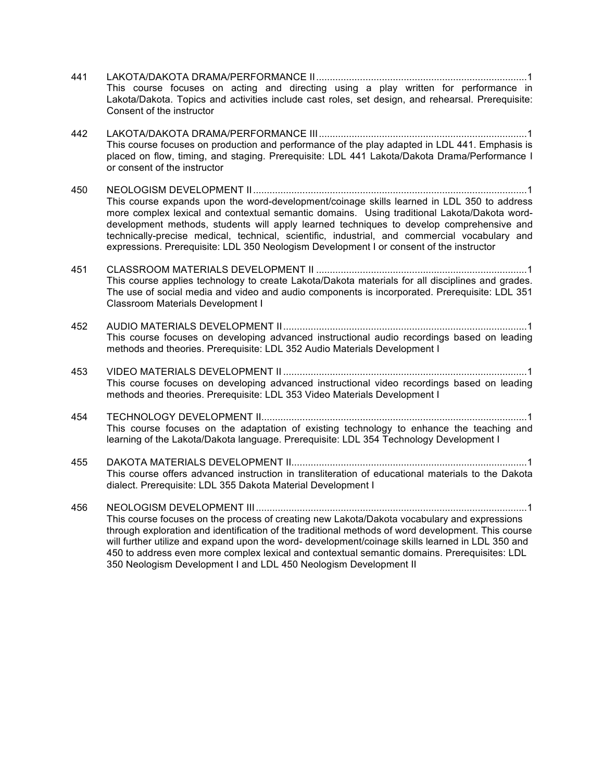- 441 LAKOTA/DAKOTA DRAMA/PERFORMANCE II.............................................................................1 This course focuses on acting and directing using a play written for performance in Lakota/Dakota. Topics and activities include cast roles, set design, and rehearsal. Prerequisite: Consent of the instructor
- 442 LAKOTA/DAKOTA DRAMA/PERFORMANCE III............................................................................1 This course focuses on production and performance of the play adapted in LDL 441. Emphasis is placed on flow, timing, and staging. Prerequisite: LDL 441 Lakota/Dakota Drama/Performance I or consent of the instructor
- 450 NEOLOGISM DEVELOPMENT II....................................................................................................1 This course expands upon the word-development/coinage skills learned in LDL 350 to address more complex lexical and contextual semantic domains. Using traditional Lakota/Dakota worddevelopment methods, students will apply learned techniques to develop comprehensive and technically-precise medical, technical, scientific, industrial, and commercial vocabulary and expressions. Prerequisite: LDL 350 Neologism Development I or consent of the instructor
- 451 CLASSROOM MATERIALS DEVELOPMENT II .............................................................................1 This course applies technology to create Lakota/Dakota materials for all disciplines and grades. The use of social media and video and audio components is incorporated. Prerequisite: LDL 351 Classroom Materials Development I
- 452 AUDIO MATERIALS DEVELOPMENT II.........................................................................................1 This course focuses on developing advanced instructional audio recordings based on leading methods and theories. Prerequisite: LDL 352 Audio Materials Development I
- 453 VIDEO MATERIALS DEVELOPMENT II .........................................................................................1 This course focuses on developing advanced instructional video recordings based on leading methods and theories. Prerequisite: LDL 353 Video Materials Development I
- 454 TECHNOLOGY DEVELOPMENT II.................................................................................................1 This course focuses on the adaptation of existing technology to enhance the teaching and learning of the Lakota/Dakota language. Prerequisite: LDL 354 Technology Development I
- 455 DAKOTA MATERIALS DEVELOPMENT II......................................................................................1 This course offers advanced instruction in transliteration of educational materials to the Dakota dialect. Prerequisite: LDL 355 Dakota Material Development I
- 456 NEOLOGISM DEVELOPMENT III...................................................................................................1 This course focuses on the process of creating new Lakota/Dakota vocabulary and expressions through exploration and identification of the traditional methods of word development. This course will further utilize and expand upon the word- development/coinage skills learned in LDL 350 and 450 to address even more complex lexical and contextual semantic domains. Prerequisites: LDL 350 Neologism Development I and LDL 450 Neologism Development II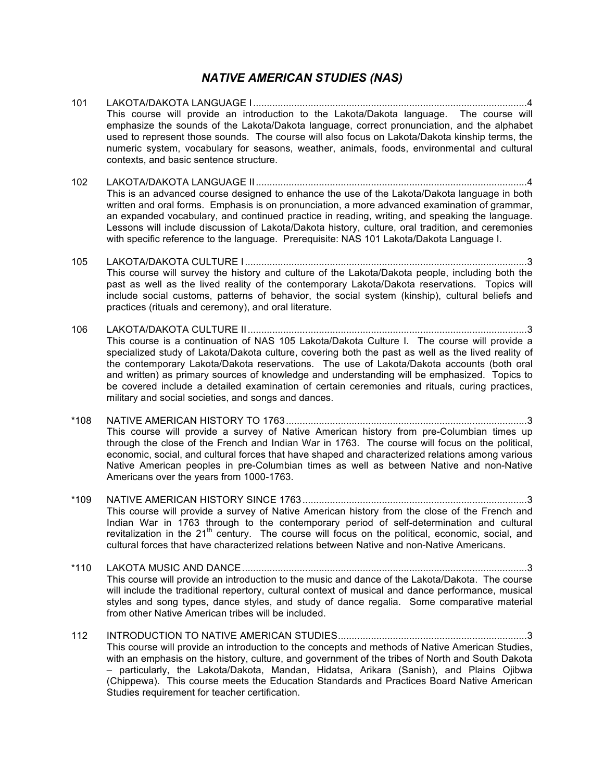#### *NATIVE AMERICAN STUDIES (NAS)*

- 101 LAKOTA/DAKOTA LANGUAGE I....................................................................................................4 This course will provide an introduction to the Lakota/Dakota language. The course will emphasize the sounds of the Lakota/Dakota language, correct pronunciation, and the alphabet used to represent those sounds. The course will also focus on Lakota/Dakota kinship terms, the numeric system, vocabulary for seasons, weather, animals, foods, environmental and cultural contexts, and basic sentence structure.
- 102 LAKOTA/DAKOTA LANGUAGE II...................................................................................................4 This is an advanced course designed to enhance the use of the Lakota/Dakota language in both written and oral forms. Emphasis is on pronunciation, a more advanced examination of grammar, an expanded vocabulary, and continued practice in reading, writing, and speaking the language. Lessons will include discussion of Lakota/Dakota history, culture, oral tradition, and ceremonies with specific reference to the language. Prerequisite: NAS 101 Lakota/Dakota Language I.
- 105 LAKOTA/DAKOTA CULTURE I.......................................................................................................3 This course will survey the history and culture of the Lakota/Dakota people, including both the past as well as the lived reality of the contemporary Lakota/Dakota reservations. Topics will include social customs, patterns of behavior, the social system (kinship), cultural beliefs and practices (rituals and ceremony), and oral literature.
- 106 LAKOTA/DAKOTA CULTURE II......................................................................................................3 This course is a continuation of NAS 105 Lakota/Dakota Culture I. The course will provide a specialized study of Lakota/Dakota culture, covering both the past as well as the lived reality of the contemporary Lakota/Dakota reservations. The use of Lakota/Dakota accounts (both oral and written) as primary sources of knowledge and understanding will be emphasized. Topics to be covered include a detailed examination of certain ceremonies and rituals, curing practices, military and social societies, and songs and dances.
- \*108 NATIVE AMERICAN HISTORY TO 1763........................................................................................3 This course will provide a survey of Native American history from pre-Columbian times up through the close of the French and Indian War in 1763. The course will focus on the political, economic, social, and cultural forces that have shaped and characterized relations among various Native American peoples in pre-Columbian times as well as between Native and non-Native Americans over the years from 1000-1763.
- \*109 NATIVE AMERICAN HISTORY SINCE 1763..................................................................................3 This course will provide a survey of Native American history from the close of the French and Indian War in 1763 through to the contemporary period of self-determination and cultural revitalization in the  $21<sup>th</sup>$  century. The course will focus on the political, economic, social, and cultural forces that have characterized relations between Native and non-Native Americans.
- \*110 LAKOTA MUSIC AND DANCE........................................................................................................3 This course will provide an introduction to the music and dance of the Lakota/Dakota. The course will include the traditional repertory, cultural context of musical and dance performance, musical styles and song types, dance styles, and study of dance regalia. Some comparative material from other Native American tribes will be included.
- 112 INTRODUCTION TO NATIVE AMERICAN STUDIES.....................................................................3 This course will provide an introduction to the concepts and methods of Native American Studies, with an emphasis on the history, culture, and government of the tribes of North and South Dakota – particularly, the Lakota/Dakota, Mandan, Hidatsa, Arikara (Sanish), and Plains Ojibwa (Chippewa). This course meets the Education Standards and Practices Board Native American Studies requirement for teacher certification.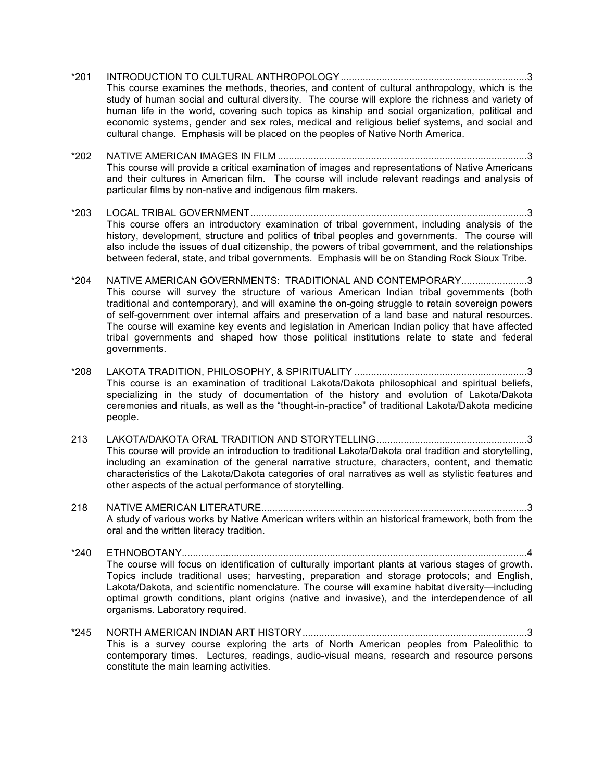- \*201 INTRODUCTION TO CULTURAL ANTHROPOLOGY....................................................................3 This course examines the methods, theories, and content of cultural anthropology, which is the study of human social and cultural diversity. The course will explore the richness and variety of human life in the world, covering such topics as kinship and social organization, political and economic systems, gender and sex roles, medical and religious belief systems, and social and cultural change. Emphasis will be placed on the peoples of Native North America.
- \*202 NATIVE AMERICAN IMAGES IN FILM ...........................................................................................3 This course will provide a critical examination of images and representations of Native Americans and their cultures in American film. The course will include relevant readings and analysis of particular films by non-native and indigenous film makers.
- \*203 LOCAL TRIBAL GOVERNMENT.....................................................................................................3 This course offers an introductory examination of tribal government, including analysis of the history, development, structure and politics of tribal peoples and governments. The course will also include the issues of dual citizenship, the powers of tribal government, and the relationships between federal, state, and tribal governments. Emphasis will be on Standing Rock Sioux Tribe.
- \*204 NATIVE AMERICAN GOVERNMENTS: TRADITIONAL AND CONTEMPORARY........................3 This course will survey the structure of various American Indian tribal governments (both traditional and contemporary), and will examine the on-going struggle to retain sovereign powers of self-government over internal affairs and preservation of a land base and natural resources. The course will examine key events and legislation in American Indian policy that have affected tribal governments and shaped how those political institutions relate to state and federal governments.
- \*208 LAKOTA TRADITION, PHILOSOPHY, & SPIRITUALITY ...............................................................3 This course is an examination of traditional Lakota/Dakota philosophical and spiritual beliefs, specializing in the study of documentation of the history and evolution of Lakota/Dakota ceremonies and rituals, as well as the "thought-in-practice" of traditional Lakota/Dakota medicine people.
- 213 LAKOTA/DAKOTA ORAL TRADITION AND STORYTELLING.......................................................3 This course will provide an introduction to traditional Lakota/Dakota oral tradition and storytelling, including an examination of the general narrative structure, characters, content, and thematic characteristics of the Lakota/Dakota categories of oral narratives as well as stylistic features and other aspects of the actual performance of storytelling.
- 218 NATIVE AMERICAN LITERATURE.................................................................................................3 A study of various works by Native American writers within an historical framework, both from the oral and the written literacy tradition.
- \*240 ETHNOBOTANY..............................................................................................................................4 The course will focus on identification of culturally important plants at various stages of growth. Topics include traditional uses; harvesting, preparation and storage protocols; and English, Lakota/Dakota, and scientific nomenclature. The course will examine habitat diversity—including optimal growth conditions, plant origins (native and invasive), and the interdependence of all organisms. Laboratory required.
- \*245 NORTH AMERICAN INDIAN ART HISTORY..................................................................................3 This is a survey course exploring the arts of North American peoples from Paleolithic to contemporary times. Lectures, readings, audio-visual means, research and resource persons constitute the main learning activities.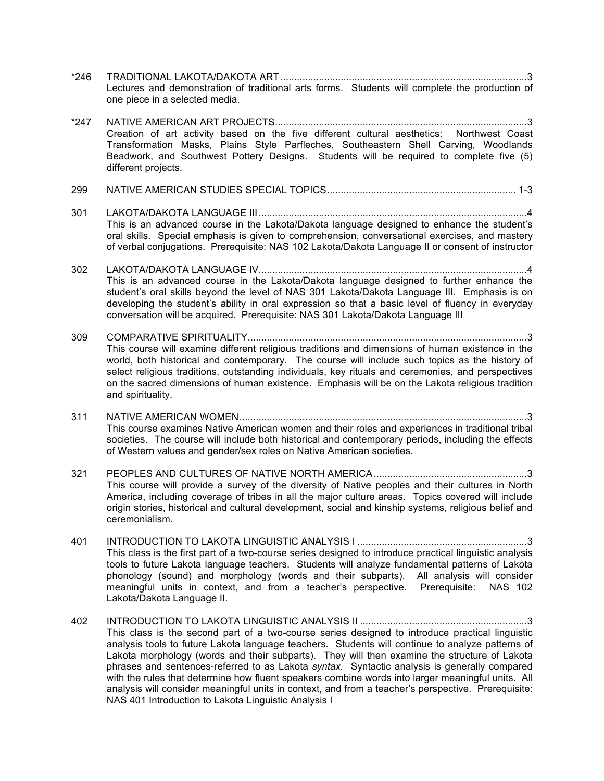- \*246 TRADITIONAL LAKOTA/DAKOTA ART..........................................................................................3 Lectures and demonstration of traditional arts forms. Students will complete the production of one piece in a selected media.
- \*247 NATIVE AMERICAN ART PROJECTS............................................................................................3 Creation of art activity based on the five different cultural aesthetics: Northwest Coast Transformation Masks, Plains Style Parfleches, Southeastern Shell Carving, Woodlands Beadwork, and Southwest Pottery Designs. Students will be required to complete five (5) different projects.
- 299 NATIVE AMERICAN STUDIES SPECIAL TOPICS..................................................................... 1-3
- 301 LAKOTA/DAKOTA LANGUAGE III..................................................................................................4 This is an advanced course in the Lakota/Dakota language designed to enhance the student's oral skills. Special emphasis is given to comprehension, conversational exercises, and mastery of verbal conjugations. Prerequisite: NAS 102 Lakota/Dakota Language II or consent of instructor
- 302 LAKOTA/DAKOTA LANGUAGE IV..................................................................................................4 This is an advanced course in the Lakota/Dakota language designed to further enhance the student's oral skills beyond the level of NAS 301 Lakota/Dakota Language III. Emphasis is on developing the student's ability in oral expression so that a basic level of fluency in everyday conversation will be acquired. Prerequisite: NAS 301 Lakota/Dakota Language III
- 309 COMPARATIVE SPIRITUALITY......................................................................................................3 This course will examine different religious traditions and dimensions of human existence in the world, both historical and contemporary. The course will include such topics as the history of select religious traditions, outstanding individuals, key rituals and ceremonies, and perspectives on the sacred dimensions of human existence. Emphasis will be on the Lakota religious tradition and spirituality.
- 311 NATIVE AMERICAN WOMEN.........................................................................................................3 This course examines Native American women and their roles and experiences in traditional tribal societies. The course will include both historical and contemporary periods, including the effects of Western values and gender/sex roles on Native American societies.
- 321 PEOPLES AND CULTURES OF NATIVE NORTH AMERICA........................................................3 This course will provide a survey of the diversity of Native peoples and their cultures in North America, including coverage of tribes in all the major culture areas. Topics covered will include origin stories, historical and cultural development, social and kinship systems, religious belief and ceremonialism.
- 401 INTRODUCTION TO LAKOTA LINGUISTIC ANALYSIS I ..............................................................3 This class is the first part of a two-course series designed to introduce practical linguistic analysis tools to future Lakota language teachers. Students will analyze fundamental patterns of Lakota phonology (sound) and morphology (words and their subparts). All analysis will consider meaningful units in context, and from a teacher's perspective. Prerequisite: NAS 102 Lakota/Dakota Language II.
- 402 INTRODUCTION TO LAKOTA LINGUISTIC ANALYSIS II .............................................................3 This class is the second part of a two-course series designed to introduce practical linguistic analysis tools to future Lakota language teachers. Students will continue to analyze patterns of Lakota morphology (words and their subparts). They will then examine the structure of Lakota phrases and sentences-referred to as Lakota *syntax.* Syntactic analysis is generally compared with the rules that determine how fluent speakers combine words into larger meaningful units. All analysis will consider meaningful units in context, and from a teacher's perspective. Prerequisite: NAS 401 Introduction to Lakota Linguistic Analysis I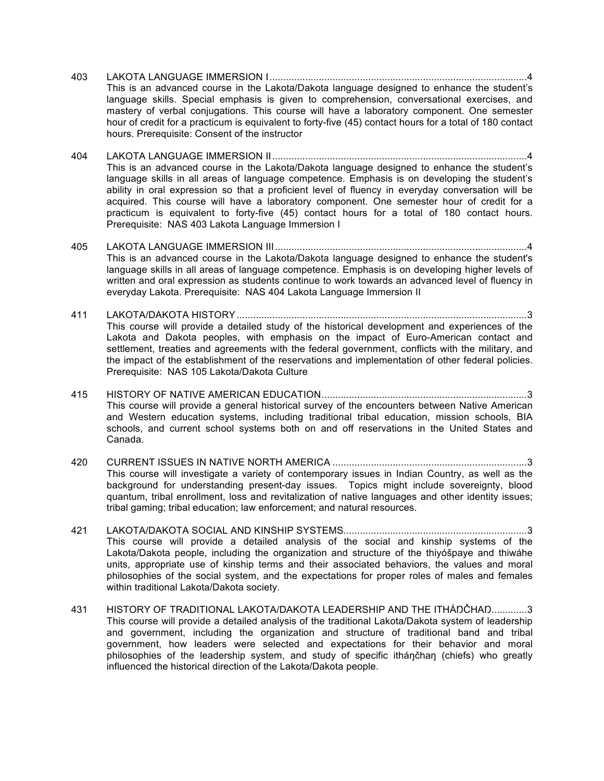- 403 LAKOTA LANGUAGE IMMERSION I..............................................................................................4 This is an advanced course in the Lakota/Dakota language designed to enhance the student's language skills. Special emphasis is given to comprehension, conversational exercises, and mastery of verbal conjugations. This course will have a laboratory component. One semester hour of credit for a practicum is equivalent to forty-five (45) contact hours for a total of 180 contact hours. Prerequisite: Consent of the instructor
- 404 LAKOTA LANGUAGE IMMERSION II.............................................................................................4 This is an advanced course in the Lakota/Dakota language designed to enhance the student's language skills in all areas of language competence. Emphasis is on developing the student's ability in oral expression so that a proficient level of fluency in everyday conversation will be acquired. This course will have a laboratory component. One semester hour of credit for a practicum is equivalent to forty-five (45) contact hours for a total of 180 contact hours. Prerequisite: NAS 403 Lakota Language Immersion I
- 405 LAKOTA LANGUAGE IMMERSION III............................................................................................4 This is an advanced course in the Lakota/Dakota language designed to enhance the student's language skills in all areas of language competence. Emphasis is on developing higher levels of written and oral expression as students continue to work towards an advanced level of fluency in everyday Lakota. Prerequisite: NAS 404 Lakota Language Immersion II
- 411 LAKOTA/DAKOTA HISTORY..........................................................................................................3 This course will provide a detailed study of the historical development and experiences of the Lakota and Dakota peoples, with emphasis on the impact of Euro-American contact and settlement, treaties and agreements with the federal government, conflicts with the military, and the impact of the establishment of the reservations and implementation of other federal policies. Prerequisite: NAS 105 Lakota/Dakota Culture
- 415 HISTORY OF NATIVE AMERICAN EDUCATION...........................................................................3 This course will provide a general historical survey of the encounters between Native American and Western education systems, including traditional tribal education, mission schools, BIA schools, and current school systems both on and off reservations in the United States and Canada.
- 420 CURRENT ISSUES IN NATIVE NORTH AMERICA .......................................................................3 This course will investigate a variety of contemporary issues in Indian Country, as well as the background for understanding present-day issues. Topics might include sovereignty, blood quantum, tribal enrollment, loss and revitalization of native languages and other identity issues; tribal gaming; tribal education; law enforcement; and natural resources.
- 421 LAKOTA/DAKOTA SOCIAL AND KINSHIP SYSTEMS...................................................................3 This course will provide a detailed analysis of the social and kinship systems of the Lakota/Dakota people, including the organization and structure of the thiyóšpaye and thiwáhe units, appropriate use of kinship terms and their associated behaviors, the values and moral philosophies of the social system, and the expectations for proper roles of males and females within traditional Lakota/Dakota society.
- 431 HISTORY OF TRADITIONAL LAKOTA/DAKOTA LEADERSHIP AND THE ITHÁŊČHAŊ.............3 This course will provide a detailed analysis of the traditional Lakota/Dakota system of leadership and government, including the organization and structure of traditional band and tribal government, how leaders were selected and expectations for their behavior and moral philosophies of the leadership system, and study of specific itháŋčhaŋ (chiefs) who greatly influenced the historical direction of the Lakota/Dakota people.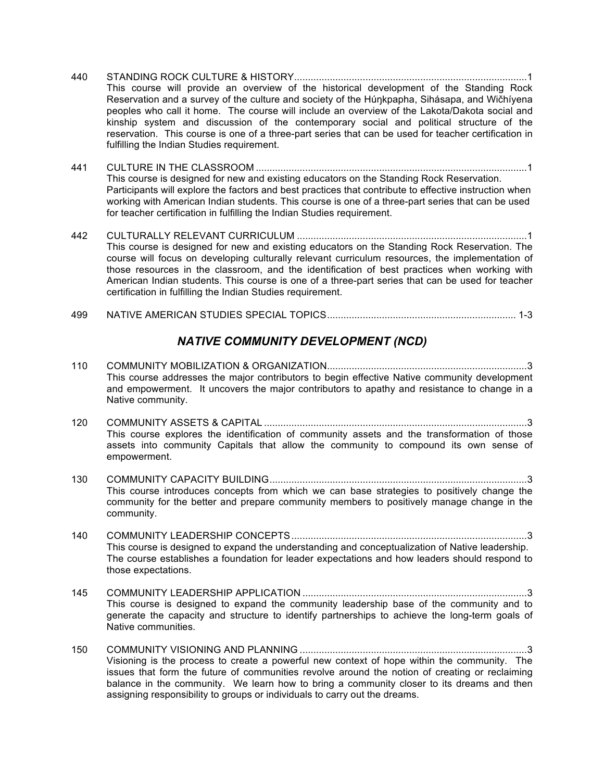- 440 STANDING ROCK CULTURE & HISTORY.....................................................................................1 This course will provide an overview of the historical development of the Standing Rock Reservation and a survey of the culture and society of the Húŋkpapha, Sihásapa, and Wičhíyena peoples who call it home. The course will include an overview of the Lakota/Dakota social and kinship system and discussion of the contemporary social and political structure of the reservation. This course is one of a three-part series that can be used for teacher certification in fulfilling the Indian Studies requirement.
- 441 CULTURE IN THE CLASSROOM ...................................................................................................1 This course is designed for new and existing educators on the Standing Rock Reservation. Participants will explore the factors and best practices that contribute to effective instruction when working with American Indian students. This course is one of a three-part series that can be used for teacher certification in fulfilling the Indian Studies requirement.
- 442 CULTURALLY RELEVANT CURRICULUM ....................................................................................1 This course is designed for new and existing educators on the Standing Rock Reservation. The course will focus on developing culturally relevant curriculum resources, the implementation of those resources in the classroom, and the identification of best practices when working with American Indian students. This course is one of a three-part series that can be used for teacher certification in fulfilling the Indian Studies requirement.

#### 499 NATIVE AMERICAN STUDIES SPECIAL TOPICS..................................................................... 1-3

#### *NATIVE COMMUNITY DEVELOPMENT (NCD)*

- 110 COMMUNITY MOBILIZATION & ORGANIZATION.........................................................................3 This course addresses the major contributors to begin effective Native community development and empowerment. It uncovers the major contributors to apathy and resistance to change in a Native community.
- 120 COMMUNITY ASSETS & CAPITAL ................................................................................................3 This course explores the identification of community assets and the transformation of those assets into community Capitals that allow the community to compound its own sense of empowerment.
- 130 COMMUNITY CAPACITY BUILDING..............................................................................................3 This course introduces concepts from which we can base strategies to positively change the community for the better and prepare community members to positively manage change in the community.
- 140 COMMUNITY LEADERSHIP CONCEPTS......................................................................................3 This course is designed to expand the understanding and conceptualization of Native leadership. The course establishes a foundation for leader expectations and how leaders should respond to those expectations.
- 145 COMMUNITY LEADERSHIP APPLICATION ..................................................................................3 This course is designed to expand the community leadership base of the community and to generate the capacity and structure to identify partnerships to achieve the long-term goals of Native communities.
- 150 COMMUNITY VISIONING AND PLANNING ...................................................................................3 Visioning is the process to create a powerful new context of hope within the community. The issues that form the future of communities revolve around the notion of creating or reclaiming balance in the community. We learn how to bring a community closer to its dreams and then assigning responsibility to groups or individuals to carry out the dreams.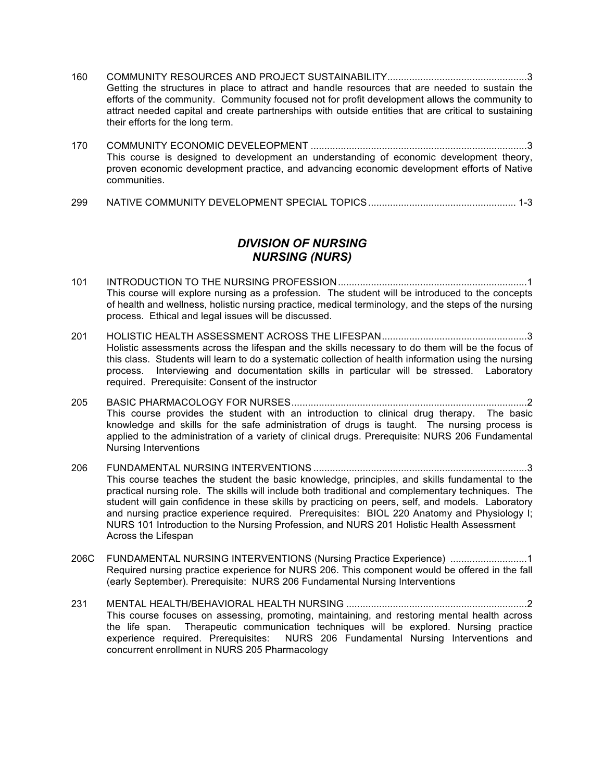- 160 COMMUNITY RESOURCES AND PROJECT SUSTAINABILITY...................................................3 Getting the structures in place to attract and handle resources that are needed to sustain the efforts of the community. Community focused not for profit development allows the community to attract needed capital and create partnerships with outside entities that are critical to sustaining their efforts for the long term.
- 170 COMMUNITY ECONOMIC DEVELEOPMENT ...............................................................................3 This course is designed to development an understanding of economic development theory, proven economic development practice, and advancing economic development efforts of Native communities.
- 299 NATIVE COMMUNITY DEVELOPMENT SPECIAL TOPICS...................................................... 1-3

#### *DIVISION OF NURSING NURSING (NURS)*

- 101 INTRODUCTION TO THE NURSING PROFESSION.....................................................................1 This course will explore nursing as a profession. The student will be introduced to the concepts of health and wellness, holistic nursing practice, medical terminology, and the steps of the nursing process. Ethical and legal issues will be discussed.
- 201 HOLISTIC HEALTH ASSESSMENT ACROSS THE LIFESPAN.....................................................3 Holistic assessments across the lifespan and the skills necessary to do them will be the focus of this class. Students will learn to do a systematic collection of health information using the nursing process. Interviewing and documentation skills in particular will be stressed. Laboratory required. Prerequisite: Consent of the instructor
- 205 BASIC PHARMACOLOGY FOR NURSES......................................................................................2 This course provides the student with an introduction to clinical drug therapy. The basic knowledge and skills for the safe administration of drugs is taught. The nursing process is applied to the administration of a variety of clinical drugs. Prerequisite: NURS 206 Fundamental Nursing Interventions
- 206 FUNDAMENTAL NURSING INTERVENTIONS ..............................................................................3 This course teaches the student the basic knowledge, principles, and skills fundamental to the practical nursing role. The skills will include both traditional and complementary techniques. The student will gain confidence in these skills by practicing on peers, self, and models. Laboratory and nursing practice experience required. Prerequisites: BIOL 220 Anatomy and Physiology I; NURS 101 Introduction to the Nursing Profession, and NURS 201 Holistic Health Assessment Across the Lifespan
- 206C FUNDAMENTAL NURSING INTERVENTIONS (Nursing Practice Experience) ...........................1 Required nursing practice experience for NURS 206. This component would be offered in the fall (early September). Prerequisite: NURS 206 Fundamental Nursing Interventions
- 231 MENTAL HEALTH/BEHAVIORAL HEALTH NURSING ..................................................................2 This course focuses on assessing, promoting, maintaining, and restoring mental health across the life span. Therapeutic communication techniques will be explored. Nursing practice experience required. Prerequisites: NURS 206 Fundamental Nursing Interventions and concurrent enrollment in NURS 205 Pharmacology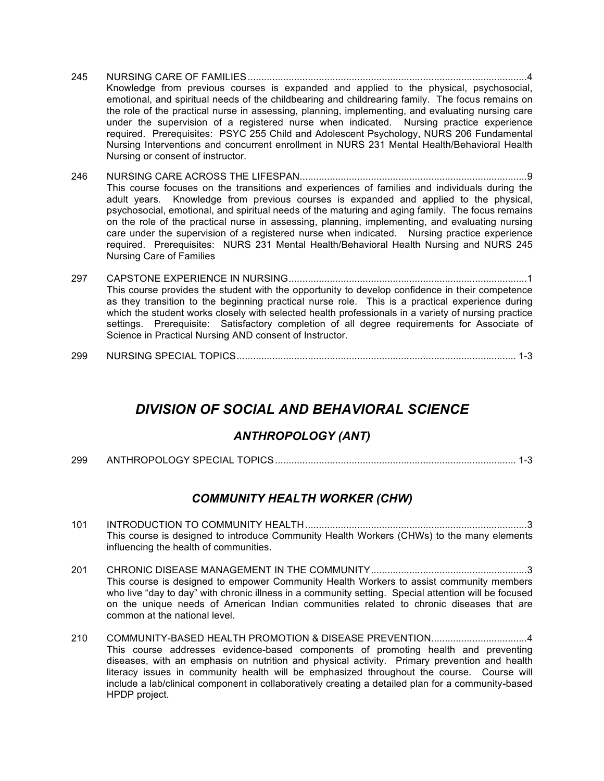- 245 NURSING CARE OF FAMILIES......................................................................................................4 Knowledge from previous courses is expanded and applied to the physical, psychosocial, emotional, and spiritual needs of the childbearing and childrearing family. The focus remains on the role of the practical nurse in assessing, planning, implementing, and evaluating nursing care under the supervision of a registered nurse when indicated. Nursing practice experience required. Prerequisites: PSYC 255 Child and Adolescent Psychology, NURS 206 Fundamental Nursing Interventions and concurrent enrollment in NURS 231 Mental Health/Behavioral Health Nursing or consent of instructor.
- 246 NURSING CARE ACROSS THE LIFESPAN...................................................................................9 This course focuses on the transitions and experiences of families and individuals during the adult years. Knowledge from previous courses is expanded and applied to the physical, psychosocial, emotional, and spiritual needs of the maturing and aging family. The focus remains on the role of the practical nurse in assessing, planning, implementing, and evaluating nursing care under the supervision of a registered nurse when indicated. Nursing practice experience required. Prerequisites: NURS 231 Mental Health/Behavioral Health Nursing and NURS 245 Nursing Care of Families
- 297 CAPSTONE EXPERIENCE IN NURSING.......................................................................................1 This course provides the student with the opportunity to develop confidence in their competence as they transition to the beginning practical nurse role. This is a practical experience during which the student works closely with selected health professionals in a variety of nursing practice settings. Prerequisite: Satisfactory completion of all degree requirements for Associate of Science in Practical Nursing AND consent of Instructor.
- 299 NURSING SPECIAL TOPICS...................................................................................................... 1-3

# *DIVISION OF SOCIAL AND BEHAVIORAL SCIENCE*

#### *ANTHROPOLOGY (ANT)*

299 ANTHROPOLOGY SPECIAL TOPICS........................................................................................ 1-3

#### *COMMUNITY HEALTH WORKER (CHW)*

- 101 INTRODUCTION TO COMMUNITY HEALTH.................................................................................3 This course is designed to introduce Community Health Workers (CHWs) to the many elements influencing the health of communities.
- 201 CHRONIC DISEASE MANAGEMENT IN THE COMMUNITY.........................................................3 This course is designed to empower Community Health Workers to assist community members who live "day to day" with chronic illness in a community setting. Special attention will be focused on the unique needs of American Indian communities related to chronic diseases that are common at the national level.
- 210 COMMUNITY-BASED HEALTH PROMOTION & DISEASE PREVENTION...................................4 This course addresses evidence-based components of promoting health and preventing diseases, with an emphasis on nutrition and physical activity. Primary prevention and health literacy issues in community health will be emphasized throughout the course. Course will include a lab/clinical component in collaboratively creating a detailed plan for a community-based HPDP project.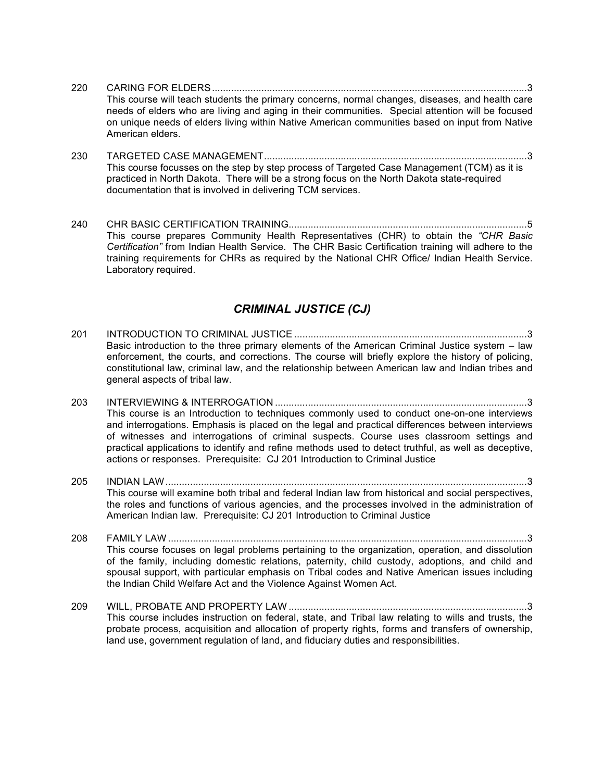- 220 CARING FOR ELDERS...................................................................................................................3 This course will teach students the primary concerns, normal changes, diseases, and health care needs of elders who are living and aging in their communities. Special attention will be focused on unique needs of elders living within Native American communities based on input from Native American elders.
- 230 TARGETED CASE MANAGEMENT................................................................................................3 This course focusses on the step by step process of Targeted Case Management (TCM) as it is practiced in North Dakota. There will be a strong focus on the North Dakota state-required documentation that is involved in delivering TCM services.
- 240 CHR BASIC CERTIFICATION TRAINING.......................................................................................5 This course prepares Community Health Representatives (CHR) to obtain the *"CHR Basic Certification"* from Indian Health Service. The CHR Basic Certification training will adhere to the training requirements for CHRs as required by the National CHR Office/ Indian Health Service. Laboratory required.

#### *CRIMINAL JUSTICE (CJ)*

- 201 INTRODUCTION TO CRIMINAL JUSTICE .....................................................................................3 Basic introduction to the three primary elements of the American Criminal Justice system – law enforcement, the courts, and corrections. The course will briefly explore the history of policing, constitutional law, criminal law, and the relationship between American law and Indian tribes and general aspects of tribal law.
- 203 INTERVIEWING & INTERROGATION ............................................................................................3 This course is an Introduction to techniques commonly used to conduct one-on-one interviews and interrogations. Emphasis is placed on the legal and practical differences between interviews of witnesses and interrogations of criminal suspects. Course uses classroom settings and practical applications to identify and refine methods used to detect truthful, as well as deceptive, actions or responses. Prerequisite: CJ 201 Introduction to Criminal Justice
- 205 INDIAN LAW....................................................................................................................................3 This course will examine both tribal and federal Indian law from historical and social perspectives, the roles and functions of various agencies, and the processes involved in the administration of American Indian law. Prerequisite: CJ 201 Introduction to Criminal Justice
- 208 FAMILY LAW ...................................................................................................................................3 This course focuses on legal problems pertaining to the organization, operation, and dissolution of the family, including domestic relations, paternity, child custody, adoptions, and child and spousal support, with particular emphasis on Tribal codes and Native American issues including the Indian Child Welfare Act and the Violence Against Women Act.
- 209 WILL, PROBATE AND PROPERTY LAW .......................................................................................3 This course includes instruction on federal, state, and Tribal law relating to wills and trusts, the probate process, acquisition and allocation of property rights, forms and transfers of ownership, land use, government regulation of land, and fiduciary duties and responsibilities.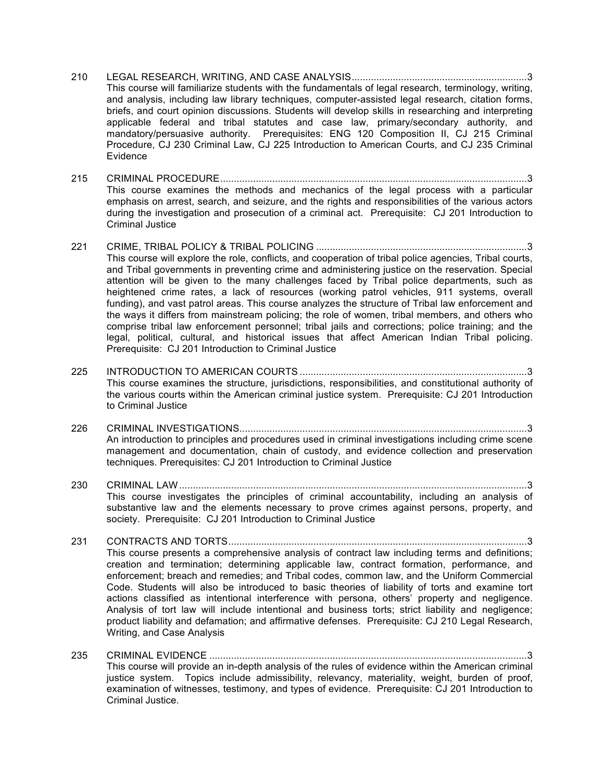- 210 LEGAL RESEARCH, WRITING, AND CASE ANALYSIS................................................................3 This course will familiarize students with the fundamentals of legal research, terminology, writing, and analysis, including law library techniques, computer-assisted legal research, citation forms, briefs, and court opinion discussions. Students will develop skills in researching and interpreting applicable federal and tribal statutes and case law, primary/secondary authority, and mandatory/persuasive authority. Prerequisites: ENG 120 Composition II, CJ 215 Criminal Procedure, CJ 230 Criminal Law, CJ 225 Introduction to American Courts, and CJ 235 Criminal Evidence
- 215 CRIMINAL PROCEDURE................................................................................................................3 This course examines the methods and mechanics of the legal process with a particular emphasis on arrest, search, and seizure, and the rights and responsibilities of the various actors during the investigation and prosecution of a criminal act. Prerequisite: CJ 201 Introduction to Criminal Justice
- 221 CRIME, TRIBAL POLICY & TRIBAL POLICING .............................................................................3 This course will explore the role, conflicts, and cooperation of tribal police agencies, Tribal courts, and Tribal governments in preventing crime and administering justice on the reservation. Special attention will be given to the many challenges faced by Tribal police departments, such as heightened crime rates, a lack of resources (working patrol vehicles, 911 systems, overall funding), and vast patrol areas. This course analyzes the structure of Tribal law enforcement and the ways it differs from mainstream policing; the role of women, tribal members, and others who comprise tribal law enforcement personnel; tribal jails and corrections; police training; and the legal, political, cultural, and historical issues that affect American Indian Tribal policing. Prerequisite: CJ 201 Introduction to Criminal Justice
- 225 INTRODUCTION TO AMERICAN COURTS ...................................................................................3 This course examines the structure, jurisdictions, responsibilities, and constitutional authority of the various courts within the American criminal justice system. Prerequisite: CJ 201 Introduction to Criminal Justice
- 226 CRIMINAL INVESTIGATIONS.........................................................................................................3 An introduction to principles and procedures used in criminal investigations including crime scene management and documentation, chain of custody, and evidence collection and preservation techniques. Prerequisites: CJ 201 Introduction to Criminal Justice
- 230 CRIMINAL LAW...............................................................................................................................3 This course investigates the principles of criminal accountability, including an analysis of substantive law and the elements necessary to prove crimes against persons, property, and society. Prerequisite: CJ 201 Introduction to Criminal Justice
- 231 CONTRACTS AND TORTS.............................................................................................................3 This course presents a comprehensive analysis of contract law including terms and definitions; creation and termination; determining applicable law, contract formation, performance, and enforcement; breach and remedies; and Tribal codes, common law, and the Uniform Commercial Code. Students will also be introduced to basic theories of liability of torts and examine tort actions classified as intentional interference with persona, others' property and negligence. Analysis of tort law will include intentional and business torts; strict liability and negligence; product liability and defamation; and affirmative defenses. Prerequisite: CJ 210 Legal Research, Writing, and Case Analysis
- 235 CRIMINAL EVIDENCE ....................................................................................................................3 This course will provide an in-depth analysis of the rules of evidence within the American criminal justice system. Topics include admissibility, relevancy, materiality, weight, burden of proof, examination of witnesses, testimony, and types of evidence. Prerequisite: CJ 201 Introduction to Criminal Justice.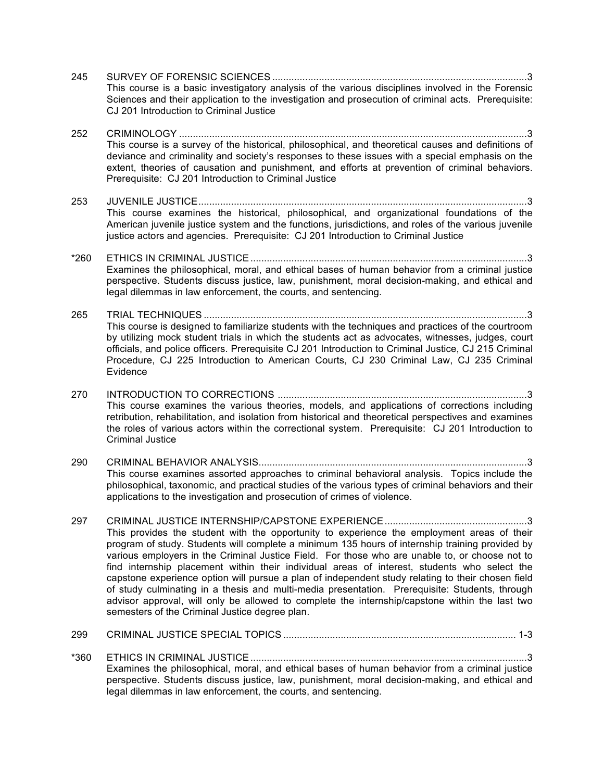- 245 SURVEY OF FORENSIC SCIENCES .............................................................................................3 This course is a basic investigatory analysis of the various disciplines involved in the Forensic Sciences and their application to the investigation and prosecution of criminal acts. Prerequisite: CJ 201 Introduction to Criminal Justice 252 CRIMINOLOGY ...............................................................................................................................3 This course is a survey of the historical, philosophical, and theoretical causes and definitions of deviance and criminality and society's responses to these issues with a special emphasis on the extent, theories of causation and punishment, and efforts at prevention of criminal behaviors. Prerequisite: CJ 201 Introduction to Criminal Justice 253 JUVENILE JUSTICE........................................................................................................................3 This course examines the historical, philosophical, and organizational foundations of the American juvenile justice system and the functions, jurisdictions, and roles of the various juvenile justice actors and agencies. Prerequisite: CJ 201 Introduction to Criminal Justice \*260 ETHICS IN CRIMINAL JUSTICE.....................................................................................................3 Examines the philosophical, moral, and ethical bases of human behavior from a criminal justice perspective. Students discuss justice, law, punishment, moral decision-making, and ethical and legal dilemmas in law enforcement, the courts, and sentencing. 265 TRIAL TECHNIQUES ......................................................................................................................3 This course is designed to familiarize students with the techniques and practices of the courtroom by utilizing mock student trials in which the students act as advocates, witnesses, judges, court officials, and police officers. Prerequisite CJ 201 Introduction to Criminal Justice, CJ 215 Criminal Procedure, CJ 225 Introduction to American Courts, CJ 230 Criminal Law, CJ 235 Criminal Evidence 270 INTRODUCTION TO CORRECTIONS ...........................................................................................3 This course examines the various theories, models, and applications of corrections including retribution, rehabilitation, and isolation from historical and theoretical perspectives and examines the roles of various actors within the correctional system. Prerequisite: CJ 201 Introduction to Criminal Justice 290 CRIMINAL BEHAVIOR ANALYSIS..................................................................................................3 This course examines assorted approaches to criminal behavioral analysis. Topics include the philosophical, taxonomic, and practical studies of the various types of criminal behaviors and their applications to the investigation and prosecution of crimes of violence. 297 CRIMINAL JUSTICE INTERNSHIP/CAPSTONE EXPERIENCE....................................................3 This provides the student with the opportunity to experience the employment areas of their program of study. Students will complete a minimum 135 hours of internship training provided by various employers in the Criminal Justice Field. For those who are unable to, or choose not to find internship placement within their individual areas of interest, students who select the capstone experience option will pursue a plan of independent study relating to their chosen field of study culminating in a thesis and multi-media presentation. Prerequisite: Students, through advisor approval, will only be allowed to complete the internship/capstone within the last two semesters of the Criminal Justice degree plan. 299 CRIMINAL JUSTICE SPECIAL TOPICS ..................................................................................... 1-3 \*360 ETHICS IN CRIMINAL JUSTICE.....................................................................................................3 Examines the philosophical, moral, and ethical bases of human behavior from a criminal justice
	- perspective. Students discuss justice, law, punishment, moral decision-making, and ethical and legal dilemmas in law enforcement, the courts, and sentencing.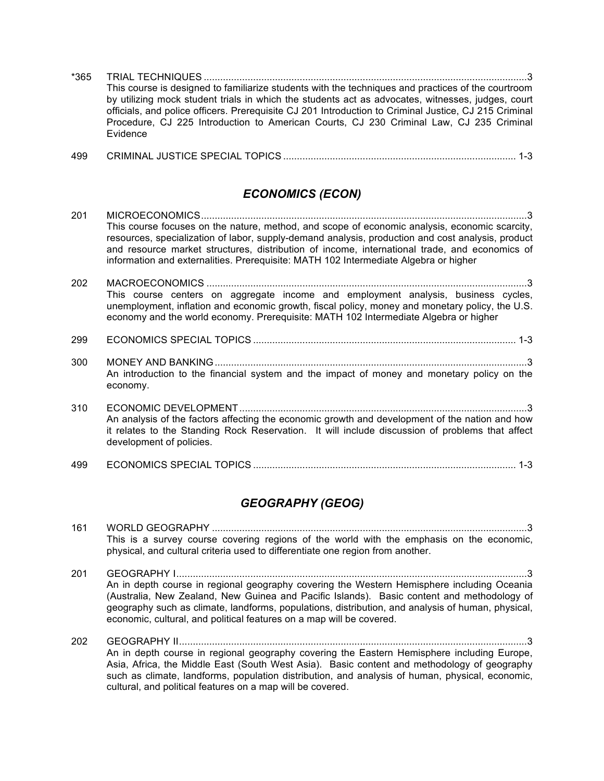| *365 |                                                                                                       |
|------|-------------------------------------------------------------------------------------------------------|
|      | This course is designed to familiarize students with the techniques and practices of the courtroom    |
|      | by utilizing mock student trials in which the students act as advocates, witnesses, judges, court     |
|      | officials, and police officers. Prerequisite CJ 201 Introduction to Criminal Justice, CJ 215 Criminal |
|      | Procedure, CJ 225 Introduction to American Courts, CJ 230 Criminal Law, CJ 235 Criminal               |
|      | Evidence                                                                                              |

|  | 499 |  |  |  |
|--|-----|--|--|--|
|--|-----|--|--|--|

#### *ECONOMICS (ECON)*

| 201 | This course focuses on the nature, method, and scope of economic analysis, economic scarcity,<br>resources, specialization of labor, supply-demand analysis, production and cost analysis, product<br>and resource market structures, distribution of income, international trade, and economics of<br>information and externalities. Prerequisite: MATH 102 Intermediate Algebra or higher |
|-----|---------------------------------------------------------------------------------------------------------------------------------------------------------------------------------------------------------------------------------------------------------------------------------------------------------------------------------------------------------------------------------------------|
| 202 | This course centers on aggregate income and employment analysis, business cycles,<br>unemployment, inflation and economic growth, fiscal policy, money and monetary policy, the U.S.<br>economy and the world economy. Prerequisite: MATH 102 Intermediate Algebra or higher                                                                                                                |
| 299 |                                                                                                                                                                                                                                                                                                                                                                                             |
| 300 | An introduction to the financial system and the impact of money and monetary policy on the<br>economy.                                                                                                                                                                                                                                                                                      |
| 310 | An analysis of the factors affecting the economic growth and development of the nation and how<br>it relates to the Standing Rock Reservation. It will include discussion of problems that affect<br>development of policies.                                                                                                                                                               |
| 499 |                                                                                                                                                                                                                                                                                                                                                                                             |

#### *GEOGRAPHY (GEOG)*

| 161 |                                                                                          |
|-----|------------------------------------------------------------------------------------------|
|     | This is a survey course covering regions of the world with the emphasis on the economic, |
|     | physical, and cultural criteria used to differentiate one region from another.           |

201 GEOGRAPHY I................................................................................................................................3 An in depth course in regional geography covering the Western Hemisphere including Oceania (Australia, New Zealand, New Guinea and Pacific Islands). Basic content and methodology of geography such as climate, landforms, populations, distribution, and analysis of human, physical, economic, cultural, and political features on a map will be covered.

202 GEOGRAPHY II...............................................................................................................................3 An in depth course in regional geography covering the Eastern Hemisphere including Europe, Asia, Africa, the Middle East (South West Asia). Basic content and methodology of geography such as climate, landforms, population distribution, and analysis of human, physical, economic, cultural, and political features on a map will be covered.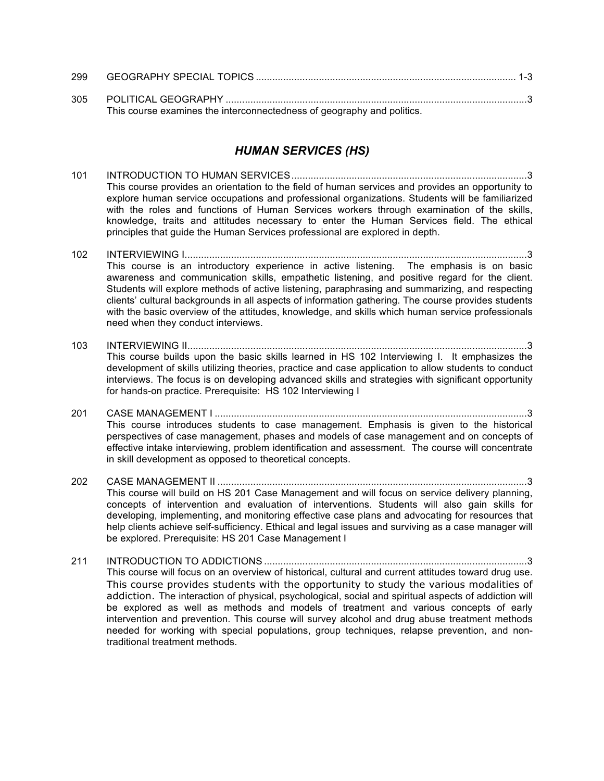| 299 |                                                                        |  |
|-----|------------------------------------------------------------------------|--|
| 305 | This course examines the interconnectedness of geography and politics. |  |

#### *HUMAN SERVICES (HS)*

- 101 INTRODUCTION TO HUMAN SERVICES......................................................................................3 This course provides an orientation to the field of human services and provides an opportunity to explore human service occupations and professional organizations. Students will be familiarized with the roles and functions of Human Services workers through examination of the skills, knowledge, traits and attitudes necessary to enter the Human Services field. The ethical principles that guide the Human Services professional are explored in depth.
- 102 INTERVIEWING I.............................................................................................................................3 This course is an introductory experience in active listening. The emphasis is on basic awareness and communication skills, empathetic listening, and positive regard for the client. Students will explore methods of active listening, paraphrasing and summarizing, and respecting clients' cultural backgrounds in all aspects of information gathering. The course provides students with the basic overview of the attitudes, knowledge, and skills which human service professionals need when they conduct interviews.
- 103 INTERVIEWING II............................................................................................................................3 This course builds upon the basic skills learned in HS 102 Interviewing I. It emphasizes the development of skills utilizing theories, practice and case application to allow students to conduct interviews. The focus is on developing advanced skills and strategies with significant opportunity for hands-on practice. Prerequisite: HS 102 Interviewing I
- 201 CASE MANAGEMENT I ..................................................................................................................3 This course introduces students to case management. Emphasis is given to the historical perspectives of case management, phases and models of case management and on concepts of effective intake interviewing, problem identification and assessment. The course will concentrate in skill development as opposed to theoretical concepts.
- 202 CASE MANAGEMENT II .................................................................................................................3 This course will build on HS 201 Case Management and will focus on service delivery planning, concepts of intervention and evaluation of interventions. Students will also gain skills for developing, implementing, and monitoring effective case plans and advocating for resources that help clients achieve self-sufficiency. Ethical and legal issues and surviving as a case manager will be explored. Prerequisite: HS 201 Case Management I
- 211 INTRODUCTION TO ADDICTIONS ................................................................................................3 This course will focus on an overview of historical, cultural and current attitudes toward drug use. This course provides students with the opportunity to study the various modalities of addiction. The interaction of physical, psychological, social and spiritual aspects of addiction will be explored as well as methods and models of treatment and various concepts of early intervention and prevention. This course will survey alcohol and drug abuse treatment methods needed for working with special populations, group techniques, relapse prevention, and nontraditional treatment methods.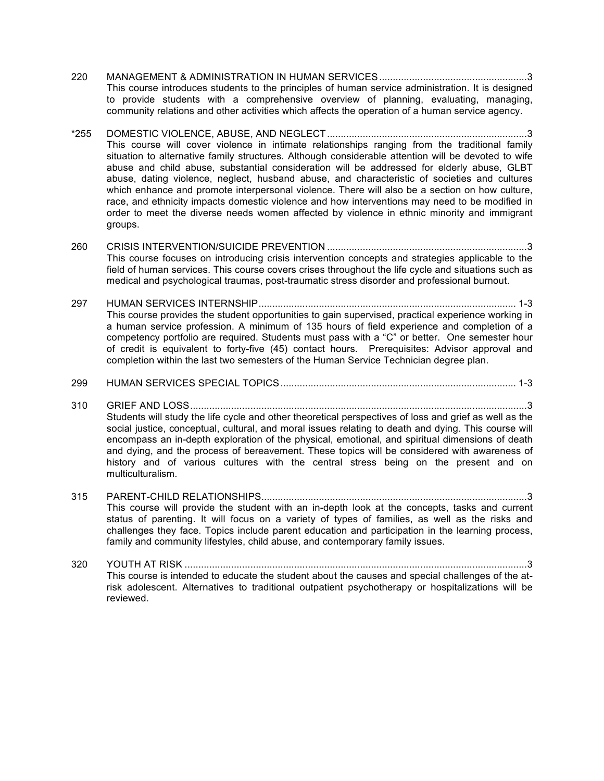- 220 MANAGEMENT & ADMINISTRATION IN HUMAN SERVICES......................................................3 This course introduces students to the principles of human service administration. It is designed to provide students with a comprehensive overview of planning, evaluating, managing, community relations and other activities which affects the operation of a human service agency.
- \*255 DOMESTIC VIOLENCE, ABUSE, AND NEGLECT.........................................................................3 This course will cover violence in intimate relationships ranging from the traditional family situation to alternative family structures. Although considerable attention will be devoted to wife abuse and child abuse, substantial consideration will be addressed for elderly abuse, GLBT abuse, dating violence, neglect, husband abuse, and characteristic of societies and cultures which enhance and promote interpersonal violence. There will also be a section on how culture, race, and ethnicity impacts domestic violence and how interventions may need to be modified in order to meet the diverse needs women affected by violence in ethnic minority and immigrant groups.
- 260 CRISIS INTERVENTION/SUICIDE PREVENTION .........................................................................3 This course focuses on introducing crisis intervention concepts and strategies applicable to the field of human services. This course covers crises throughout the life cycle and situations such as medical and psychological traumas, post-traumatic stress disorder and professional burnout.
- 297 HUMAN SERVICES INTERNSHIP.............................................................................................. 1-3 This course provides the student opportunities to gain supervised, practical experience working in a human service profession. A minimum of 135 hours of field experience and completion of a competency portfolio are required. Students must pass with a "C" or better. One semester hour of credit is equivalent to forty-five (45) contact hours. Prerequisites: Advisor approval and completion within the last two semesters of the Human Service Technician degree plan.
- 299 HUMAN SERVICES SPECIAL TOPICS...................................................................................... 1-3
- 310 GRIEF AND LOSS...........................................................................................................................3 Students will study the life cycle and other theoretical perspectives of loss and grief as well as the social justice, conceptual, cultural, and moral issues relating to death and dying. This course will encompass an in-depth exploration of the physical, emotional, and spiritual dimensions of death and dying, and the process of bereavement. These topics will be considered with awareness of history and of various cultures with the central stress being on the present and on multiculturalism.
- 315 PARENT-CHILD RELATIONSHIPS.................................................................................................3 This course will provide the student with an in-depth look at the concepts, tasks and current status of parenting. It will focus on a variety of types of families, as well as the risks and challenges they face. Topics include parent education and participation in the learning process, family and community lifestyles, child abuse, and contemporary family issues.
- 320 YOUTH AT RISK .............................................................................................................................3 This course is intended to educate the student about the causes and special challenges of the atrisk adolescent. Alternatives to traditional outpatient psychotherapy or hospitalizations will be reviewed.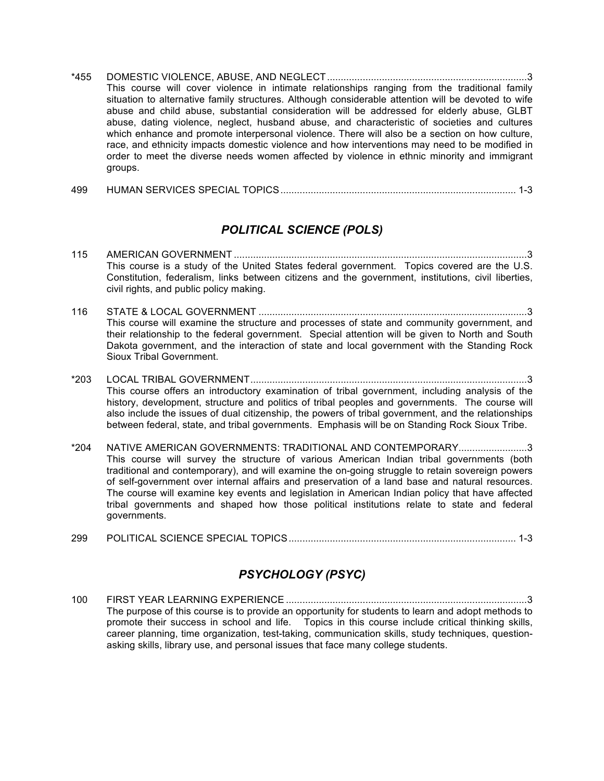- \*455 DOMESTIC VIOLENCE, ABUSE, AND NEGLECT.........................................................................3 This course will cover violence in intimate relationships ranging from the traditional family situation to alternative family structures. Although considerable attention will be devoted to wife abuse and child abuse, substantial consideration will be addressed for elderly abuse, GLBT abuse, dating violence, neglect, husband abuse, and characteristic of societies and cultures which enhance and promote interpersonal violence. There will also be a section on how culture, race, and ethnicity impacts domestic violence and how interventions may need to be modified in order to meet the diverse needs women affected by violence in ethnic minority and immigrant groups.
- 499 HUMAN SERVICES SPECIAL TOPICS...................................................................................... 1-3

#### *POLITICAL SCIENCE (POLS)*

- 115 AMERICAN GOVERNMENT ...........................................................................................................3 This course is a study of the United States federal government. Topics covered are the U.S. Constitution, federalism, links between citizens and the government, institutions, civil liberties, civil rights, and public policy making.
- 116 STATE & LOCAL GOVERNMENT ..................................................................................................3 This course will examine the structure and processes of state and community government, and their relationship to the federal government. Special attention will be given to North and South Dakota government, and the interaction of state and local government with the Standing Rock Sioux Tribal Government.
- \*203 LOCAL TRIBAL GOVERNMENT.....................................................................................................3 This course offers an introductory examination of tribal government, including analysis of the history, development, structure and politics of tribal peoples and governments. The course will also include the issues of dual citizenship, the powers of tribal government, and the relationships between federal, state, and tribal governments. Emphasis will be on Standing Rock Sioux Tribe.
- \*204 NATIVE AMERICAN GOVERNMENTS: TRADITIONAL AND CONTEMPORARY.........................3 This course will survey the structure of various American Indian tribal governments (both traditional and contemporary), and will examine the on-going struggle to retain sovereign powers of self-government over internal affairs and preservation of a land base and natural resources. The course will examine key events and legislation in American Indian policy that have affected tribal governments and shaped how those political institutions relate to state and federal governments.
- 299 POLITICAL SCIENCE SPECIAL TOPICS................................................................................... 1-3

#### *PSYCHOLOGY (PSYC)*

100 FIRST YEAR LEARNING EXPERIENCE ........................................................................................3 The purpose of this course is to provide an opportunity for students to learn and adopt methods to promote their success in school and life. Topics in this course include critical thinking skills, career planning, time organization, test-taking, communication skills, study techniques, questionasking skills, library use, and personal issues that face many college students.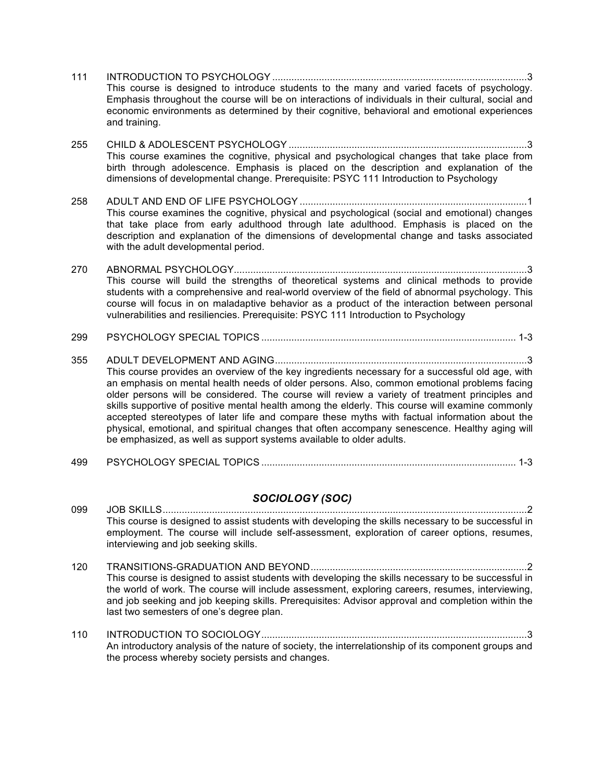- 111 INTRODUCTION TO PSYCHOLOGY .............................................................................................3 This course is designed to introduce students to the many and varied facets of psychology. Emphasis throughout the course will be on interactions of individuals in their cultural, social and economic environments as determined by their cognitive, behavioral and emotional experiences and training.
- 255 CHILD & ADOLESCENT PSYCHOLOGY .......................................................................................3 This course examines the cognitive, physical and psychological changes that take place from birth through adolescence. Emphasis is placed on the description and explanation of the dimensions of developmental change. Prerequisite: PSYC 111 Introduction to Psychology
- 258 ADULT AND END OF LIFE PSYCHOLOGY ...................................................................................1 This course examines the cognitive, physical and psychological (social and emotional) changes that take place from early adulthood through late adulthood. Emphasis is placed on the description and explanation of the dimensions of developmental change and tasks associated with the adult developmental period.
- 270 ABNORMAL PSYCHOLOGY...........................................................................................................3 This course will build the strengths of theoretical systems and clinical methods to provide students with a comprehensive and real-world overview of the field of abnormal psychology. This course will focus in on maladaptive behavior as a product of the interaction between personal vulnerabilities and resiliencies. Prerequisite: PSYC 111 Introduction to Psychology
- 299 PSYCHOLOGY SPECIAL TOPICS ............................................................................................. 1-3
- 355 ADULT DEVELOPMENT AND AGING............................................................................................3 This course provides an overview of the key ingredients necessary for a successful old age, with an emphasis on mental health needs of older persons. Also, common emotional problems facing older persons will be considered. The course will review a variety of treatment principles and skills supportive of positive mental health among the elderly. This course will examine commonly accepted stereotypes of later life and compare these myths with factual information about the physical, emotional, and spiritual changes that often accompany senescence. Healthy aging will be emphasized, as well as support systems available to older adults.
- 499 PSYCHOLOGY SPECIAL TOPICS ............................................................................................. 1-3

#### *SOCIOLOGY (SOC)*

- 099 JOB SKILLS.....................................................................................................................................2 This course is designed to assist students with developing the skills necessary to be successful in employment. The course will include self-assessment, exploration of career options, resumes, interviewing and job seeking skills.
- 120 TRANSITIONS-GRADUATION AND BEYOND...............................................................................2 This course is designed to assist students with developing the skills necessary to be successful in the world of work. The course will include assessment, exploring careers, resumes, interviewing, and job seeking and job keeping skills. Prerequisites: Advisor approval and completion within the last two semesters of one's degree plan.
- 110 INTRODUCTION TO SOCIOLOGY.................................................................................................3 An introductory analysis of the nature of society, the interrelationship of its component groups and the process whereby society persists and changes.